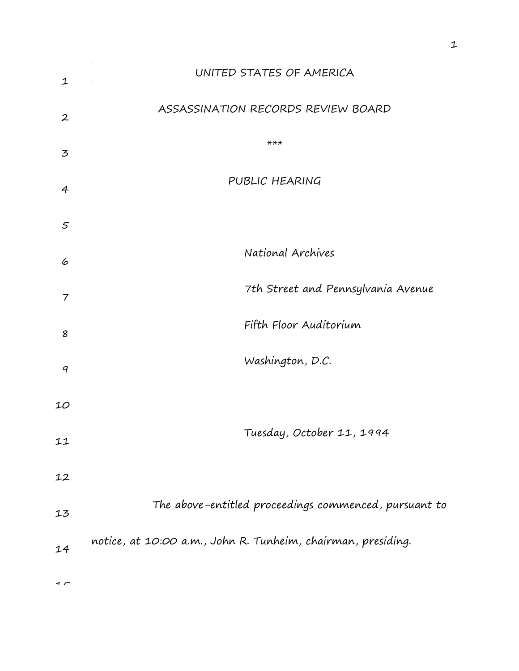| 1                | UNITED STATES OF AMERICA                                     |
|------------------|--------------------------------------------------------------|
| $\boldsymbol{2}$ | ASSASSINATION RECORDS REVIEW BOARD                           |
| 3                | $***$                                                        |
| 4                | PUBLIC HEARING                                               |
| $\sqrt{2}$       |                                                              |
| 6                | National Archives                                            |
| 7                | 7th Street and Pennsylvania Avenue                           |
| 8                | Fifth Floor Auditorium                                       |
| 9                | Washington, D.C.                                             |
| 10               |                                                              |
| 11               | Tuesday, October 11, 1994                                    |
| 12               |                                                              |
| 13               | The above-entitled proceedings commenced, pursuant to        |
| 14               | notice, at 10:00 a.m., John R. Tunheim, chairman, presiding. |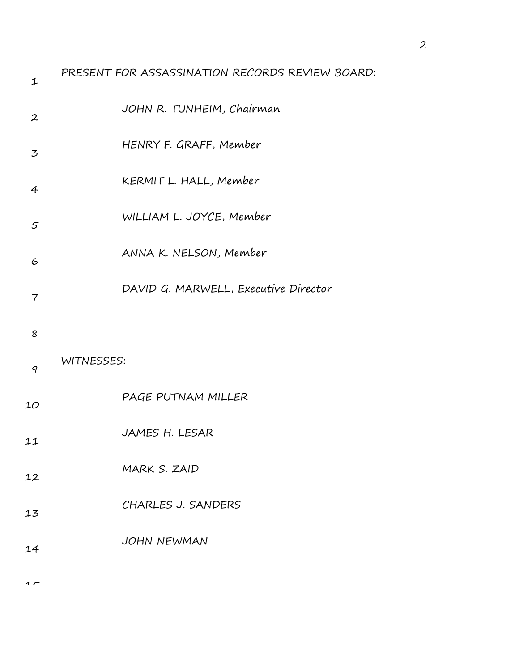| $\mathbf 1$      | PRESENT FOR ASSASSINATION RECORDS REVIEW BOARD: |
|------------------|-------------------------------------------------|
| $\boldsymbol{2}$ | JOHN R. TUNHEIM, Chairman                       |
| 3                | HENRY F. GRAFF, Member                          |
| $\overline{4}$   | KERMIT L. HALL, Member                          |
| $\mathfrak{s}$   | WILLIAM L. JOYCE, Member                        |
| 6                | ANNA K. NELSON, Member                          |
| 7                | DAVID G. MARWELL, Executive Director            |
| 8                |                                                 |
| 9                | WITNESSES:                                      |
| 10               | PAGE PUTNAM MILLER                              |
| 11               | JAMES H. LESAR                                  |
| 12               | MARK S. ZAID                                    |
| 13               | CHARLES J. SANDERS                              |
| 14               | <b>JOHN NEWMAN</b>                              |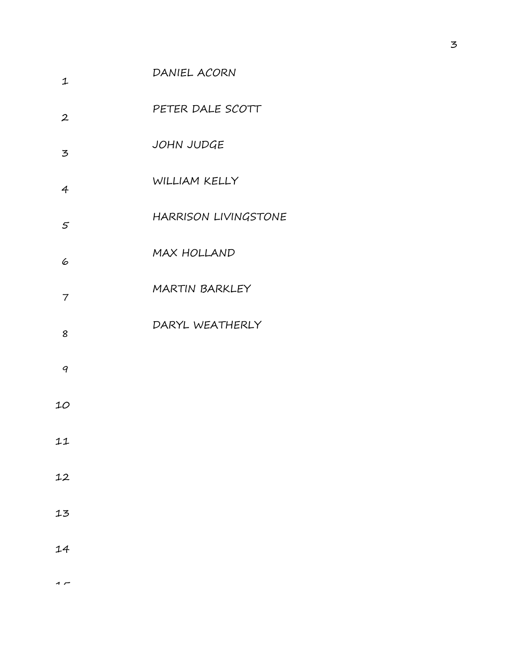| $\mathbf 1$      | DANIEL ACORN                |
|------------------|-----------------------------|
| $\boldsymbol{2}$ | PETER DALE SCOTT            |
| 3                | JOHN JUDGE                  |
| $\overline{4}$   | WILLIAM KELLY               |
| 5                | <b>HARRISON LIVINGSTONE</b> |
| 6                | MAX HOLLAND                 |
| 7                | <b>MARTIN BARKLEY</b>       |
| 8                | DARYL WEATHERLY             |
| 9                |                             |
| 10               |                             |
| 11               |                             |
| 12               |                             |
| 13               |                             |
| 14               |                             |
|                  |                             |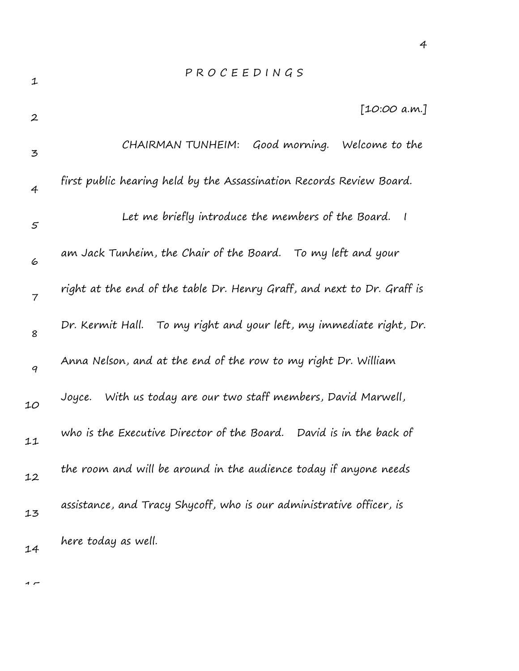|  | PROCEEDINGS                                                          |  |              |  |
|--|----------------------------------------------------------------------|--|--------------|--|
|  |                                                                      |  | [10:00 a.m.] |  |
|  | CHAIRMAN TUNHEIM: Good morning. Welcome to the                       |  |              |  |
|  | first public hearing held by the Assassination Records Review Board. |  |              |  |
|  | Let me briefly introduce the members of the Board. I                 |  |              |  |
|  | am Jack Tunheim, the Chair of the Board. To my left and your         |  |              |  |

4

7 8 9 10 11 12 13 14 right at the end of the table Dr. Henry Graff, and next to Dr. Graff is Dr. Kermit Hall. To my right and your left, my immediate right, Dr. Anna Nelson, and at the end of the row to my right Dr. William Joyce. With us today are our two staff members, David Marwell, who is the Executive Director of the Board. David is in the back of the room and will be around in the audience today if anyone needs assistance, and Tracy Shycoff, who is our administrative officer, is here today as well.

 $\overline{1}$ 

1

2

3

4

5

6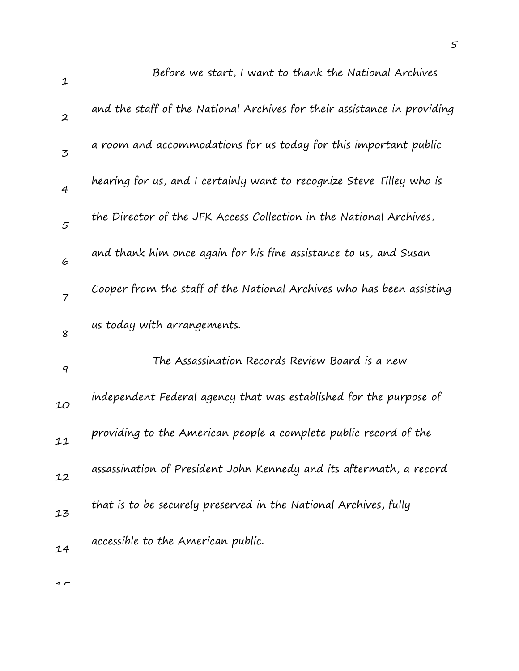| $\mathbf 1$      | Before we start, I want to thank the National Archives                   |
|------------------|--------------------------------------------------------------------------|
| $\boldsymbol{2}$ | and the staff of the National Archives for their assistance in providing |
| $\overline{5}$   | a room and accommodations for us today for this important public         |
| $\overline{4}$   | hearing for us, and I certainly want to recognize Steve Tilley who is    |
| $\mathfrak{s}$   | the Director of the JFK Access Collection in the National Archives,      |
| 6                | and thank him once again for his fine assistance to us, and Susan        |
| $\overline{7}$   | Cooper from the staff of the National Archives who has been assisting    |
| 8                | us today with arrangements.                                              |
| 9                | The Assassination Records Review Board is a new                          |
| 10               | independent Federal agency that was established for the purpose of       |
| 11               | providing to the American people a complete public record of the         |
| 12               | assassination of President John Kennedy and its aftermath, a record      |
| 13               | that is to be securely preserved in the National Archives, fully         |
| 14               | accessible to the American public.                                       |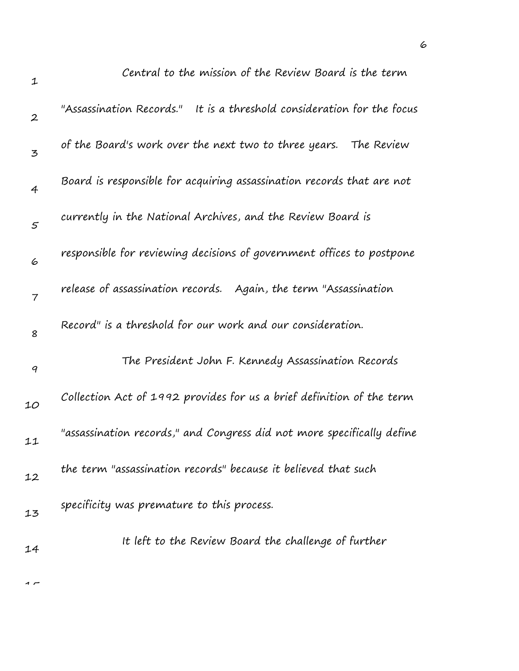| $\mathbf 1$      | Central to the mission of the Review Board is the term                    |
|------------------|---------------------------------------------------------------------------|
| $\boldsymbol{2}$ | "Assassination Records."<br>It is a threshold consideration for the focus |
| $\mathbf{z}$     | of the Board's work over the next two to three years.<br>The Review       |
| $\overline{4}$   | Board is responsible for acquiring assassination records that are not     |
| $\mathfrak{s}$   | currently in the National Archives, and the Review Board is               |
| 6                | responsible for reviewing decisions of government offices to postpone     |
| $\overline{7}$   | release of assassination records. Again, the term "Assassination          |
| 8                | Record" is a threshold for our work and our consideration.                |
| 9                | The President John F. Kennedy Assassination Records                       |
| 10               | Collection Act of 1992 provides for us a brief definition of the term     |
| 11               | "assassination records," and Congress did not more specifically define    |
| 12               | the term "assassination records" because it believed that such            |
| 13               | specificity was premature to this process.                                |
| 14               | It left to the Review Board the challenge of further                      |
|                  |                                                                           |

6

 $\overline{1}$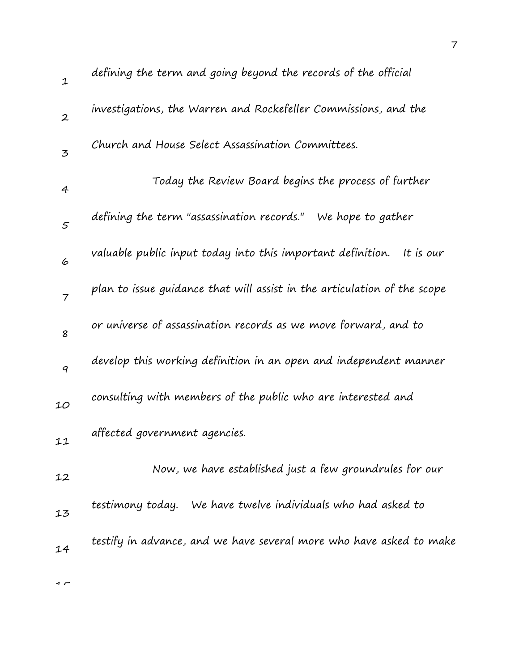| $\mathbf{1}$   | defining the term and going beyond the records of the official           |
|----------------|--------------------------------------------------------------------------|
| $\overline{2}$ | investigations, the Warren and Rockefeller Commissions, and the          |
| $\mathbf{z}$   | Church and House Select Assassination Committees.                        |
| 4              | Today the Review Board begins the process of further                     |
| $\varsigma$    | defining the term "assassination records." We hope to gather             |
| 6              | valuable public input today into this important definition.<br>It is our |
| $\overline{7}$ | plan to issue guidance that will assist in the articulation of the scope |
| 8              | or universe of assassination records as we move forward, and to          |
| 9              | develop this working definition in an open and independent manner        |
| 10             | consulting with members of the public who are interested and             |
| 11             | affected government agencies.                                            |
| 12             | Now, we have established just a few groundrules for our                  |
| 13             | We have twelve individuals who had asked to<br>testimony today.          |
| 14             | testify in advance, and we have several more who have asked to make      |
|                |                                                                          |

 $\overline{1}$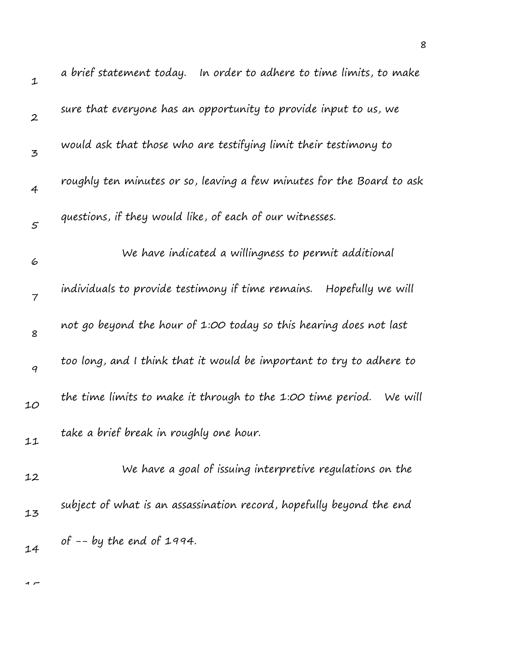| $\mathbf 1$      | a brief statement today.<br>In order to adhere to time limits, to make |
|------------------|------------------------------------------------------------------------|
| $\boldsymbol{2}$ | sure that everyone has an opportunity to provide input to us, we       |
| 3                | would ask that those who are testifying limit their testimony to       |
| $\overline{4}$   | roughly ten minutes or so, leaving a few minutes for the Board to ask  |
| $\varsigma$      | questions, if they would like, of each of our witnesses.               |
| 6                | We have indicated a willingness to permit additional                   |
| 7                | individuals to provide testimony if time remains. Hopefully we will    |
| 8                | not go beyond the hour of 1:00 today so this hearing does not last     |
| 9                | too long, and I think that it would be important to try to adhere to   |
| 10               | the time limits to make it through to the 1:00 time period.<br>We will |
| 11               | take a brief break in roughly one hour.                                |
| 12               | We have a goal of issuing interpretive regulations on the              |
| 13               | subject of what is an assassination record, hopefully beyond the end   |
| 14               | of $-$ - by the end of 1994.                                           |
|                  |                                                                        |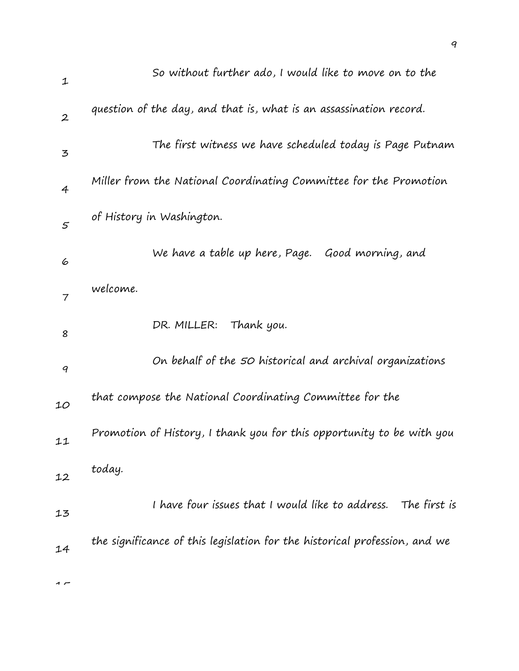|                  | So without further ado, I would like to move on to the                     |
|------------------|----------------------------------------------------------------------------|
| $\mathfrak 1$    |                                                                            |
| $\boldsymbol{2}$ | question of the day, and that is, what is an assassination record.         |
| 3                | The first witness we have scheduled today is Page Putnam                   |
| $\overline{4}$   | Miller from the National Coordinating Committee for the Promotion          |
| $\varsigma$      | of History in Washington.                                                  |
| 6                | We have a table up here, Page. Good morning, and                           |
| $\overline{7}$   | welcome.                                                                   |
| 8                | DR. MILLER:<br>Thank you.                                                  |
| 9                | On behalf of the 50 historical and archival organizations                  |
| 10               | that compose the National Coordinating Committee for the                   |
| 11               | Promotion of History, I thank you for this opportunity to be with you      |
| 12               | today.                                                                     |
| 13               | I have four issues that I would like to address.<br>The first is           |
| 14               | the significance of this legislation for the historical profession, and we |
|                  |                                                                            |

9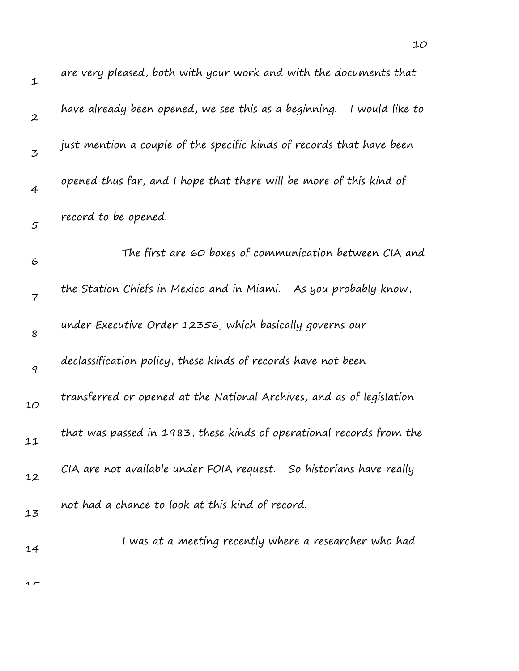| $\mathbf 1$      | are very pleased, both with your work and with the documents that        |
|------------------|--------------------------------------------------------------------------|
| $\boldsymbol{2}$ | have already been opened, we see this as a beginning.<br>I would like to |
| $\mathbf{z}$     | just mention a couple of the specific kinds of records that have been    |
| $\overline{4}$   | opened thus far, and I hope that there will be more of this kind of      |
| $\mathfrak{s}$   | record to be opened.                                                     |
| 6                | The first are 60 boxes of communication between CIA and                  |
| $\overline{7}$   | the Station Chiefs in Mexico and in Miami. As you probably know,         |
| 8                | under Executive Order 12356, which basically governs our                 |
| 9                | declassification policy, these kinds of records have not been            |
| 10               | transferred or opened at the National Archives, and as of legislation    |
| 11               | that was passed in 1983, these kinds of operational records from the     |
| 12               | CIA are not available under FOIA request. So historians have really      |
| 13               | not had a chance to look at this kind of record.                         |
| 14               | I was at a meeting recently where a researcher who had                   |
|                  |                                                                          |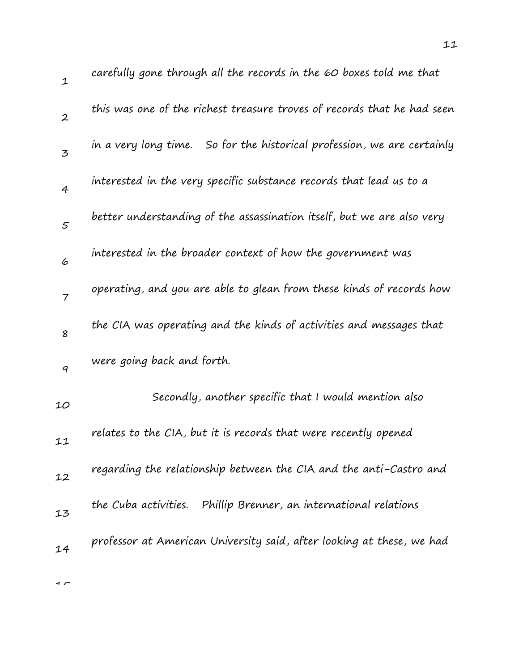1 2 3 4 5 6 7 8 9 10 11 12 13 14 carefully gone through all the records in the 60 boxes told me that this was one of the richest treasure troves of records that he had seen in a very long time. So for the historical profession, we are certainly interested in the very specific substance records that lead us to a better understanding of the assassination itself, but we are also very interested in the broader context of how the government was operating, and you are able to glean from these kinds of records how the CIA was operating and the kinds of activities and messages that were going back and forth. Secondly, another specific that I would mention also relates to the CIA, but it is records that were recently opened regarding the relationship between the CIA and the anti-Castro and the Cuba activities. Phillip Brenner, an international relations professor at American University said, after looking at these, we had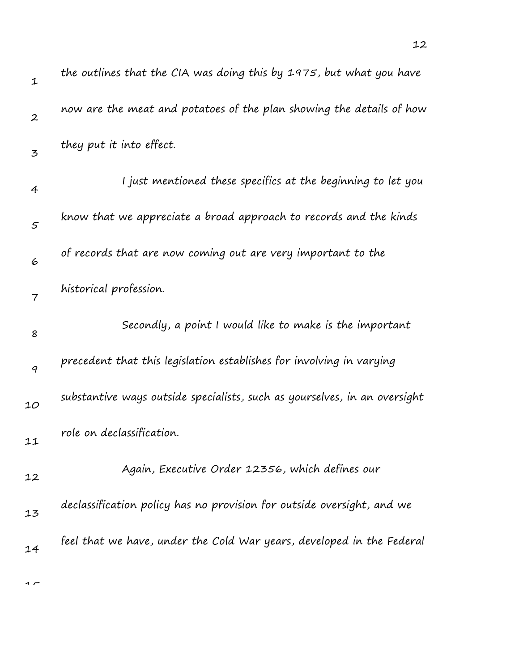| $\mathbf 1$      | the outlines that the CIA was doing this by 1975, but what you have       |
|------------------|---------------------------------------------------------------------------|
| $\boldsymbol{2}$ | now are the meat and potatoes of the plan showing the details of how      |
| 3                | they put it into effect.                                                  |
| 4                | I just mentioned these specifics at the beginning to let you              |
| $\varsigma$      | know that we appreciate a broad approach to records and the kinds         |
| 6                | of records that are now coming out are very important to the              |
| $\overline{7}$   | historical profession.                                                    |
| 8                | Secondly, a point I would like to make is the important                   |
| 9                | precedent that this legislation establishes for involving in varying      |
| 10               | substantive ways outside specialists, such as yourselves, in an oversight |
| 11               | role on declassification.                                                 |
| 12               | Again, Executive Order 12356, which defines our                           |
| 13               | declassification policy has no provision for outside oversight, and we    |
| 14               | feel that we have, under the Cold War years, developed in the Federal     |
|                  |                                                                           |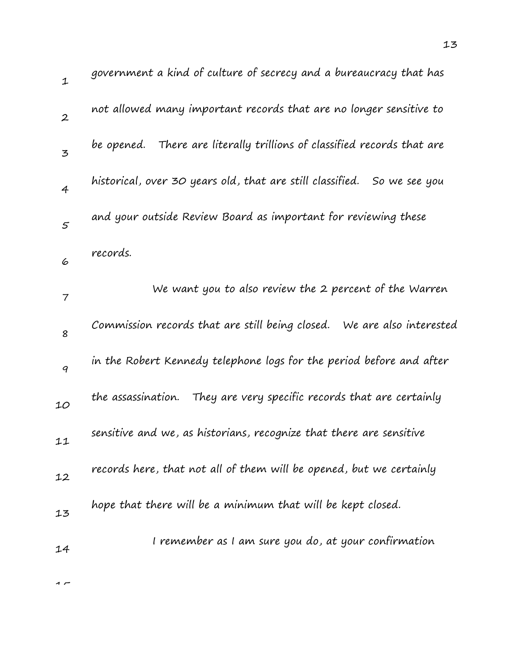| $\mathbf{1}$   | government a kind of culture of secrecy and a bureaucracy that has         |
|----------------|----------------------------------------------------------------------------|
| $\overline{2}$ | not allowed many important records that are no longer sensitive to         |
| $\overline{5}$ | There are literally trillions of classified records that are<br>be opened. |
| $\overline{4}$ | historical, over 30 years old, that are still classified.<br>So we see you |
| 5              | and your outside Review Board as important for reviewing these             |
| 6              | records.                                                                   |
| $\overline{7}$ | We want you to also review the 2 percent of the Warren                     |
| 8              | Commission records that are still being closed. We are also interested     |
| 9              | in the Robert Kennedy telephone logs for the period before and after       |
| 10             | the assassination.<br>They are very specific records that are certainly    |
| 11             | sensitive and we, as historians, recognize that there are sensitive        |
| 12             | records here, that not all of them will be opened, but we certainly        |
| 13             | hope that there will be a minimum that will be kept closed.                |
| 14             | I remember as I am sure you do, at your confirmation                       |
|                |                                                                            |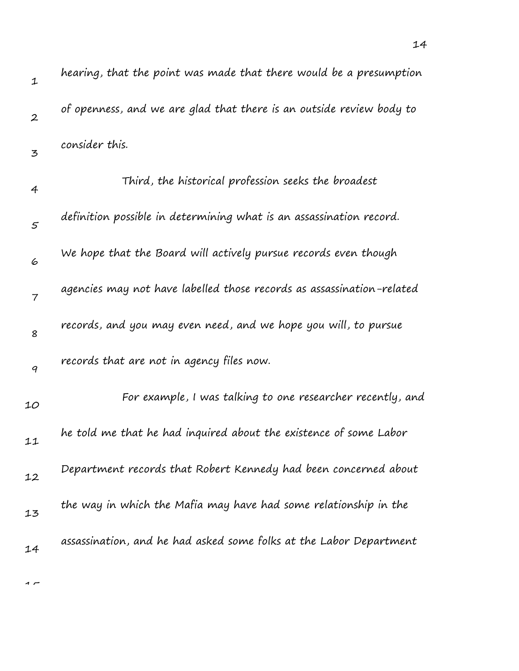| $\mathbf{1}$   | hearing, that the point was made that there would be a presumption    |
|----------------|-----------------------------------------------------------------------|
| $\overline{2}$ | of openness, and we are glad that there is an outside review body to  |
| $\mathbf{z}$   | consider this.                                                        |
| 4              | Third, the historical profession seeks the broadest                   |
| $\mathcal{S}$  | definition possible in determining what is an assassination record.   |
| 6              | We hope that the Board will actively pursue records even though       |
| $\overline{7}$ | agencies may not have labelled those records as assassination-related |
| 8              | records, and you may even need, and we hope you will, to pursue       |
| 9              | records that are not in agency files now.                             |
| 10             | For example, I was talking to one researcher recently, and            |
| 11             | he told me that he had inquired about the existence of some Labor     |
| 12             | Department records that Robert Kennedy had been concerned about       |
| 13             | the way in which the Mafia may have had some relationship in the      |
| 14             | assassination, and he had asked some folks at the Labor Department    |

14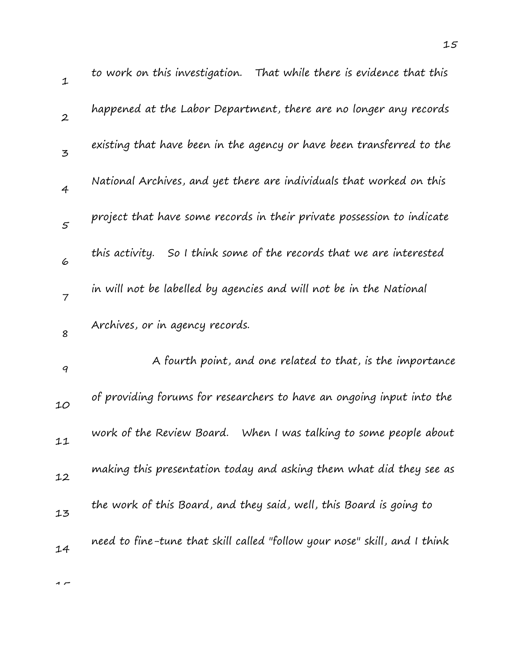| $\mathbf{1}$   | to work on this investigation. That while there is evidence that this     |
|----------------|---------------------------------------------------------------------------|
| $\overline{2}$ | happened at the Labor Department, there are no longer any records         |
| $\overline{5}$ | existing that have been in the agency or have been transferred to the     |
| $\overline{4}$ | National Archives, and yet there are individuals that worked on this      |
| 5              | project that have some records in their private possession to indicate    |
| 6              | So I think some of the records that we are interested<br>this activity.   |
| $\overline{7}$ | in will not be labelled by agencies and will not be in the National       |
| 8              | Archives, or in agency records.                                           |
| 9              | A fourth point, and one related to that, is the importance                |
| 10             | of providing forums for researchers to have an ongoing input into the     |
| 11             | work of the Review Board. When I was talking to some people about         |
| 12             | making this presentation today and asking them what did they see as       |
| 13             | the work of this Board, and they said, well, this Board is going to       |
|                |                                                                           |
| 14             | need to fine-tune that skill called "follow your nose" skill, and I think |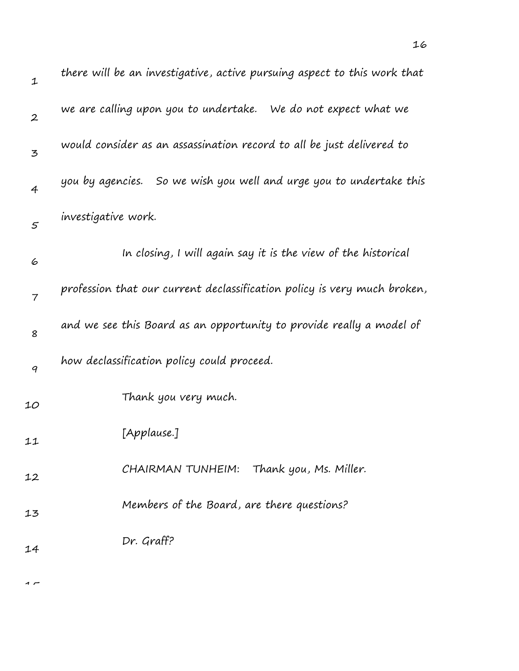| $\mathbf 1$      | there will be an investigative, active pursuing aspect to this work that |
|------------------|--------------------------------------------------------------------------|
| $\boldsymbol{2}$ | we are calling upon you to undertake. We do not expect what we           |
| 3                | would consider as an assassination record to all be just delivered to    |
| $\overline{4}$   | you by agencies. So we wish you well and urge you to undertake this      |
| $\varsigma$      | investigative work.                                                      |
| 6                | In closing, I will again say it is the view of the historical            |
| $\overline{7}$   | profession that our current declassification policy is very much broken, |
| 8                | and we see this Board as an opportunity to provide really a model of     |
| 9                | how declassification policy could proceed.                               |
| 10               | Thank you very much.                                                     |
| 11               | [Applause.]                                                              |
| 12               | CHAIRMAN TUNHEIM: Thank you, Ms. Miller.                                 |
| 13               | Members of the Board, are there questions?                               |
| 14               | Dr. Graff?                                                               |
|                  |                                                                          |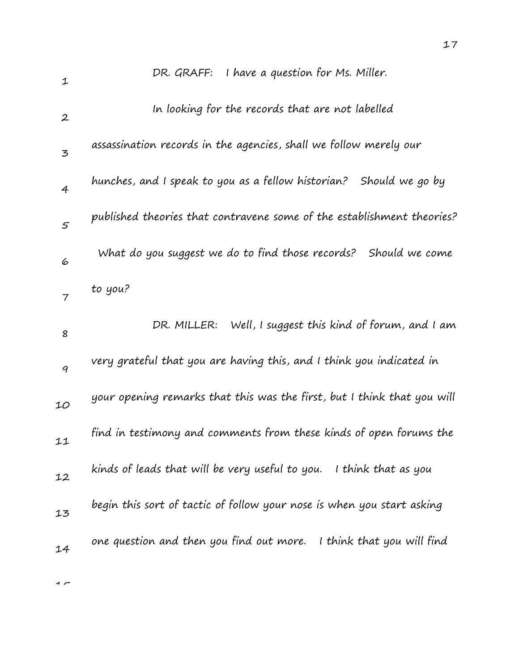| $\mathbf 1$      | DR. GRAFF: I have a question for Ms. Miller.                            |
|------------------|-------------------------------------------------------------------------|
| $\boldsymbol{2}$ | In looking for the records that are not labelled                        |
| 3                | assassination records in the agencies, shall we follow merely our       |
| $\overline{4}$   | hunches, and I speak to you as a fellow historian? Should we go by      |
| $\mathcal{S}$    | published theories that contravene some of the establishment theories?  |
| 6                | What do you suggest we do to find those records?<br>Should we come      |
| $\overline{7}$   | to you?                                                                 |
| 8                | Well, I suggest this kind of forum, and I am<br>DR. MILLER:             |
| 9                | very grateful that you are having this, and I think you indicated in    |
| 10               | your opening remarks that this was the first, but I think that you will |
| 11               | find in testimony and comments from these kinds of open forums the      |
| 12               | kinds of leads that will be very useful to you.<br>I think that as you  |
| 13               | begin this sort of tactic of follow your nose is when you start asking  |
| 14               | one question and then you find out more. I think that you will find     |
|                  |                                                                         |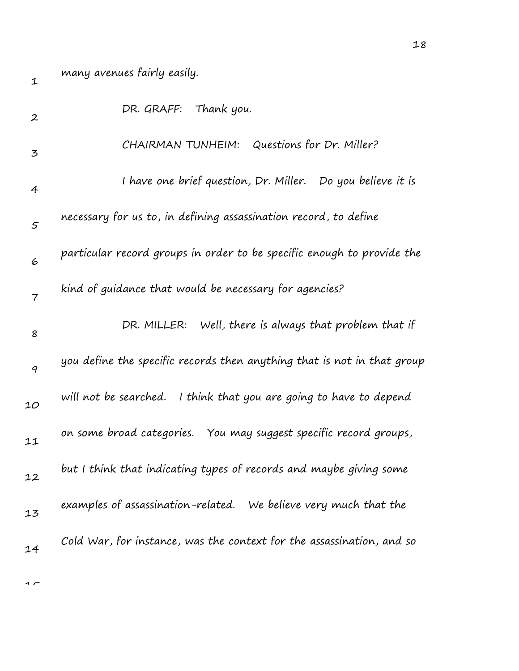many avenues fairly easily.

1

| $\boldsymbol{2}$ | DR. GRAFF: Thank you.                                                   |
|------------------|-------------------------------------------------------------------------|
| 3                | CHAIRMAN TUNHEIM: Questions for Dr. Miller?                             |
| 4                | I have one brief question, Dr. Miller. Do you believe it is             |
| 5                | necessary for us to, in defining assassination record, to define        |
| 6                | particular record groups in order to be specific enough to provide the  |
| $\overline{7}$   | kind of guidance that would be necessary for agencies?                  |
| 8                | DR. MILLER: Well, there is always that problem that if                  |
| 9                | you define the specific records then anything that is not in that group |
| 10               | will not be searched.<br>I think that you are going to have to depend   |
| 11               | on some broad categories. You may suggest specific record groups,       |
| 12               | but I think that indicating types of records and maybe giving some      |
| 13               | examples of assassination-related. We believe very much that the        |
| 14               | Cold War, for instance, was the context for the assassination, and so   |
|                  |                                                                         |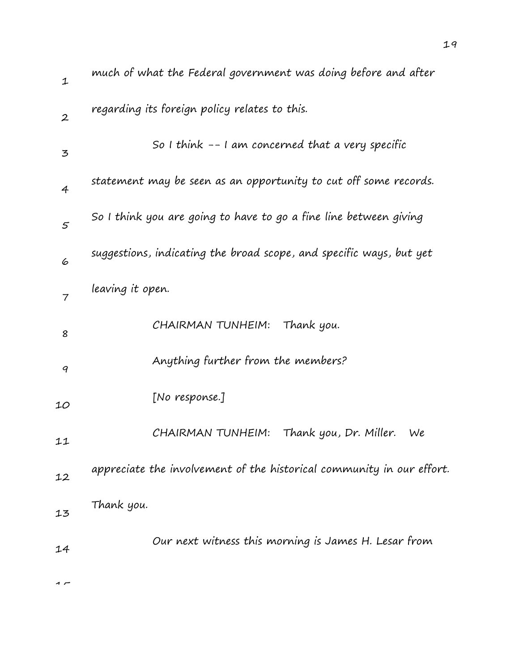| much of what the Federal government was doing before and after        |
|-----------------------------------------------------------------------|
| regarding its foreign policy relates to this.                         |
| So I think $-$ - I am concerned that a very specific                  |
| statement may be seen as an opportunity to cut off some records.      |
| So I think you are going to have to go a fine line between giving     |
| suggestions, indicating the broad scope, and specific ways, but yet   |
| leaving it open.                                                      |
| CHAIRMAN TUNHEIM: Thank you.                                          |
| Anything further from the members?                                    |
| [No response.]                                                        |
| Thank you, Dr. Miller.<br>CHAIRMAN TUNHEIM:<br>We                     |
| appreciate the involvement of the historical community in our effort. |
| Thank you.                                                            |
| Our next witness this morning is James H. Lesar from                  |
|                                                                       |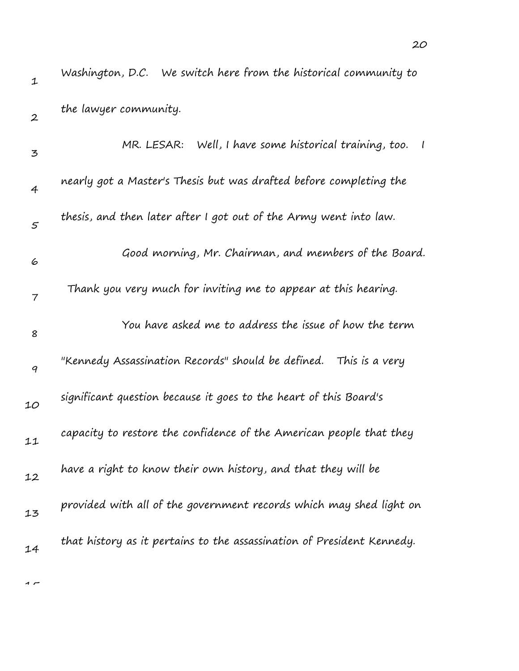| $\mathbf 1$      | Washington, D.C. We switch here from the historical community to       |
|------------------|------------------------------------------------------------------------|
| $\boldsymbol{2}$ | the lawyer community.                                                  |
| 3                | MR. LESAR: Well, I have some historical training, too.<br>$\perp$      |
| 4                | nearly got a Master's Thesis but was drafted before completing the     |
| $\mathfrak{s}$   | thesis, and then later after I got out of the Army went into law.      |
| 6                | Good morning, Mr. Chairman, and members of the Board.                  |
| 7                | Thank you very much for inviting me to appear at this hearing.         |
| 8                | You have asked me to address the issue of how the term                 |
| 9                | "Kennedy Assassination Records" should be defined.<br>This is a very   |
| 10               | significant question because it goes to the heart of this Board's      |
| 11               | capacity to restore the confidence of the American people that they    |
| 12               | have a right to know their own history, and that they will be          |
| 13               | provided with all of the government records which may shed light on    |
| 14               | that history as it pertains to the assassination of President Kennedy. |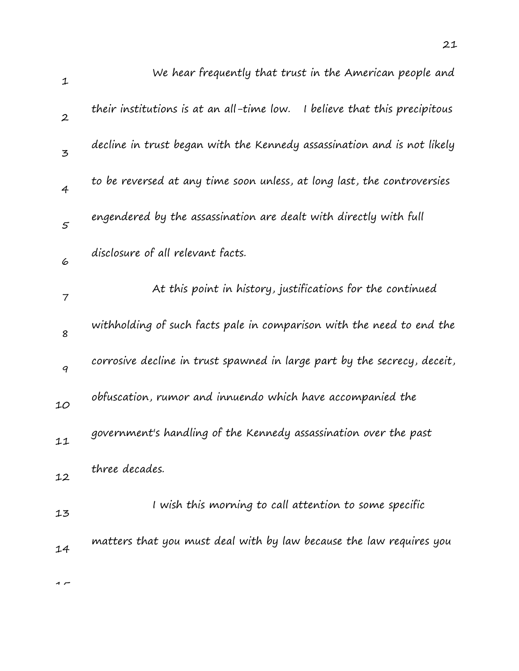| $\mathbf 1$       | We hear frequently that trust in the American people and                     |
|-------------------|------------------------------------------------------------------------------|
| $\boldsymbol{2}$  | their institutions is at an all-time low.<br>I believe that this precipitous |
| $\mathbf{z}$      | decline in trust began with the Kennedy assassination and is not likely      |
| $\overline{4}$    | to be reversed at any time soon unless, at long last, the controversies      |
| $\mathcal{F}_{0}$ | engendered by the assassination are dealt with directly with full            |
| 6                 | disclosure of all relevant facts.                                            |
| 7                 | At this point in history, justifications for the continued                   |
| 8                 | withholding of such facts pale in comparison with the need to end the        |
| 9                 | corrosive decline in trust spawned in large part by the secrecy, deceit,     |
| 10                | obfuscation, rumor and innuendo which have accompanied the                   |
| 11                | government's handling of the Kennedy assassination over the past             |
| 12                | three decades.                                                               |
| 13                | I wish this morning to call attention to some specific                       |
| 14                | matters that you must deal with by law because the law requires you          |
| 1 L               |                                                                              |

21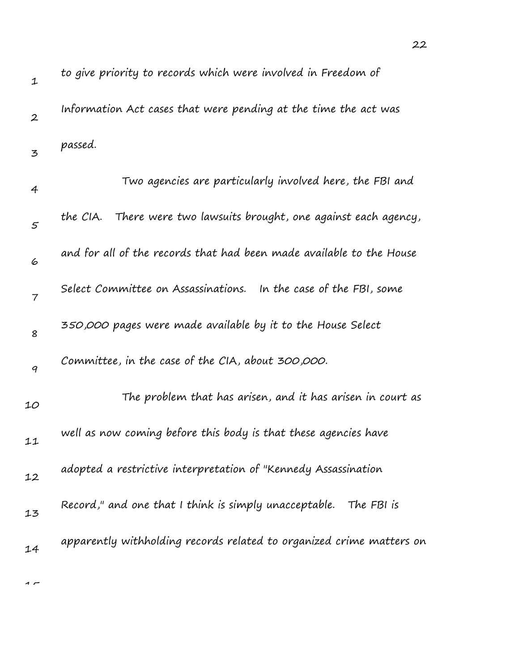| $\mathbf 1$      | to give priority to records which were involved in Freedom of         |
|------------------|-----------------------------------------------------------------------|
| $\boldsymbol{2}$ | Information Act cases that were pending at the time the act was       |
| 3                | passed.                                                               |
| $\overline{4}$   | Two agencies are particularly involved here, the FBI and              |
| 5                | There were two lawsuits brought, one against each agency,<br>the CIA. |
| 6                | and for all of the records that had been made available to the House  |
| 7                | Select Committee on Assassinations. In the case of the FBI, some      |
| 8                | 350,000 pages were made available by it to the House Select           |
| 9                | Committee, in the case of the CIA, about 300,000.                     |
| 10               | The problem that has arisen, and it has arisen in court as            |
| 11               | well as now coming before this body is that these agencies have       |
| 12               | adopted a restrictive interpretation of "Kennedy Assassination        |
| 13               | Record," and one that I think is simply unacceptable. The FBI is      |
| 14               | apparently withholding records related to organized crime matters on  |
|                  |                                                                       |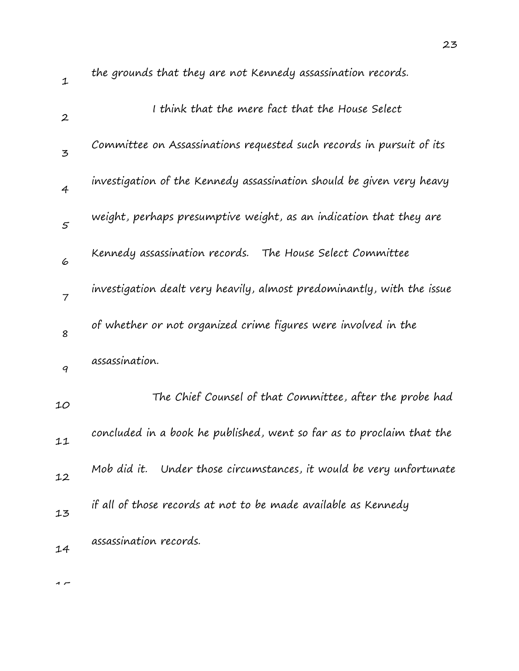| $\mathbf 1$      | the grounds that they are not Kenheag assassination records.           |
|------------------|------------------------------------------------------------------------|
| $\boldsymbol{2}$ | I think that the mere fact that the House Select                       |
| 3                | Committee on Assassinations requested such records in pursuit of its   |
| $\overline{4}$   | investigation of the Kennedy assassination should be given very heavy  |
| $\mathfrak{s}$   | weight, perhaps presumptive weight, as an indication that they are     |
| 6                | Kennedy assassination records.<br>The House Select Committee           |
| $\overline{7}$   | investigation dealt very heavily, almost predominantly, with the issue |
| 8                | of whether or not organized crime figures were involved in the         |
| 9                | assassination.                                                         |
| 10               | The Chief Counsel of that Committee, after the probe had               |
| 11               | concluded in a book he published, went so far as to proclaim that the  |
| 12               | Mob did it. Under those circumstances, it would be very unfortunate    |
| 13               | if all of those records at not to be made available as Kennedy         |
| 14               | assassination records.                                                 |

the grounds that they are not Kennedy assassination records.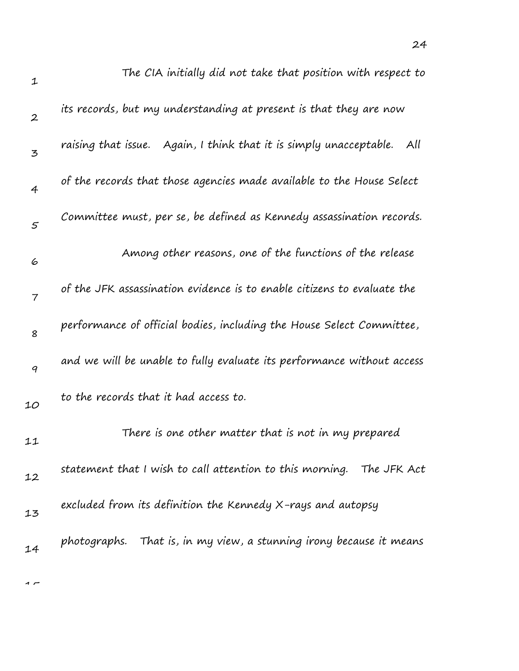| $\mathbf{1}$     | The CIA initially did not take that position with respect to              |
|------------------|---------------------------------------------------------------------------|
| $\boldsymbol{2}$ | its records, but my understanding at present is that they are now         |
| 3                | raising that issue. Again, I think that it is simply unacceptable.<br>All |
| $\overline{4}$   | of the records that those agencies made available to the House Select     |
| $\mathfrak{s}$   | Committee must, per se, be defined as Kennedy assassination records.      |
| 6                | Among other reasons, one of the functions of the release                  |
| $\overline{7}$   | of the JFK assassination evidence is to enable citizens to evaluate the   |
| 8                | performance of official bodies, including the House Select Committee,     |
| $\boldsymbol{q}$ | and we will be unable to fully evaluate its performance without access    |
| 10               | to the records that it had access to.                                     |
| 11               | There is one other matter that is not in my prepared                      |
| 12               | statement that I wish to call attention to this morning. The JFK Act      |
| 13               | excluded from its definition the Kennedy X-rays and autopsy               |
| 14               | photographs. That is, in my view, a stunning irony because it means       |
|                  |                                                                           |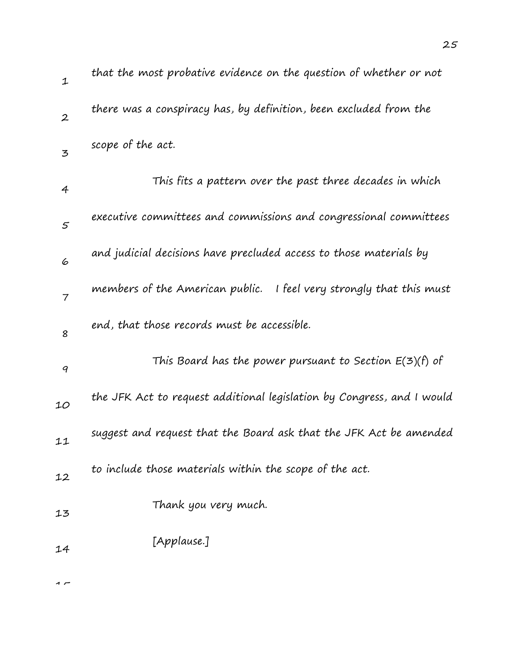| $\mathbf{1}$     | that the most probative evidence on the question of whether or not     |
|------------------|------------------------------------------------------------------------|
| $\boldsymbol{2}$ | there was a conspiracy has, by definition, been excluded from the      |
| $\mathbf{z}$     | scope of the act.                                                      |
| 4                | This fits a pattern over the past three decades in which               |
| 5                | executive committees and commissions and congressional committees      |
| 6                | and judicial decisions have precluded access to those materials by     |
| $\overline{7}$   | members of the American public. I feel very strongly that this must    |
| 8                | end, that those records must be accessible.                            |
| 9                | This Board has the power pursuant to Section $E(3)(f)$ of              |
| 10               | the JFK Act to request additional legislation by Congress, and I would |
| 11               | suggest and request that the Board ask that the JFK Act be amended     |
| 12               | to include those materials within the scope of the act.                |
| 13               | Thank you very much.                                                   |
| 14               | [Applause.]                                                            |
|                  |                                                                        |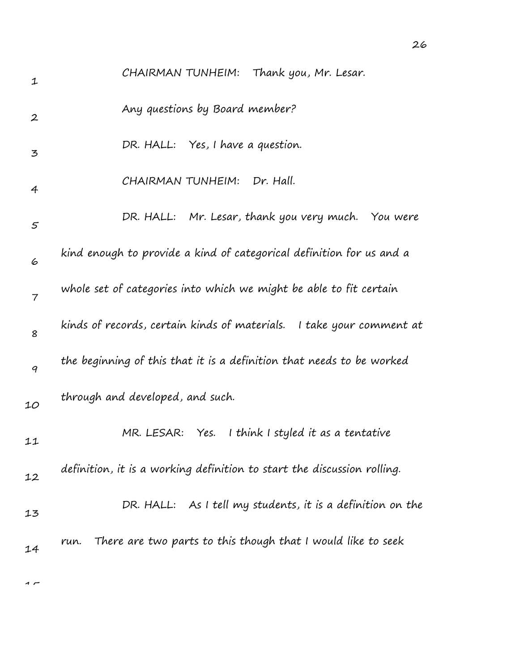| 1                | CHAIRMAN TUNHEIM: Thank you, Mr. Lesar.                                 |
|------------------|-------------------------------------------------------------------------|
| $\boldsymbol{2}$ | Any questions by Board member?                                          |
| 3                | DR. HALL: Yes, I have a question.                                       |
| $\overline{4}$   | CHAIRMAN TUNHEIM:<br>Dr. Hall.                                          |
| 5                | DR. HALL: Mr. Lesar, thank you very much. You were                      |
| 6                | kind enough to provide a kind of categorical definition for us and a    |
| $\overline{7}$   | whole set of categories into which we might be able to fit certain      |
| 8                | kinds of records, certain kinds of materials. I take your comment at    |
| $\boldsymbol{q}$ | the beginning of this that it is a definition that needs to be worked   |
| 10               | through and developed, and such.                                        |
| 11               | I think I styled it as a tentative<br>MR. LESAR:<br>Yes.                |
| 12               | definition, it is a working definition to start the discussion rolling. |
| 13               | DR. HALL: As I tell my students, it is a definition on the              |
| 14               | There are two parts to this though that I would like to seek<br>run.    |
|                  |                                                                         |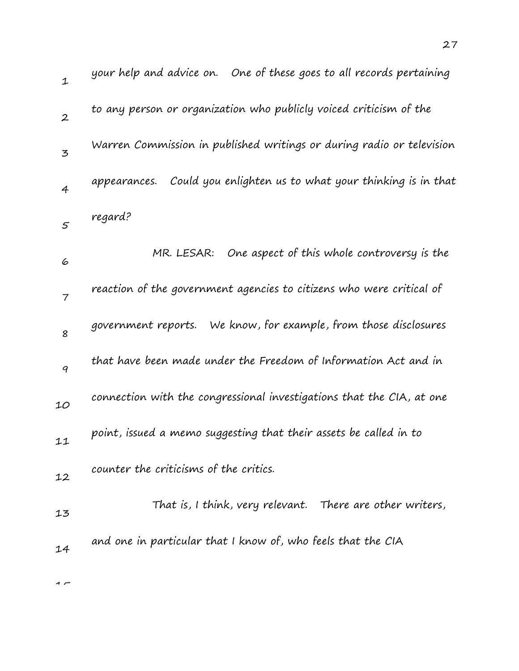| $\mathbf{1}$   | your help and advice on. One of these goes to all records pertaining    |
|----------------|-------------------------------------------------------------------------|
| $\overline{2}$ | to any person or organization who publicly voiced criticism of the      |
| 3              | Warren Commission in published writings or during radio or television   |
| $\overline{4}$ | Could you enlighten us to what your thinking is in that<br>appearances. |
| 5              | regard?                                                                 |
| 6              | MR. LESAR:<br>One aspect of this whole controversy is the               |
| $\overline{7}$ | reaction of the government agencies to citizens who were critical of    |
| 8              | We know, for example, from those disclosures<br>government reports.     |
| 9              | that have been made under the Freedom of Information Act and in         |
| 10             | connection with the congressional investigations that the CIA, at one   |
| 11             | point, issued a memo suggesting that their assets be called in to       |
| 12             | counter the criticisms of the critics.                                  |
| 13             | That is, I think, very relevant. There are other writers,               |
| 14             | and one in particular that I know of, who feels that the CIA            |
|                |                                                                         |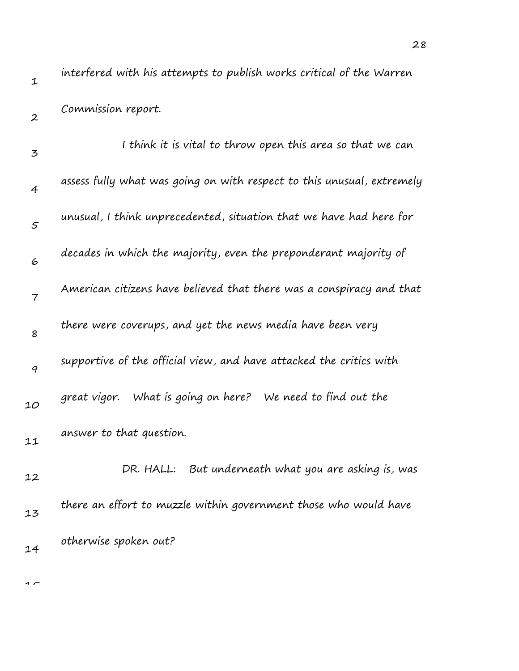1 2 3 4 5 6 7 8 9 10 11 12 13 14 interfered with his attempts to publish works critical of the Warren Commission report. I think it is vital to throw open this area so that we can assess fully what was going on with respect to this unusual, extremely unusual, I think unprecedented, situation that we have had here for decades in which the majority, even the preponderant majority of American citizens have believed that there was a conspiracy and that there were coverups, and yet the news media have been very supportive of the official view, and have attacked the critics with great vigor. What is going on here? We need to find out the answer to that question. DR. HALL: But underneath what you are asking is, was there an effort to muzzle within government those who would have otherwise spoken out?

1 –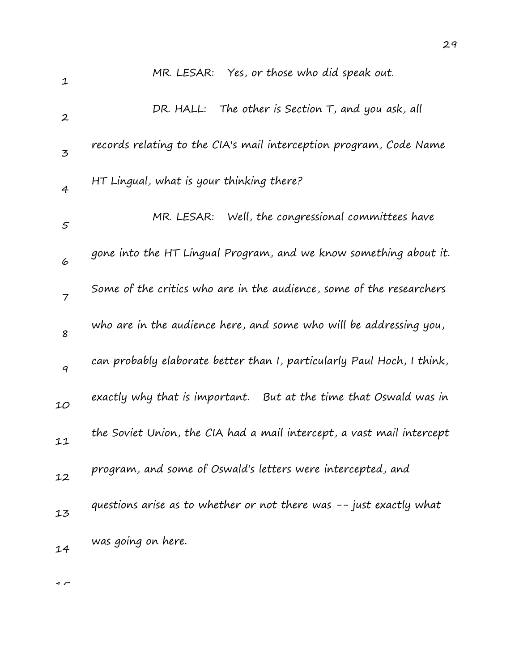| 1                | MR. LESAR: Yes, or those who did speak out.                            |
|------------------|------------------------------------------------------------------------|
| $\boldsymbol{2}$ | The other is Section T, and you ask, all<br>DR. HALL:                  |
| 3                | records relating to the CIA's mail interception program, Code Name     |
| $\overline{4}$   | HT Lingual, what is your thinking there?                               |
| $\varsigma$      | Well, the congressional committees have<br>MR. LESAR:                  |
| 6                | gone into the HT Lingual Program, and we know something about it.      |
| $\overline{7}$   | Some of the critics who are in the audience, some of the researchers   |
| 8                | who are in the audience here, and some who will be addressing you,     |
| 9                | can probably elaborate better than I, particularly Paul Hoch, I think, |
| 10               | exactly why that is important. But at the time that Oswald was in      |
| 11               | the Soviet Union, the CIA had a mail intercept, a vast mail intercept  |
| 12               | program, and some of Oswald's letters were intercepted, and            |
| 13               | questions arise as to whether or not there was -- just exactly what    |
| 14               | was going on here.                                                     |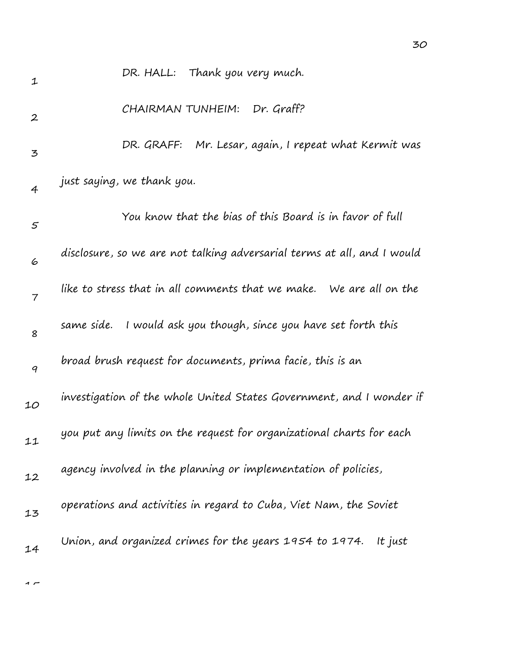| 1                | DR. HALL: Thank you very much.                                          |
|------------------|-------------------------------------------------------------------------|
| $\boldsymbol{2}$ | Dr. Graff?<br>CHAIRMAN TUNHEIM:                                         |
| 3                | DR. GRAFF: Mr. Lesar, again, I repeat what Kermit was                   |
| $\overline{4}$   | just saying, we thank you.                                              |
| 5                | You know that the bias of this Board is in favor of full                |
| 6                | disclosure, so we are not talking adversarial terms at all, and I would |
| 7                | like to stress that in all comments that we make. We are all on the     |
| 8                | same side. I would ask you though, since you have set forth this        |
| 9                | broad brush request for documents, prima facie, this is an              |
| 10               | investigation of the whole United States Government, and I wonder if    |
| 11               | you put any limits on the request for organizational charts for each    |
| 12               | agency involved in the planning or implementation of policies,          |
| 13               | operations and activities in regard to Cuba, Viet Nam, the Soviet       |
| 14               | Union, and organized crimes for the years 1954 to 1974.<br>It just      |
|                  |                                                                         |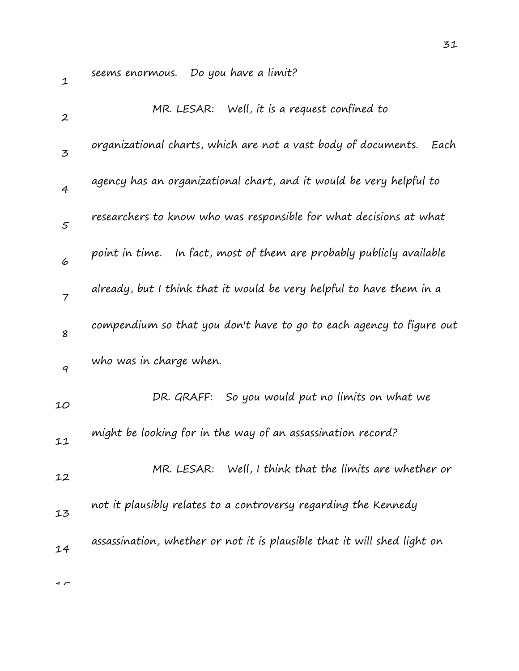seems enormous. Do you have a limit?

|                                  | MR. LESAR: Well, it is a request confined to                             |
|----------------------------------|--------------------------------------------------------------------------|
| $\boldsymbol{2}$<br>$\mathbf{z}$ | organizational charts, which are not a vast body of documents.<br>Each   |
| $\overline{4}$                   | agency has an organizational chart, and it would be very helpful to      |
| $\varsigma$                      | researchers to know who was responsible for what decisions at what       |
| 6                                | point in time. In fact, most of them are probably publicly available     |
| $\overline{7}$                   | already, but I think that it would be very helpful to have them in a     |
| 8                                | compendium so that you don't have to go to each agency to figure out     |
| 9                                | who was in charge when.                                                  |
| 10                               | So you would put no limits on what we<br>DR. GRAFF:                      |
| 11                               | might be looking for in the way of an assassination record?              |
| 12                               | MR. LESAR: Well, I think that the limits are whether or                  |
| 13                               | not it plausibly relates to a controversy regarding the Kennedy          |
| 14                               | assassination, whether or not it is plausible that it will shed light on |
|                                  |                                                                          |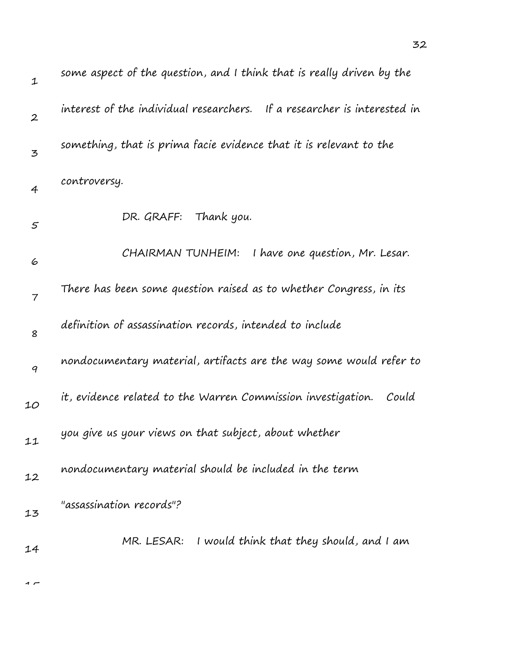| $\mathbf 1$      | some aspect of the question, and I think that is really driven by the    |
|------------------|--------------------------------------------------------------------------|
| $\boldsymbol{2}$ | interest of the individual researchers. If a researcher is interested in |
| 3                | something, that is prima facie evidence that it is relevant to the       |
| $\overline{4}$   | controversy.                                                             |
| 5                | Thank you.<br>DR. GRAFF:                                                 |
| 6                | I have one question, Mr. Lesar.<br>CHAIRMAN TUNHEIM:                     |
| 7                | There has been some question raised as to whether Congress, in its       |
| 8                | definition of assassination records, intended to include                 |
| $\boldsymbol{q}$ | nondocumentary material, artifacts are the way some would refer to       |
| 10               | it, evidence related to the Warren Commission investigation.<br>Could    |
| 11               | you give us your views on that subject, about whether                    |
| 12               | nondocumentary material should be included in the term                   |
| 13               | "assassination records"?                                                 |
| 14               | MR. LESAR: I would think that they should, and I am                      |
|                  |                                                                          |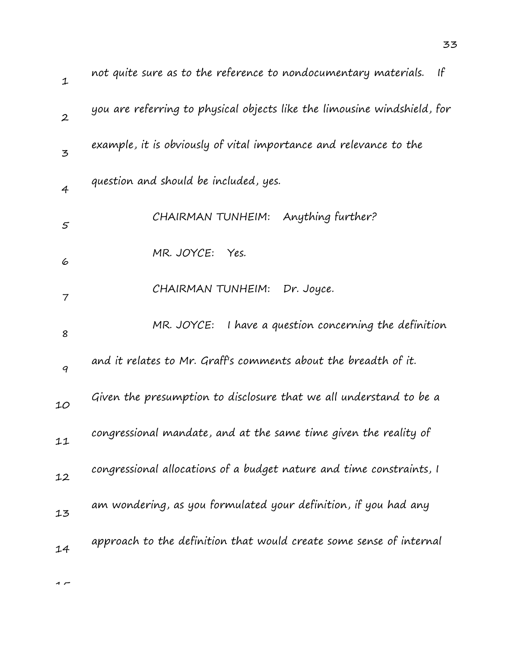| $\mathbf{1}$   | not quite sure as to the reference to nondocumentary materials.<br>If    |
|----------------|--------------------------------------------------------------------------|
| $\overline{2}$ | you are referring to physical objects like the limousine windshield, for |
| $\mathbf{z}$   | example, it is obviously of vital importance and relevance to the        |
| $\overline{4}$ | question and should be included, yes.                                    |
| $\varsigma$    | CHAIRMAN TUNHEIM: Anything further?                                      |
| 6              | MR. JOYCE:<br>Yes.                                                       |
| 7              | CHAIRMAN TUNHEIM:<br>Dr. Joyce.                                          |
| 8              | MR. JOYCE: I have a question concerning the definition                   |
| 9              | and it relates to Mr. Graff's comments about the breadth of it.          |
| 10             | Given the presumption to disclosure that we all understand to be a       |
| 11             | congressional mandate, and at the same time given the reality of         |
| 12             | congressional allocations of a budget nature and time constraints, I     |
| 13             | am wondering, as you formulated your definition, if you had any          |
| 14             | approach to the definition that would create some sense of internal      |
|                |                                                                          |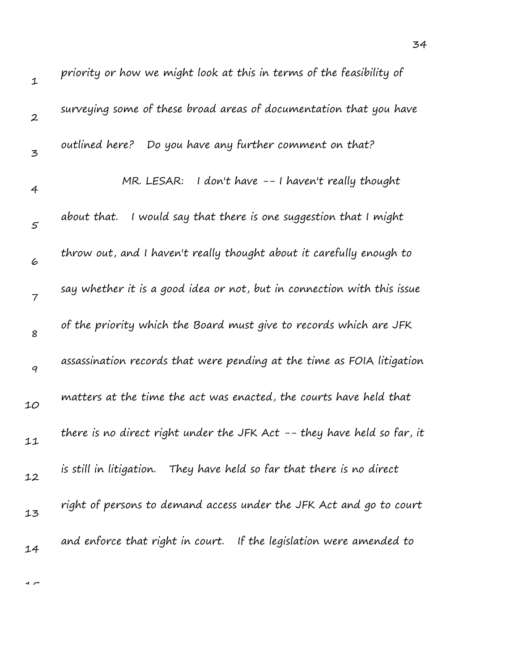| $\mathbf 1$      | priority or how we might look at this in terms of the feasibility of    |
|------------------|-------------------------------------------------------------------------|
| $\boldsymbol{2}$ | surveying some of these broad areas of documentation that you have      |
| 3                | Do you have any further comment on that?<br>outlined here?              |
| $\overline{4}$   | I don't have -- I haven't really thought<br>MR. LESAR:                  |
| $\mathfrak{s}$   | I would say that there is one suggestion that I might<br>about that.    |
| 6                | throw out, and I haven't really thought about it carefully enough to    |
| $\overline{7}$   | say whether it is a good idea or not, but in connection with this issue |
| 8                | of the priority which the Board must give to records which are JFK      |
| $\boldsymbol{q}$ | assassination records that were pending at the time as FOIA litigation  |
| 10               | matters at the time the act was enacted, the courts have held that      |
| 11               | there is no direct right under the JFK Act -- they have held so far, it |
| 12               | is still in litigation. They have held so far that there is no direct   |
| 13               | right of persons to demand access under the JFK Act and go to court     |
| 14               | and enforce that right in court. If the legislation were amended to     |
|                  |                                                                         |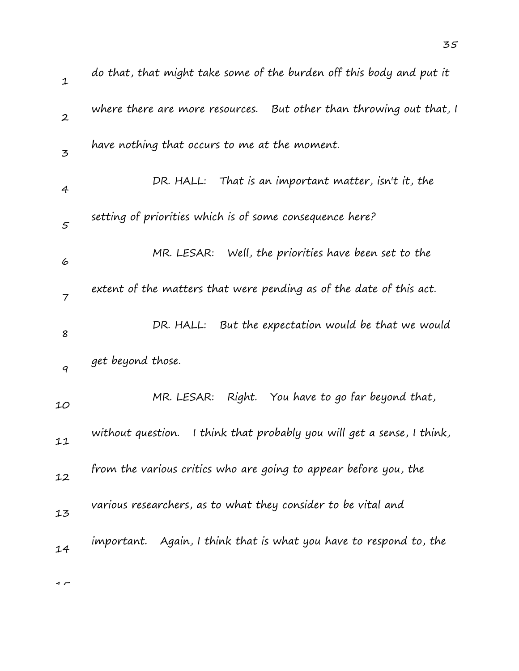| $\mathbf 1$      | do that, that might take some of the burden off this body and put it      |
|------------------|---------------------------------------------------------------------------|
| $\boldsymbol{2}$ | where there are more resources. But other than throwing out that, I       |
| $\mathbf{z}$     | have nothing that occurs to me at the moment.                             |
| $\overline{4}$   | DR. HALL: That is an important matter, isn't it, the                      |
| 5                | setting of priorities which is of some consequence here?                  |
| 6                | Well, the priorities have been set to the<br>MR. LESAR:                   |
| $\overline{7}$   | extent of the matters that were pending as of the date of this act.       |
| 8                | DR. HALL: But the expectation would be that we would                      |
| 9                | get beyond those.                                                         |
| 10               | Right. You have to go far beyond that,<br>MR. LESAR:                      |
| 11               | I think that probably you will get a sense, I think,<br>without question. |
| 12               | from the various critics who are going to appear before you, the          |
| 13               | various researchers, as to what they consider to be vital and             |
| 14               | important. Again, I think that is what you have to respond to, the        |
|                  |                                                                           |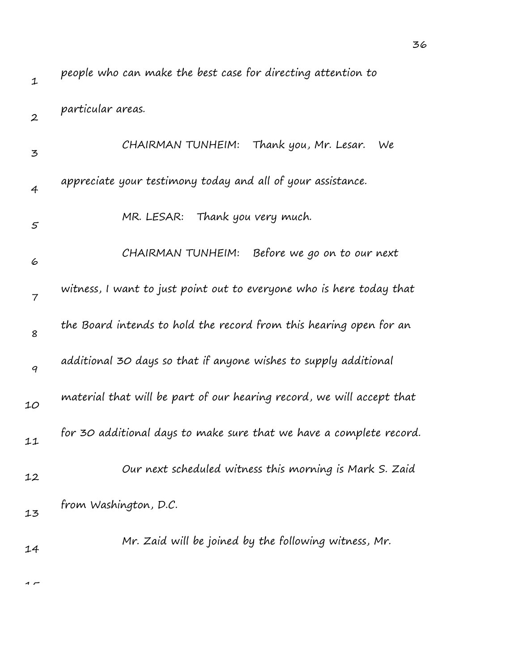| 1                | people who can make the best case for directing attention to          |
|------------------|-----------------------------------------------------------------------|
| $\boldsymbol{2}$ | particular areas.                                                     |
| 3                | Thank you, Mr. Lesar.<br>CHAIRMAN TUNHEIM:<br>We                      |
| $\overline{4}$   | appreciate your testimony today and all of your assistance.           |
| $\varsigma$      | MR. LESAR:<br>Thank you very much.                                    |
| 6                | CHAIRMAN TUNHEIM: Before we go on to our next                         |
| 7                | witness, I want to just point out to everyone who is here today that  |
| 8                | the Board intends to hold the record from this hearing open for an    |
| 9                | additional 30 days so that if anyone wishes to supply additional      |
| 10               | material that will be part of our hearing record, we will accept that |
| 11               | for 30 additional days to make sure that we have a complete record.   |
| 12               | Our next scheduled witness this morning is Mark S. Zaid               |
| 13               | from Washington, D.C.                                                 |
| 14               | Mr. Zaid will be joined by the following witness, Mr.                 |

36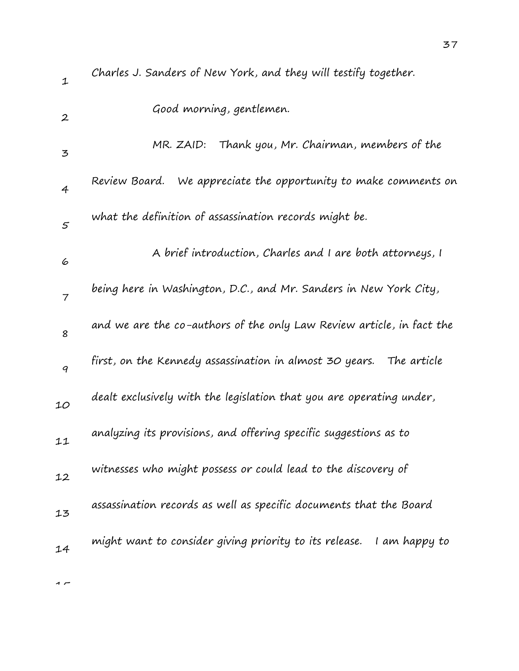| $\mathbf 1$      | Charles J. Sanders of New York, and they will testify together.       |
|------------------|-----------------------------------------------------------------------|
| $\boldsymbol{2}$ | Good morning, gentlemen.                                              |
| 3                | Thank you, Mr. Chairman, members of the<br>MR. ZAID:                  |
| $\overline{4}$   | We appreciate the opportunity to make comments on<br>Review Board.    |
| 5                | what the definition of assassination records might be.                |
| 6                | A brief introduction, Charles and I are both attorneys, I             |
| $\overline{7}$   | being here in Washington, D.C., and Mr. Sanders in New York City,     |
| 8                | and we are the co-authors of the only Law Review article, in fact the |
| 9                | first, on the Kennedy assassination in almost 30 years. The article   |
| 10               | dealt exclusively with the legislation that you are operating under,  |
| 11               | analyzing its provisions, and offering specific suggestions as to     |
| 12               | witnesses who might possess or could lead to the discovery of         |
| 13               | assassination records as well as specific documents that the Board    |
| 14               | might want to consider giving priority to its release. I am happy to  |
|                  |                                                                       |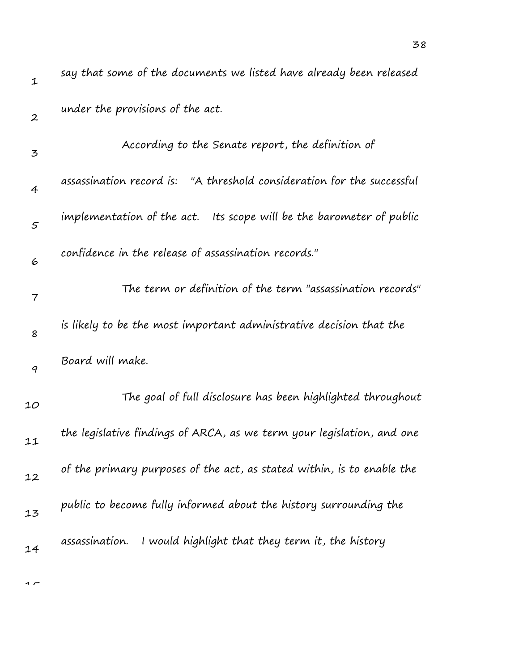| $\mathbf 1$      | say that some of the documents we listed have already been released    |
|------------------|------------------------------------------------------------------------|
| $\boldsymbol{2}$ | under the provisions of the act.                                       |
| 3                | According to the Senate report, the definition of                      |
| $\overline{4}$   | assassination record is: "A threshold consideration for the successful |
| 5                | implementation of the act. Its scope will be the barometer of public   |
| 6                | confidence in the release of assassination records."                   |
| 7                | The term or definition of the term "assassination records"             |
| 8                | is likely to be the most important administrative decision that the    |
| 9                | Board will make.                                                       |
| 10               | The goal of full disclosure has been highlighted throughout            |
| 11               | the legislative findings of ARCA, as we term your legislation, and one |
| 12               | of the primary purposes of the act, as stated within, is to enable the |
| 13               | public to become fully informed about the history surrounding the      |
| 14               | assassination.<br>I would highlight that they term it, the history     |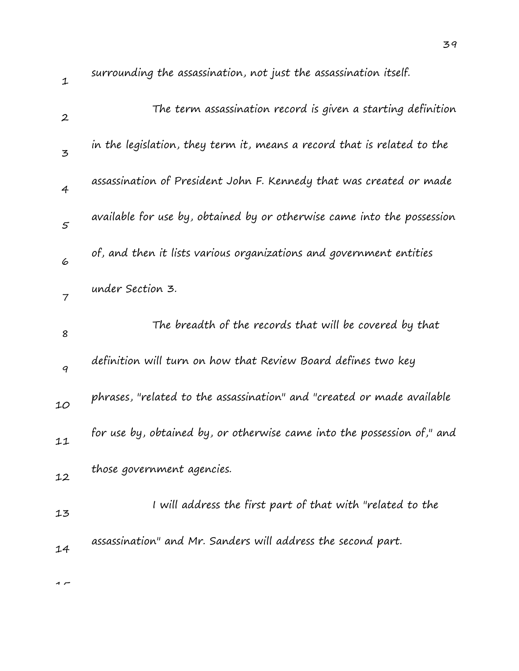| 1                | surrounding the assassination, not just the assassination itself.       |
|------------------|-------------------------------------------------------------------------|
| $\boldsymbol{2}$ | The term assassination record is given a starting definition            |
| $\mathbf{z}$     | in the legislation, they term it, means a record that is related to the |
| $\overline{4}$   | assassination of President John F. Kennedy that was created or made     |
| $\mathfrak{s}$   | available for use by, obtained by or otherwise came into the possession |
| 6                | of, and then it lists various organizations and government entities     |
| $\overline{7}$   | under Section 3.                                                        |
| 8                | The breadth of the records that will be covered by that                 |
| 9                | definition will turn on how that Review Board defines two key           |
| 10               | phrases, "related to the assassination" and "created or made available  |
| 11               | for use by, obtained by, or otherwise came into the possession of," and |
| 12               | those government agencies.                                              |
| 13               | I will address the first part of that with "related to the              |
| 14               | assassination" and Mr. Sanders will address the second part.            |
|                  |                                                                         |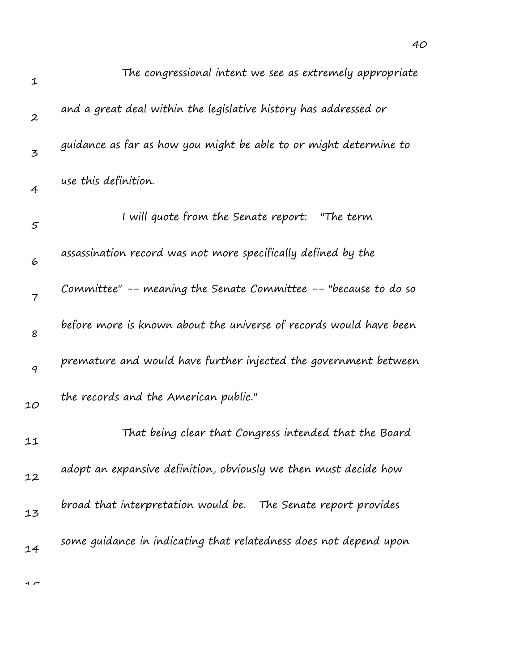| 1                | The congressional intent we see as extremely appropriate           |
|------------------|--------------------------------------------------------------------|
| $\boldsymbol{2}$ | and a great deal within the legislative history has addressed or   |
| 3                | guidance as far as how you might be able to or might determine to  |
| $\overline{4}$   | use this definition.                                               |
| 5                | I will quote from the Senate report: "The term                     |
| 6                | assassination record was not more specifically defined by the      |
| $\overline{7}$   | Committee" -- meaning the Senate Committee -- "because to do so    |
| 8                | before more is known about the universe of records would have been |
| $\boldsymbol{q}$ | premature and would have further injected the government between   |
| 10               | the records and the American public."                              |
| 11               | That being clear that Congress intended that the Board             |
| 12               | adopt an expansive definition, obviously we then must decide how   |
| 13               | broad that interpretation would be.<br>The Senate report provides  |
| 14               | some guidance in indicating that relatedness does not depend upon  |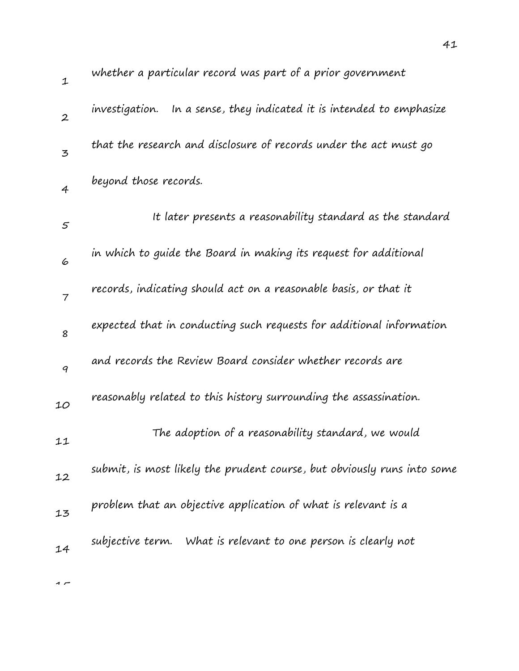| $\mathbf 1$      | whether a particular record was part of a prior government               |
|------------------|--------------------------------------------------------------------------|
| $\boldsymbol{2}$ | In a sense, they indicated it is intended to emphasize<br>investigation. |
| 3                | that the research and disclosure of records under the act must go        |
| $\overline{4}$   | beyond those records.                                                    |
| 5                | It later presents a reasonability standard as the standard               |
| 6                | in which to guide the Board in making its request for additional         |
| $\overline{7}$   | records, indicating should act on a reasonable basis, or that it         |
| 8                | expected that in conducting such requests for additional information     |
| 9                | and records the Review Board consider whether records are                |
| 10               | reasonably related to this history surrounding the assassination.        |
| 11               | The adoption of a reasonability standard, we would                       |
| 12               | submit, is most likely the prudent course, but obviously runs into some  |
| 13               | problem that an objective application of what is relevant is a           |
| 14               | subjective term. What is relevant to one person is clearly not           |
|                  |                                                                          |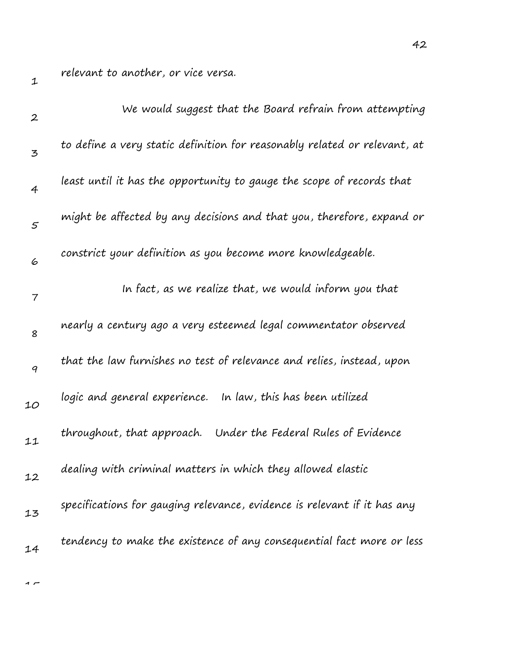relevant to another, or vice versa.

| $\boldsymbol{2}$ | We would suggest that the Board refrain from attempting                   |
|------------------|---------------------------------------------------------------------------|
| 3                | to define a very static definition for reasonably related or relevant, at |
| 4                | least until it has the opportunity to gauge the scope of records that     |
| $\varsigma$      | might be affected by any decisions and that you, therefore, expand or     |
| 6                | constrict your definition as you become more knowledgeable.               |
| 7                | In fact, as we realize that, we would inform you that                     |
| 8                | nearly a century ago a very esteemed legal commentator observed           |
| 9                | that the law furnishes no test of relevance and relies, instead, upon     |
| 10               | logic and general experience. In law, this has been utilized              |
| 11               | throughout, that approach. Under the Federal Rules of Evidence            |
| 12               | dealing with criminal matters in which they allowed elastic               |
| 13               | specifications for gauging relevance, evidence is relevant if it has any  |
| 14               | tendency to make the existence of any consequential fact more or less     |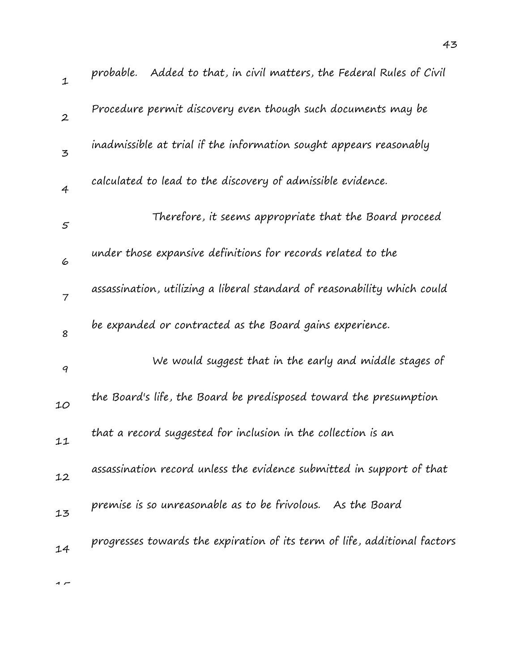| $\mathbf 1$      | probable. Added to that, in civil matters, the Federal Rules of Civil     |
|------------------|---------------------------------------------------------------------------|
| $\boldsymbol{2}$ | Procedure permit discovery even though such documents may be              |
| $\mathbf{z}$     | inadmissible at trial if the information sought appears reasonably        |
| $\overline{4}$   | calculated to lead to the discovery of admissible evidence.               |
| $\varsigma$      | Therefore, it seems appropriate that the Board proceed                    |
| 6                | under those expansive definitions for records related to the              |
| $\overline{7}$   | assassination, utilizing a liberal standard of reasonability which could  |
| 8                | be expanded or contracted as the Board gains experience.                  |
| 9                | We would suggest that in the early and middle stages of                   |
| 10               | the Board's life, the Board be predisposed toward the presumption         |
| 11               | that a record suggested for inclusion in the collection is an             |
| 12               | assassination record unless the evidence submitted in support of that     |
| 13               | premise is so unreasonable as to be frivolous. As the Board               |
| 14               | progresses towards the expiration of its term of life, additional factors |
|                  |                                                                           |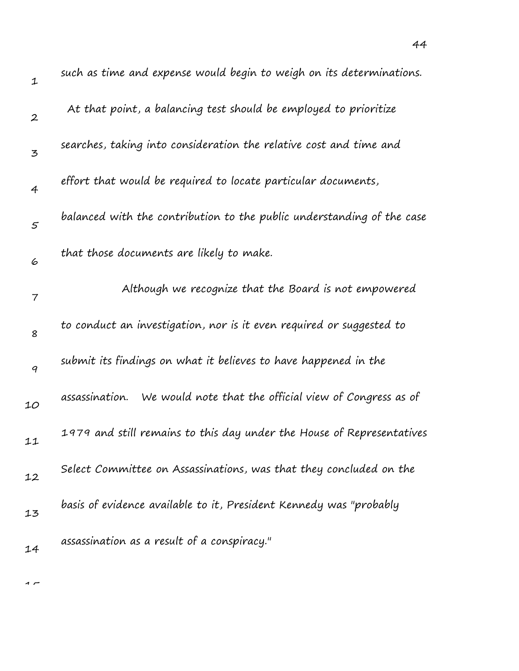| $\mathbf 1$      | such as time and expense would begin to weigh on its determinations.     |
|------------------|--------------------------------------------------------------------------|
| $\boldsymbol{2}$ | At that point, a balancing test should be employed to prioritize         |
| 3                | searches, taking into consideration the relative cost and time and       |
| $\overline{4}$   | effort that would be required to locate particular documents,            |
| 5                | balanced with the contribution to the public understanding of the case   |
| 6                | that those documents are likely to make.                                 |
| 7                | Although we recognize that the Board is not empowered                    |
| 8                | to conduct an investigation, nor is it even required or suggested to     |
| 9                | submit its findings on what it believes to have happened in the          |
| 10               | We would note that the official view of Congress as of<br>assassination. |
| 11               | 1979 and still remains to this day under the House of Representatives    |
| 12               | Select Committee on Assassinations, was that they concluded on the       |
| 13               | basis of evidence available to it, President Kennedy was "probably       |
| 14               | assassination as a result of a conspiracy."                              |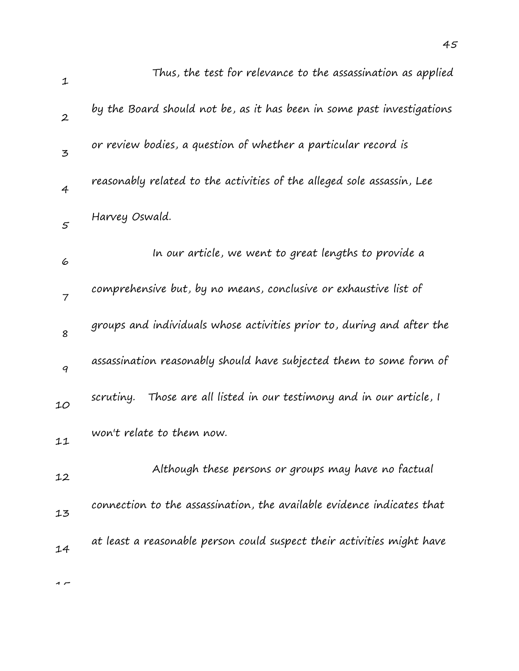| $\mathbf 1$      | Thus, the test for relevance to the assassination as applied             |
|------------------|--------------------------------------------------------------------------|
| $\boldsymbol{2}$ | by the Board should not be, as it has been in some past investigations   |
| 3                | or review bodies, a question of whether a particular record is           |
| $\overline{4}$   | reasonably related to the activities of the alleged sole assassin, Lee   |
| 5                | Harvey Oswald.                                                           |
| 6                | In our article, we went to great lengths to provide a                    |
| $\overline{7}$   | comprehensive but, by no means, conclusive or exhaustive list of         |
| 8                | groups and individuals whose activities prior to, during and after the   |
| 9                | assassination reasonably should have subjected them to some form of      |
| 10               | Those are all listed in our testimony and in our article, I<br>scrutiny. |
| 11               | won't relate to them now.                                                |
| 12               | Although these persons or groups may have no factual                     |
| 13               | connection to the assassination, the available evidence indicates that   |
| 14               | at least a reasonable person could suspect their activities might have   |
|                  |                                                                          |

 $\overline{1}$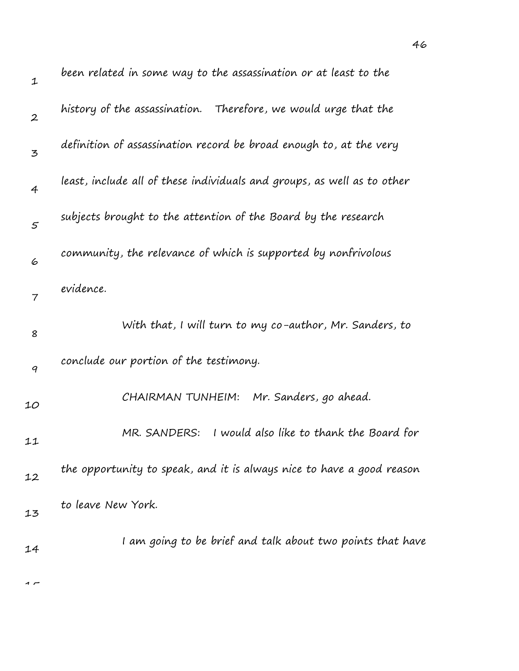| $\mathbf{1}$     | been related in some way to the assassination or at least to the        |
|------------------|-------------------------------------------------------------------------|
| $\boldsymbol{2}$ | history of the assassination. Therefore, we would urge that the         |
| 3                | definition of assassination record be broad enough to, at the very      |
| $\overline{4}$   | least, include all of these individuals and groups, as well as to other |
| $\mathcal{S}$    | subjects brought to the attention of the Board by the research          |
| 6                | community, the relevance of which is supported by nonfrivolous          |
| $\overline{7}$   | evidence.                                                               |
| 8                | With that, I will turn to my co-author, Mr. Sanders, to                 |
| 9                | conclude our portion of the testimony.                                  |
| 10               | Mr. Sanders, go ahead.<br>CHAIRMAN TUNHEIM:                             |
| 11               | I would also like to thank the Board for<br>MR. SANDERS:                |
| 12               | the opportunity to speak, and it is always nice to have a good reason   |
| 13               | to leave New York.                                                      |
| 14               | I am going to be brief and talk about two points that have              |
|                  |                                                                         |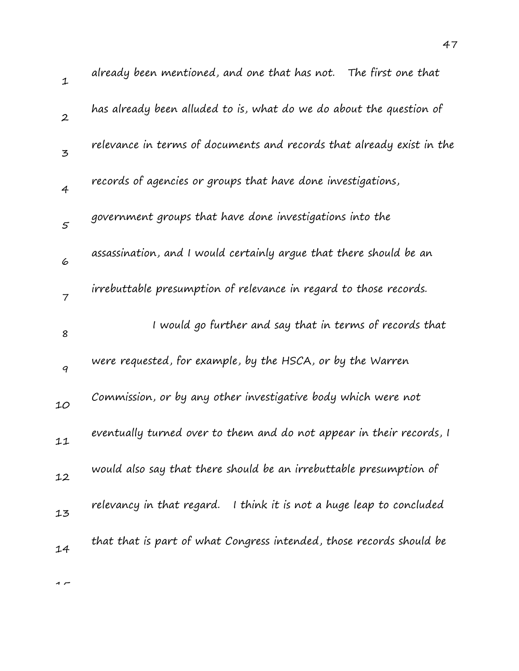| $\mathbf 1$      | already been mentioned, and one that has not.<br>The first one that     |
|------------------|-------------------------------------------------------------------------|
| $\boldsymbol{2}$ | has already been alluded to is, what do we do about the question of     |
| 3                | relevance in terms of documents and records that already exist in the   |
| $\overline{4}$   | records of agencies or groups that have done investigations,            |
| 5                | government groups that have done investigations into the                |
| 6                | assassination, and I would certainly argue that there should be an      |
| $\overline{7}$   | irrebuttable presumption of relevance in regard to those records.       |
| 8                | I would go further and say that in terms of records that                |
| 9                | were requested, for example, by the HSCA, or by the Warren              |
| 10               | Commission, or by any other investigative body which were not           |
| 11               | eventually turned over to them and do not appear in their records, I    |
| 12               | would also say that there should be an irrebuttable presumption of      |
| 13               | relevancy in that regard.<br>I think it is not a huge leap to concluded |
| 14               | that that is part of what Congress intended, those records should be    |
|                  |                                                                         |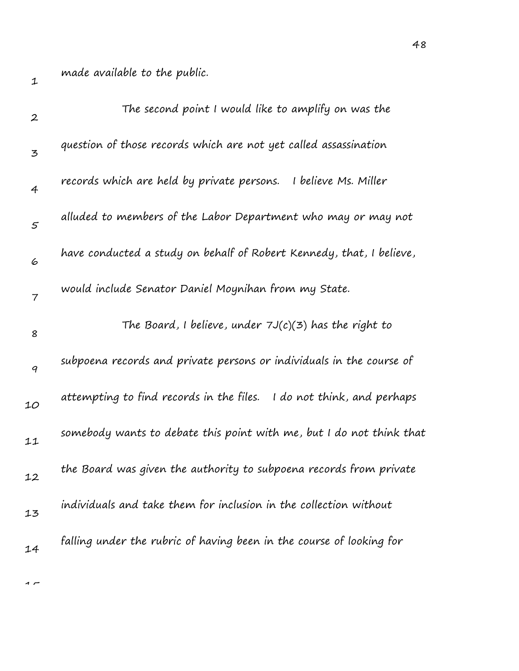made available to the public.

| $\boldsymbol{2}$ | The second point I would like to amplify on was the                     |
|------------------|-------------------------------------------------------------------------|
| 3                | question of those records which are not yet called assassination        |
| 4                | records which are held by private persons.<br>I believe Ms. Miller      |
| $\mathcal{S}$    | alluded to members of the Labor Department who may or may not           |
| 6                | have conducted a study on behalf of Robert Kennedy, that, I believe,    |
| $\overline{7}$   | would include Senator Daniel Moynihan from my State.                    |
| 8                | The Board, I believe, under $7J(c)(3)$ has the right to                 |
| 9                | subpoena records and private persons or individuals in the course of    |
| 10               | attempting to find records in the files.<br>I do not think, and perhaps |
| 11               | somebody wants to debate this point with me, but I do not think that    |
| 12               | the Board was given the authority to subpoena records from private      |
| 13               | individuals and take them for inclusion in the collection without       |
| 14               | falling under the rubric of having been in the course of looking for    |
|                  |                                                                         |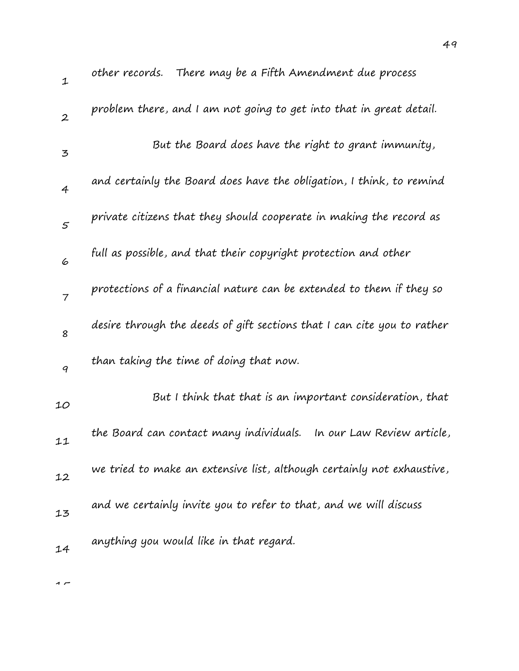| $\mathbf{1}$   | other records. There may be a Fifth Amendment due process               |
|----------------|-------------------------------------------------------------------------|
| $\overline{2}$ | problem there, and I am not going to get into that in great detail.     |
| 3              | But the Board does have the right to grant immunity,                    |
| $\overline{4}$ | and certainly the Board does have the obligation, I think, to remind    |
| 5              | private citizens that they should cooperate in making the record as     |
| 6              | full as possible, and that their copyright protection and other         |
| $\overline{7}$ | protections of a financial nature can be extended to them if they so    |
| 8              | desire through the deeds of gift sections that I can cite you to rather |
| 9              | than taking the time of doing that now.                                 |
| 10             | But I think that that is an important consideration, that               |
| 11             | the Board can contact many individuals.<br>In our Law Review article,   |
| 12             | we tried to make an extensive list, although certainly not exhaustive,  |
| 13             | and we certainly invite you to refer to that, and we will discuss       |
| 14             | anything you would like in that regard.                                 |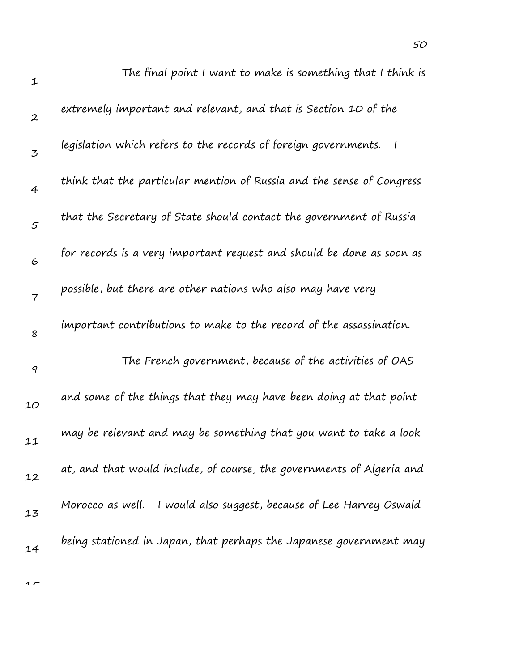| $\mathbf{1}$     | The final point I want to make is something that I think is            |
|------------------|------------------------------------------------------------------------|
| $\boldsymbol{2}$ | extremely important and relevant, and that is Section 10 of the        |
| 3                | legislation which refers to the records of foreign governments.        |
| $\overline{4}$   | think that the particular mention of Russia and the sense of Congress  |
| $\mathfrak{s}$   | that the Secretary of State should contact the government of Russia    |
| 6                | for records is a very important request and should be done as soon as  |
| $\overline{7}$   | possible, but there are other nations who also may have very           |
| 8                | important contributions to make to the record of the assassination.    |
| $\boldsymbol{q}$ | The French government, because of the activities of OAS                |
| 10               | and some of the things that they may have been doing at that point     |
| 11               | may be relevant and may be something that you want to take a look      |
| 12               | at, and that would include, of course, the governments of Algeria and  |
| 13               | I would also suggest, because of Lee Harvey Oswald<br>Morocco as well. |
| 14               | being stationed in Japan, that perhaps the Japanese government may     |
|                  |                                                                        |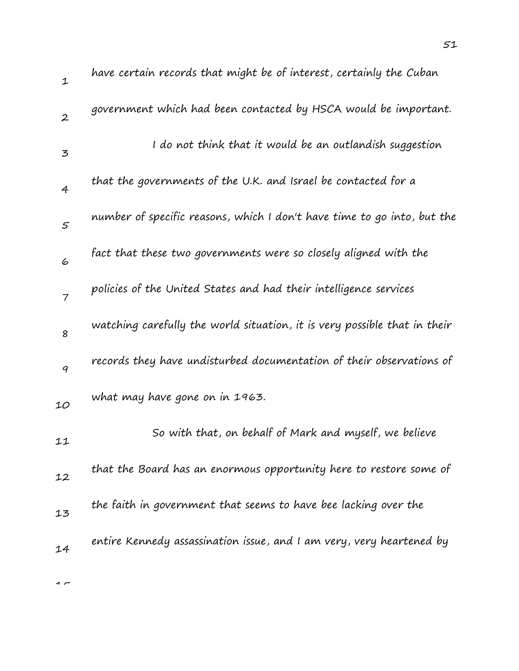| $\mathbf{1}$     | have certain records that might be of interest, certainly the Cuban       |
|------------------|---------------------------------------------------------------------------|
| $\boldsymbol{2}$ | government which had been contacted by HSCA would be important.           |
| $\mathbf{z}$     | I do not think that it would be an outlandish suggestion                  |
| $\overline{4}$   | that the governments of the U.K. and Israel be contacted for a            |
| 5                | number of specific reasons, which I don't have time to go into, but the   |
| 6                | fact that these two governments were so closely aligned with the          |
| $\overline{7}$   | policies of the United States and had their intelligence services         |
| 8                | watching carefully the world situation, it is very possible that in their |
| 9                | records they have undisturbed documentation of their observations of      |
| 10               | what may have gone on in 1963.                                            |
| 11               | So with that, on behalf of Mark and myself, we believe                    |
| 12               | that the Board has an enormous opportunity here to restore some of        |
| 13               | the faith in government that seems to have bee lacking over the           |
| 14               | entire Kennedy assassination issue, and I am very, very heartened by      |
|                  |                                                                           |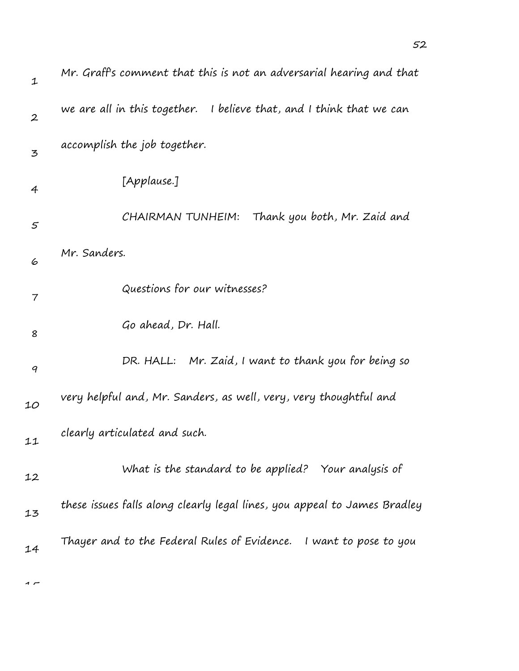| 1              | Mr. Graff's comment that this is not an adversarial hearing and that      |
|----------------|---------------------------------------------------------------------------|
| $\overline{2}$ | we are all in this together. I believe that, and I think that we can      |
| 3              | accomplish the job together.                                              |
| 4              | [Applause.]                                                               |
| 5              | Thank you both, Mr. Zaid and<br>CHAIRMAN TUNHEIM:                         |
| 6              | Mr. Sanders.                                                              |
| $\overline{7}$ | Questions for our witnesses?                                              |
| 8              | Go ahead, Dr. Hall.                                                       |
| 9              | Mr. Zaid, I want to thank you for being so<br>DR. HALL:                   |
| 10             | very helpful and, Mr. Sanders, as well, very, very thoughtful and         |
| 11             | clearly articulated and such.                                             |
| 12             | What is the standard to be applied? Your analysis of                      |
| 13             | these issues falls along clearly legal lines, you appeal to James Bradley |
| 14             | Thayer and to the Federal Rules of Evidence. I want to pose to you        |
|                |                                                                           |

 $\overline{1}$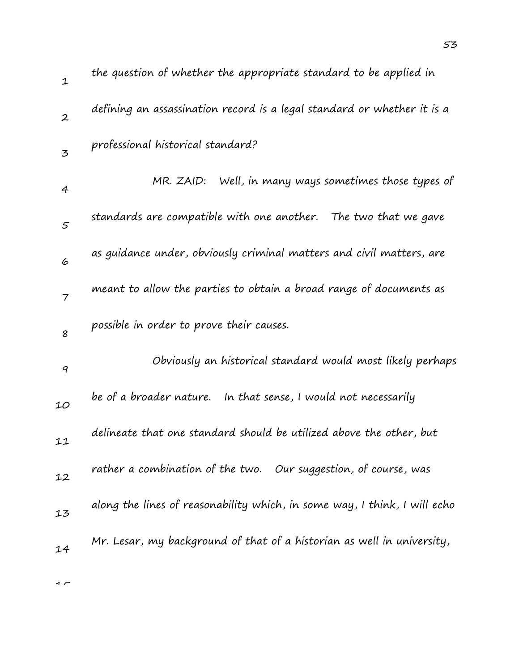| $\mathbf{1}$   | the question of whether the appropriate standard to be applied in         |
|----------------|---------------------------------------------------------------------------|
| $\overline{2}$ | defining an assassination record is a legal standard or whether it is a   |
| $\overline{5}$ | professional historical standard?                                         |
| 4              | MR. ZAID:<br>Well, in many ways sometimes those types of                  |
| 5              | standards are compatible with one another. The two that we gave           |
| 6              | as guidance under, obviously criminal matters and civil matters, are      |
| $\overline{7}$ | meant to allow the parties to obtain a broad range of documents as        |
| 8              | possible in order to prove their causes.                                  |
| 9              | Obviously an historical standard would most likely perhaps                |
| 10             | be of a broader nature.   In that sense, I would not necessarily          |
| 11             | delineate that one standard should be utilized above the other, but       |
| 12             | rather a combination of the two. Our suggestion, of course, was           |
| 13             | along the lines of reasonability which, in some way, I think, I will echo |
| 14             | Mr. Lesar, my background of that of a historian as well in university,    |
|                |                                                                           |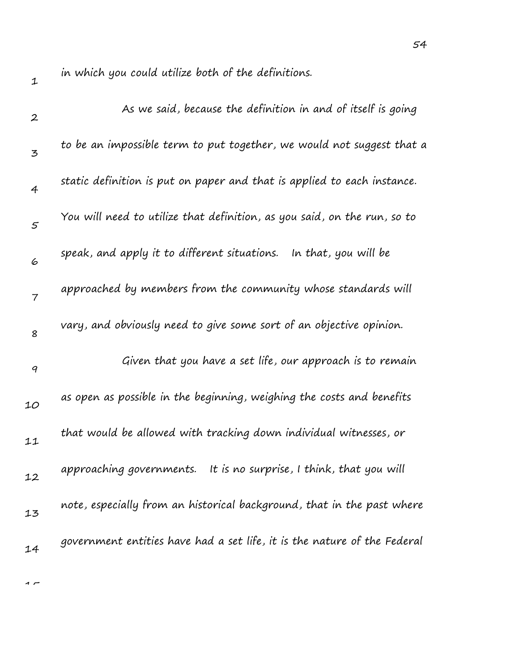in which you could utilize both of the definitions.

| $\boldsymbol{2}$ | As we said, because the definition in and of itself is going             |
|------------------|--------------------------------------------------------------------------|
| 3                | to be an impossible term to put together, we would not suggest that a    |
| 4                | static definition is put on paper and that is applied to each instance.  |
| $\mathfrak{s}$   | You will need to utilize that definition, as you said, on the run, so to |
| 6                | speak, and apply it to different situations. In that, you will be        |
| $\overline{7}$   | approached by members from the community whose standards will            |
| 8                | vary, and obviously need to give some sort of an objective opinion.      |
| 9                | Given that you have a set life, our approach is to remain                |
| 10               | as open as possible in the beginning, weighing the costs and benefits    |
| 11               | that would be allowed with tracking down individual witnesses, or        |
| 12               | approaching governments.<br>It is no surprise, I think, that you will    |
| 13               | note, especially from an historical background, that in the past where   |
| 14               | government entities have had a set life, it is the nature of the Federal |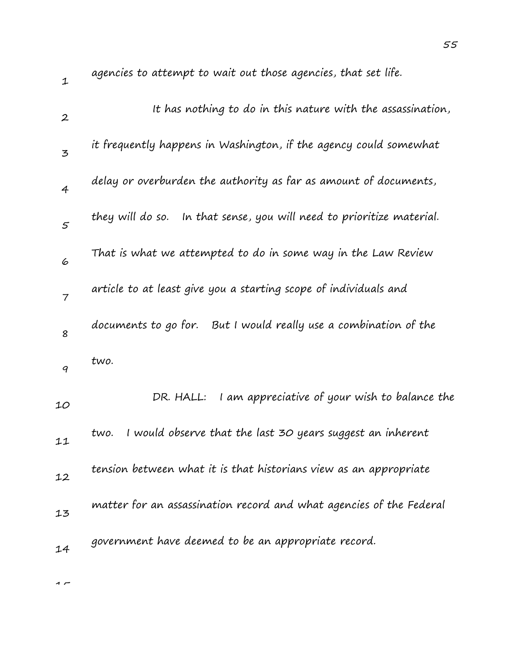| $\mathbf 1$      | agencies to attempt to wait out those agencies, that set life.        |
|------------------|-----------------------------------------------------------------------|
| $\boldsymbol{2}$ | It has nothing to do in this nature with the assassination,           |
| 3                | it frequently happens in Washington, if the agency could somewhat     |
| $\overline{4}$   | delay or overburden the authority as far as amount of documents,      |
| 5                | they will do so. In that sense, you will need to prioritize material. |
| 6                | That is what we attempted to do in some way in the Law Review         |
| $\overline{7}$   | article to at least give you a starting scope of individuals and      |
| 8                | documents to go for. But I would really use a combination of the      |
| 9                | two.                                                                  |
| 10               | I am appreciative of your wish to balance the<br>DR. HALL:            |
| 11               | I would observe that the last 30 years suggest an inherent<br>two.    |
| 12               | tension between what it is that historians view as an appropriate     |
| 13               | matter for an assassination record and what agencies of the Federal   |
| 14               | government have deemed to be an appropriate record.                   |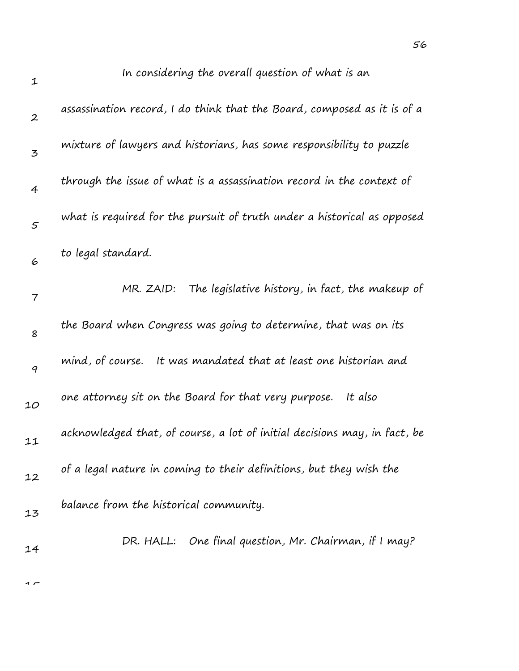| $\mathbf{1}$     | In considering the overall question of what is an                         |
|------------------|---------------------------------------------------------------------------|
| $\boldsymbol{2}$ | assassination record, I do think that the Board, composed as it is of a   |
| 3                | mixture of lawyers and historians, has some responsibility to puzzle      |
| 4                | through the issue of what is a assassination record in the context of     |
| 5                | what is required for the pursuit of truth under a historical as opposed   |
| 6                | to legal standard.                                                        |
| 7                | The legislative history, in fact, the makeup of<br>MR. ZAID:              |
| 8                | the Board when Congress was going to determine, that was on its           |
| 9                | mind, of course. It was mandated that at least one historian and          |
| 10               | one attorney sit on the Board for that very purpose.<br>It also           |
| 11               | acknowledged that, of course, a lot of initial decisions may, in fact, be |
| 12               | of a legal nature in coming to their definitions, but they wish the       |
| 13               | balance from the historical community.                                    |
| 14               | DR. HALL: One final question, Mr. Chairman, if I may?                     |
|                  |                                                                           |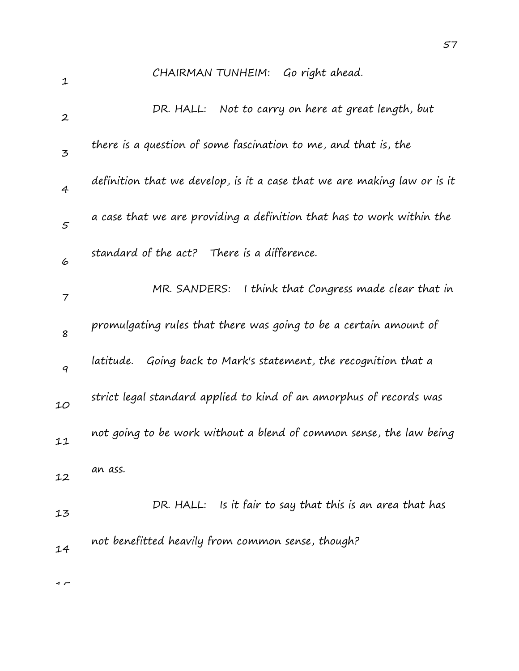| $\mathbf{1}$     | CHAIRMAN TUNHEIM: Go right ahead.                                        |
|------------------|--------------------------------------------------------------------------|
| $\boldsymbol{2}$ | DR. HALL: Not to carry on here at great length, but                      |
| 3                | there is a question of some fascination to me, and that is, the          |
| 4                | definition that we develop, is it a case that we are making law or is it |
| $\mathfrak{s}$   | a case that we are providing a definition that has to work within the    |
| 6                | standard of the act? There is a difference.                              |
| 7                | I think that Congress made clear that in<br>MR. SANDERS:                 |
| 8                | promulgating rules that there was going to be a certain amount of        |
| 9                | Going back to Mark's statement, the recognition that a<br>latitude.      |
| 10               | strict legal standard applied to kind of an amorphus of records was      |
| 11               | not going to be work without a blend of common sense, the law being      |
| 12               | an ass.                                                                  |
| 13               | DR. HALL: Is it fair to say that this is an area that has                |
| 14               | not benefitted heavily from common sense, though?                        |
| $\sim$           |                                                                          |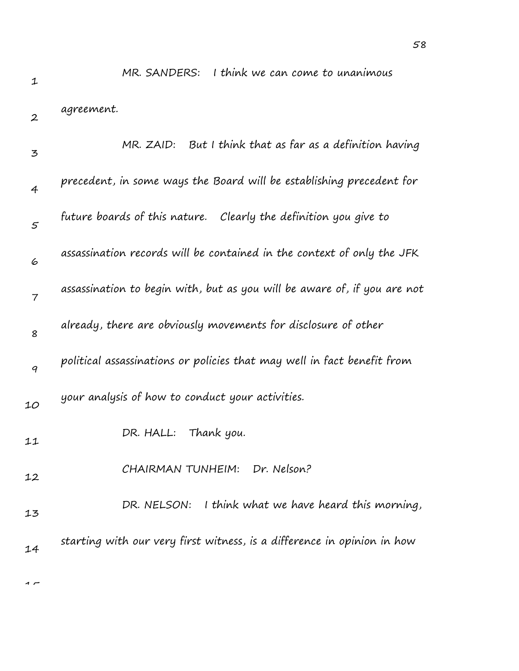$\rightarrow$ 

MR. SANDERS: I think we can come to unanimous

| $\boldsymbol{2}$ | agreement.                                                               |
|------------------|--------------------------------------------------------------------------|
| 3                | MR. ZAID: But I think that as far as a definition having                 |
| $\overline{4}$   | precedent, in some ways the Board will be establishing precedent for     |
| $\varsigma$      | future boards of this nature. Clearly the definition you give to         |
| 6                | assassination records will be contained in the context of only the JFK   |
| $\overline{7}$   | assassination to begin with, but as you will be aware of, if you are not |
| 8                | already, there are obviously movements for disclosure of other           |
| 9                | political assassinations or policies that may well in fact benefit from  |
| 10               | your analysis of how to conduct your activities.                         |
| 11               | DR. HALL: Thank you.                                                     |
| 12               | CHAIRMAN TUNHEIM: Dr. Nelson?                                            |
| 13               | I think what we have heard this morning,<br>DR. NELSON:                  |
| 14               | starting with our very first witness, is a difference in opinion in how  |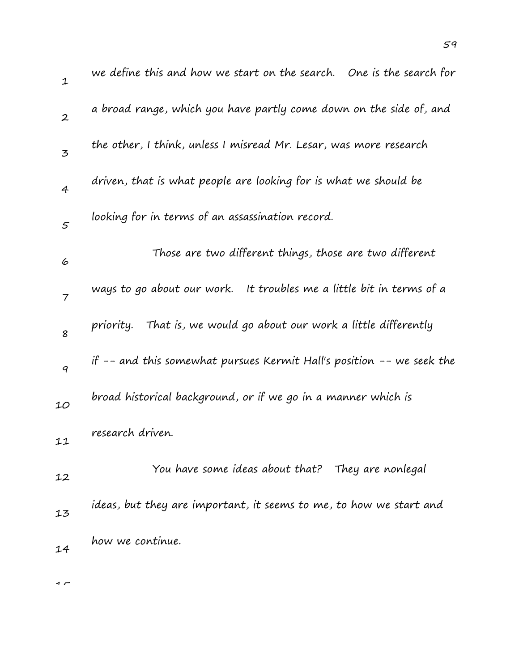| $\mathbf 1$       | we define this and how we start on the search. One is the search for  |
|-------------------|-----------------------------------------------------------------------|
| $\boldsymbol{2}$  | a broad range, which you have partly come down on the side of, and    |
| $\mathbf{z}$      | the other, I think, unless I misread Mr. Lesar, was more research     |
| $\overline{4}$    | driven, that is what people are looking for is what we should be      |
| $\mathcal{F}_{0}$ | looking for in terms of an assassination record.                      |
| 6                 | Those are two different things, those are two different               |
| $\overline{7}$    | ways to go about our work. It troubles me a little bit in terms of a  |
| 8                 | That is, we would go about our work a little differently<br>priority. |
| 9                 | if -- and this somewhat pursues Kermit Hall's position -- we seek the |
| 10                | broad historical background, or if we go in a manner which is         |
| 11                | research driven.                                                      |
| 12                | You have some ideas about that? They are nonlegal                     |
| 13                | ideas, but they are important, it seems to me, to how we start and    |
| 14                | how we continue.                                                      |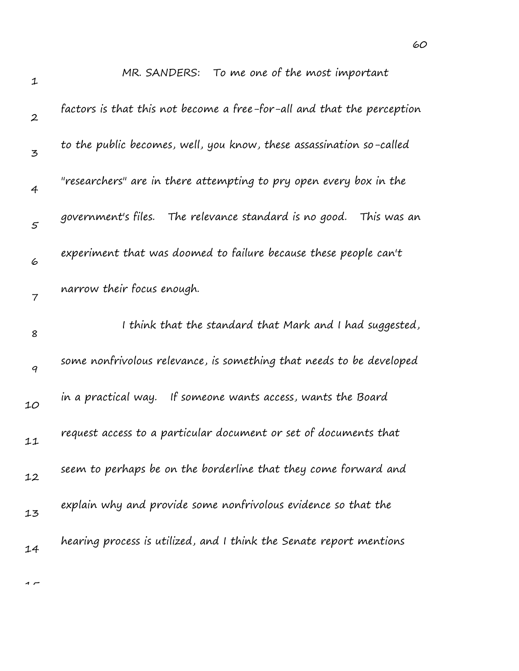| $\mathbf 1$      | MR. SANDERS: To me one of the most important                           |
|------------------|------------------------------------------------------------------------|
| $\boldsymbol{2}$ | factors is that this not become a free-for-all and that the perception |
| 3                | to the public becomes, well, you know, these assassination so-called   |
| 4                | "researchers" are in there attempting to pry open every box in the     |
| 5                | government's files. The relevance standard is no good.<br>This was an  |
| 6                | experiment that was doomed to failure because these people can't       |
| 7                | narrow their focus enough.                                             |
| 8                | I think that the standard that Mark and I had suggested,               |
|                  |                                                                        |
| 9                | some nonfrivolous relevance, is something that needs to be developed   |
| 10               | in a practical way. If someone wants access, wants the Board           |
| 11               | request access to a particular document or set of documents that       |
| 12               | seem to perhaps be on the borderline that they come forward and        |
| 13               | explain why and provide some nonfrivolous evidence so that the         |

MR. SANDERS: To me one of the most important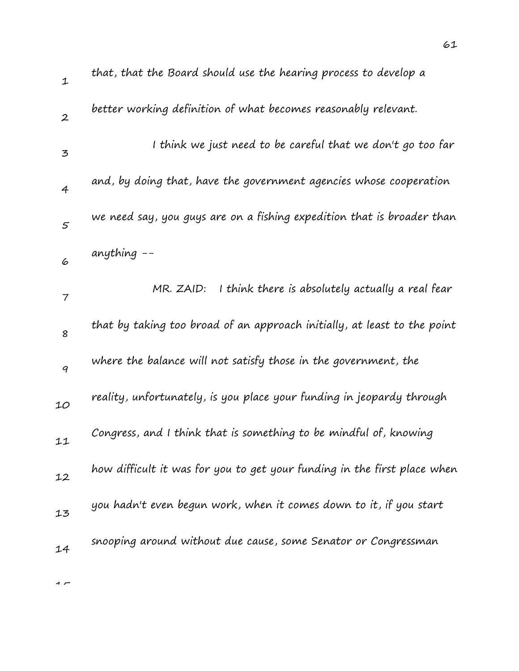| 1                | that, that the Board should use the hearing process to develop a         |
|------------------|--------------------------------------------------------------------------|
| $\boldsymbol{2}$ | better working definition of what becomes reasonably relevant.           |
| $\mathfrak{Z}$   | I think we just need to be careful that we don't go too far              |
| $\overline{4}$   | and, by doing that, have the government agencies whose cooperation       |
| 5                | we need say, you guys are on a fishing expedition that is broader than   |
| 6                | anything $-$                                                             |
| $\overline{7}$   | I think there is absolutely actually a real fear<br>MR. ZAID:            |
| 8                | that by taking too broad of an approach initially, at least to the point |
| 9                | where the balance will not satisfy those in the government, the          |
| 10               | reality, unfortunately, is you place your funding in jeopardy through    |
| 11               | Congress, and I think that is something to be mindful of, knowing        |
| 12               | how difficult it was for you to get your funding in the first place when |
| 13               | you hadn't even begun work, when it comes down to it, if you start       |
| 14               | snooping around without due cause, some Senator or Congressman           |
|                  |                                                                          |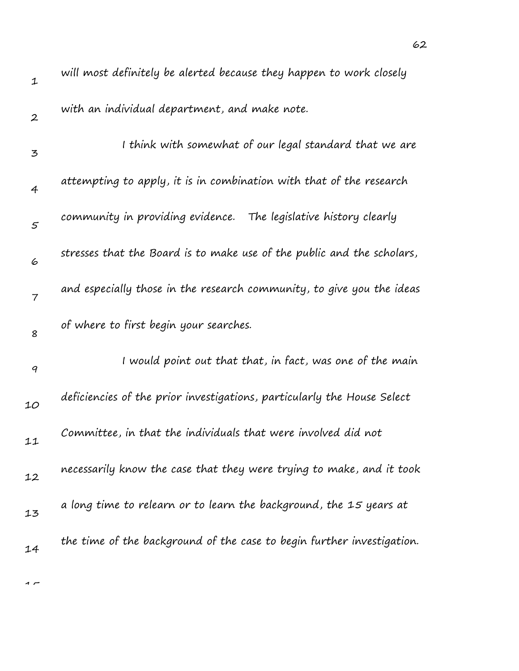| $\mathbf 1$      | will most definitely be alerted because they happen to work closely     |
|------------------|-------------------------------------------------------------------------|
| $\boldsymbol{2}$ | with an individual department, and make note.                           |
| 3                | I think with somewhat of our legal standard that we are                 |
| $\overline{4}$   | attempting to apply, it is in combination with that of the research     |
| 5                | community in providing evidence. The legislative history clearly        |
| 6                | stresses that the Board is to make use of the public and the scholars,  |
| $\overline{7}$   | and especially those in the research community, to give you the ideas   |
| 8                | of where to first begin your searches.                                  |
| $\boldsymbol{q}$ | I would point out that that, in fact, was one of the main               |
| 10               | deficiencies of the prior investigations, particularly the House Select |
| 11               | Committee, in that the individuals that were involved did not           |
| 12               | necessarily know the case that they were trying to make, and it took    |
| 13               | a long time to relearn or to learn the background, the 15 years at      |
| 14               | the time of the background of the case to begin further investigation.  |
|                  |                                                                         |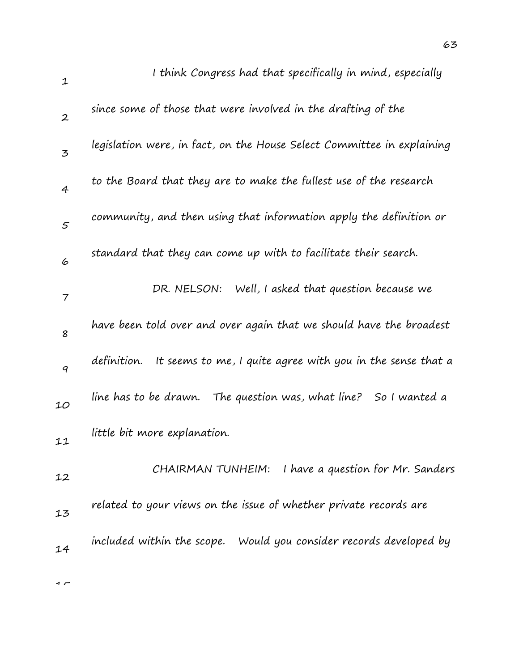| $\mathbf{1}$     | I think Congress had that specifically in mind, especially                |
|------------------|---------------------------------------------------------------------------|
| $\boldsymbol{2}$ | since some of those that were involved in the drafting of the             |
| $\overline{5}$   | legislation were, in fact, on the House Select Committee in explaining    |
| $\overline{4}$   | to the Board that they are to make the fullest use of the research        |
| 5                | community, and then using that information apply the definition or        |
| 6                | standard that they can come up with to facilitate their search.           |
| 7                | DR. NELSON: Well, I asked that question because we                        |
| 8                | have been told over and over again that we should have the broadest       |
| 9                | definition.<br>It seems to me, I quite agree with you in the sense that a |
| 10               | line has to be drawn.<br>The question was, what line?<br>So I wanted a    |
| 11               | little bit more explanation.                                              |
| 12               | I have a question for Mr. Sanders<br>CHAIRMAN TUNHEIM:                    |
| 13               | related to your views on the issue of whether private records are         |
| 14               | included within the scope. Would you consider records developed by        |
|                  |                                                                           |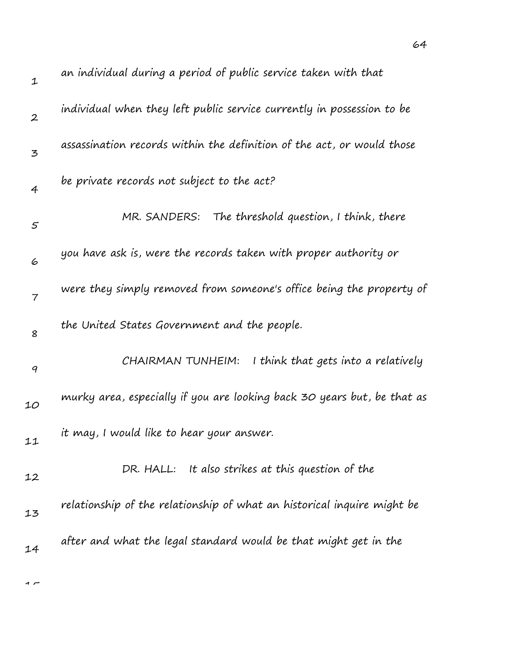| $\mathbf{1}$     | an individual during a period of public service taken with that         |
|------------------|-------------------------------------------------------------------------|
| $\boldsymbol{2}$ | individual when they left public service currently in possession to be  |
| 3                | assassination records within the definition of the act, or would those  |
| $\overline{4}$   | be private records not subject to the act?                              |
| 5                | MR. SANDERS: The threshold question, I think, there                     |
| 6                | you have ask is, were the records taken with proper authority or        |
| $\overline{7}$   | were they simply removed from someone's office being the property of    |
| 8                | the United States Government and the people.                            |
| 9                | CHAIRMAN TUNHEIM:<br>I think that gets into a relatively                |
| 10               | murky area, especially if you are looking back 30 years but, be that as |
| 11               | it may, I would like to hear your answer.                               |
| 12               | DR. HALL: It also strikes at this question of the                       |
| 13               | relationship of the relationship of what an historical inquire might be |
| 14               | after and what the legal standard would be that might get in the        |
|                  |                                                                         |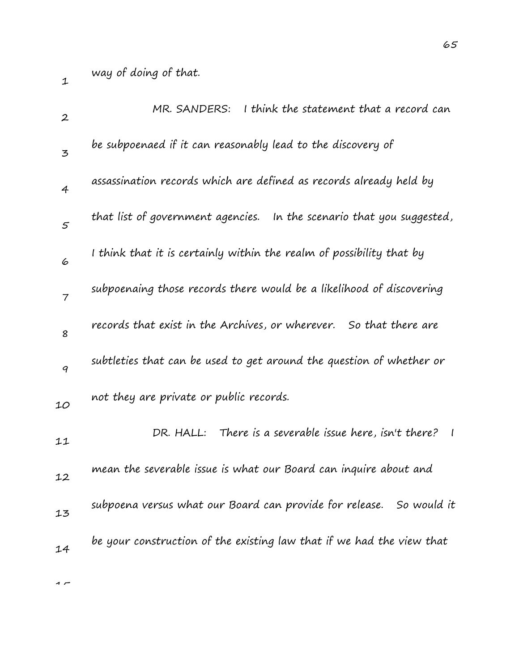| $\boldsymbol{2}$ | MR. SANDERS: I think the statement that a record can                     |
|------------------|--------------------------------------------------------------------------|
| 3                | be subpoenaed if it can reasonably lead to the discovery of              |
| $\overline{4}$   | assassination records which are defined as records already held by       |
| 5                | that list of government agencies. In the scenario that you suggested,    |
| 6                | I think that it is certainly within the realm of possibility that by     |
| $\overline{7}$   | subpoenaing those records there would be a likelihood of discovering     |
| 8                | records that exist in the Archives, or wherever. So that there are       |
| 9                | subtleties that can be used to get around the question of whether or     |
| 10               | not they are private or public records.                                  |
| 11               | DR. HALL: There is a severable issue here, isn't there?<br>$\mathcal{I}$ |
| 12               | mean the severable issue is what our Board can inquire about and         |
| 13               | subpoena versus what our Board can provide for release. So would it      |
| 14               | be your construction of the existing law that if we had the view that    |
|                  |                                                                          |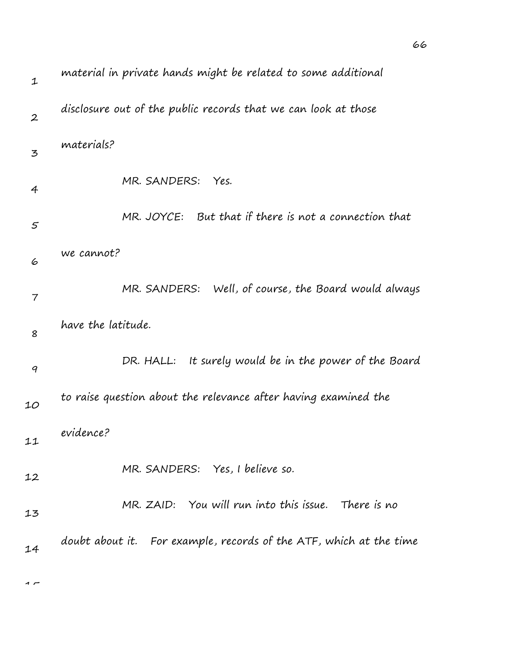| $\mathbf 1$      | material in private hands might be related to some additional      |
|------------------|--------------------------------------------------------------------|
| $\boldsymbol{2}$ | disclosure out of the public records that we can look at those     |
| 3                | materials?                                                         |
| 4                | MR. SANDERS:<br>Yes.                                               |
| 5                | MR. JOYCE: But that if there is not a connection that              |
| 6                | we cannot?                                                         |
| 7                | MR. SANDERS: Well, of course, the Board would always               |
| 8                | have the latitude.                                                 |
| $\boldsymbol{q}$ | It surely would be in the power of the Board<br>DR. HALL:          |
| 10               | to raise question about the relevance after having examined the    |
| 11               | evidence?                                                          |
| 12               | MR. SANDERS: Yes, I believe so.                                    |
| 13               | MR. ZAID: You will run into this issue. There is no                |
| 14               | doubt about it. For example, records of the ATF, which at the time |
| $\sim$           |                                                                    |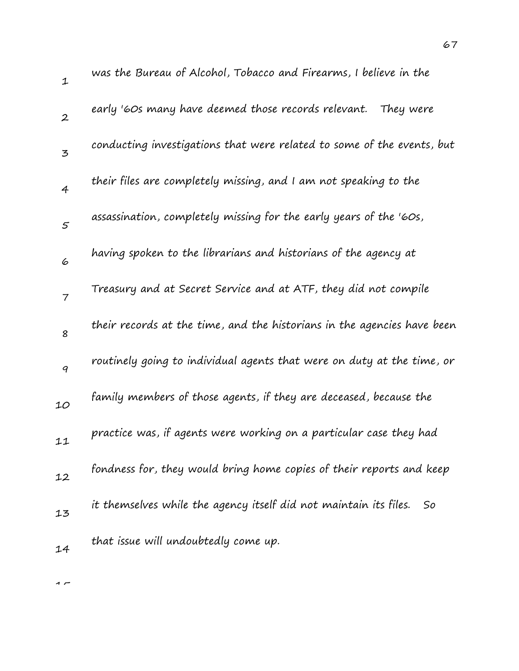1 2 3 4 5 6 7 8 9 10 11 12 13 14 was the Bureau of Alcohol, Tobacco and Firearms, I believe in the early '60s many have deemed those records relevant. They were conducting investigations that were related to some of the events, but their files are completely missing, and I am not speaking to the assassination, completely missing for the early years of the '60s, having spoken to the librarians and historians of the agency at Treasury and at Secret Service and at ATF, they did not compile their records at the time, and the historians in the agencies have been routinely going to individual agents that were on duty at the time, or family members of those agents, if they are deceased, because the practice was, if agents were working on a particular case they had fondness for, they would bring home copies of their reports and keep it themselves while the agency itself did not maintain its files. So that issue will undoubtedly come up.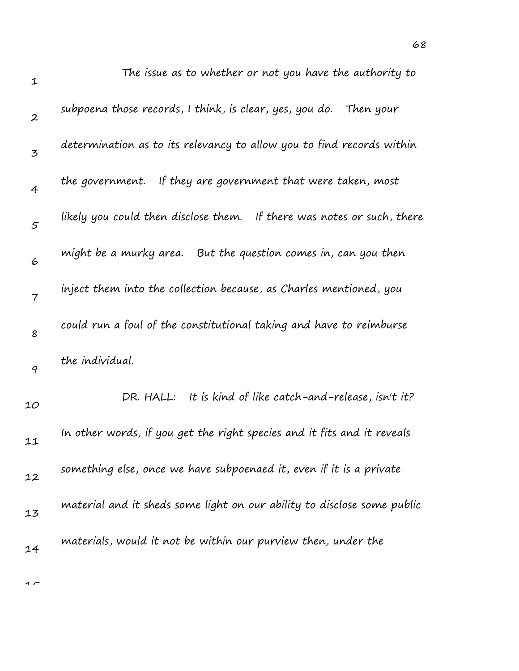| $\mathbf 1$      | The issue as to whether or not you have the authority to                |
|------------------|-------------------------------------------------------------------------|
| $\boldsymbol{2}$ | subpoena those records, I think, is clear, yes, you do.<br>Then your    |
| 3                | determination as to its relevancy to allow you to find records within   |
| $\overline{4}$   | the government. If they are government that were taken, most            |
| $\mathfrak{s}$   | likely you could then disclose them. If there was notes or such, there  |
| 6                | might be a murky area. But the question comes in, can you then          |
| $\overline{7}$   | inject them into the collection because, as Charles mentioned, you      |
| 8                | could run a foul of the constitutional taking and have to reimburse     |
| 9                | the individual.                                                         |
| 10               | It is kind of like catch-and-release, isn't it?<br>DR. HALL:            |
| 11               | In other words, if you get the right species and it fits and it reveals |
| 12               | something else, once we have subpoenaed it, even if it is a private     |
| 13               | material and it sheds some light on our ability to disclose some public |
| 14               | materials, would it not be within our purview then, under the           |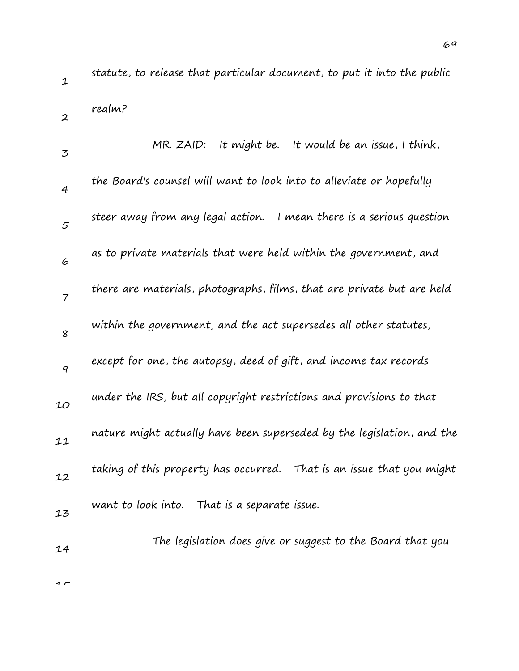statute, to release that particular document, to put it into the public realm?

| 3              | MR. ZAID: It might be. It would be an issue, I think,                  |
|----------------|------------------------------------------------------------------------|
| $\overline{4}$ | the Board's counsel will want to look into to alleviate or hopefully   |
| $\mathfrak{s}$ | steer away from any legal action. I mean there is a serious question   |
| 6              | as to private materials that were held within the government, and      |
| $\overline{7}$ | there are materials, photographs, films, that are private but are held |
| 8              | within the government, and the act supersedes all other statutes,      |
| 9              | except for one, the autopsy, deed of gift, and income tax records      |
| 10             | under the IRS, but all copyright restrictions and provisions to that   |
| 11             | nature might actually have been superseded by the legislation, and the |
| 12             | taking of this property has occurred. That is an issue that you might  |
| 13             | want to look into. That is a separate issue.                           |
| 14             | The legislation does give or suggest to the Board that you             |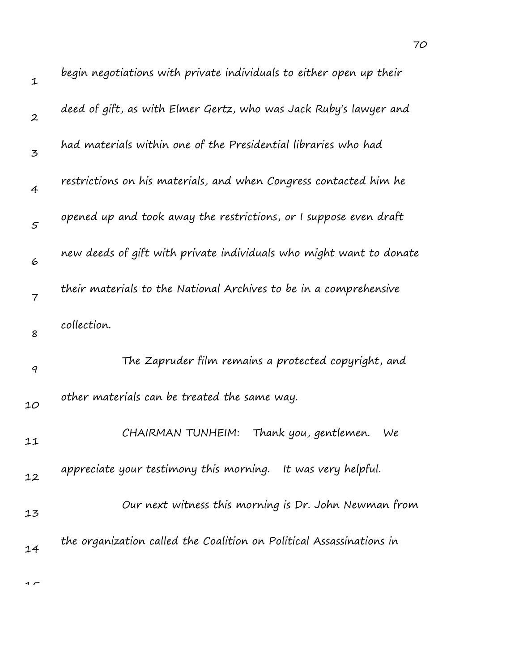| $\mathbf 1$    | begin negotiations with private individuals to either open up their  |
|----------------|----------------------------------------------------------------------|
| $\overline{2}$ | deed of gift, as with Elmer Gertz, who was Jack Ruby's lawyer and    |
| 3              | had materials within one of the Presidential libraries who had       |
| $\overline{4}$ | restrictions on his materials, and when Congress contacted him he    |
| 5              | opened up and took away the restrictions, or I suppose even draft    |
| 6              | new deeds of gift with private individuals who might want to donate  |
| $\overline{7}$ | their materials to the National Archives to be in a comprehensive    |
| 8              | collection.                                                          |
| 9              | The Zapruder film remains a protected copyright, and                 |
| 10             | other materials can be treated the same way.                         |
| 11             | CHAIRMAN TUNHEIM:<br>Thank you, gentlemen.<br>We                     |
| 12             | appreciate your testimony this morning. It was very helpful.         |
| 13             | Our next witness this morning is Dr. John Newman from                |
| 14             | the organization called the Coalition on Political Assassinations in |
|                |                                                                      |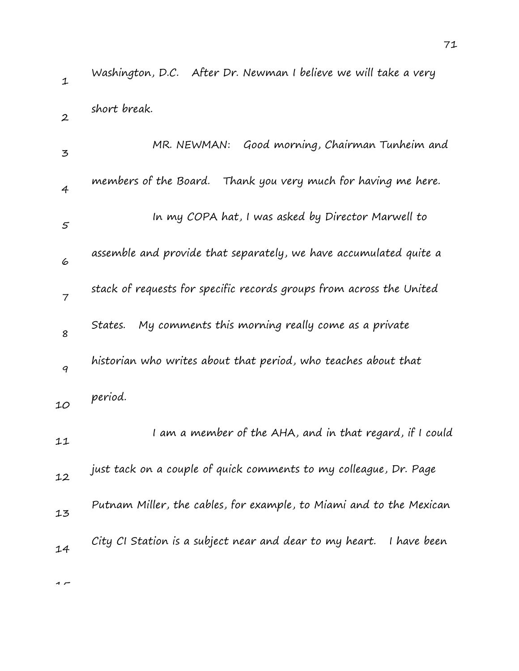1 2 3 4 5 6 7 8 9  $10$ 11 12 13 14 Washington, D.C. After Dr. Newman I believe we will take a very short break. MR. NEWMAN: Good morning, Chairman Tunheim and members of the Board. Thank you very much for having me here. In my COPA hat, I was asked by Director Marwell to assemble and provide that separately, we have accumulated quite a stack of requests for specific records groups from across the United States. My comments this morning really come as a private historian who writes about that period, who teaches about that period. I am a member of the AHA, and in that regard, if I could just tack on a couple of quick comments to my colleague, Dr. Page Putnam Miller, the cables, for example, to Miami and to the Mexican City CI Station is a subject near and dear to my heart. I have been

 $\sim$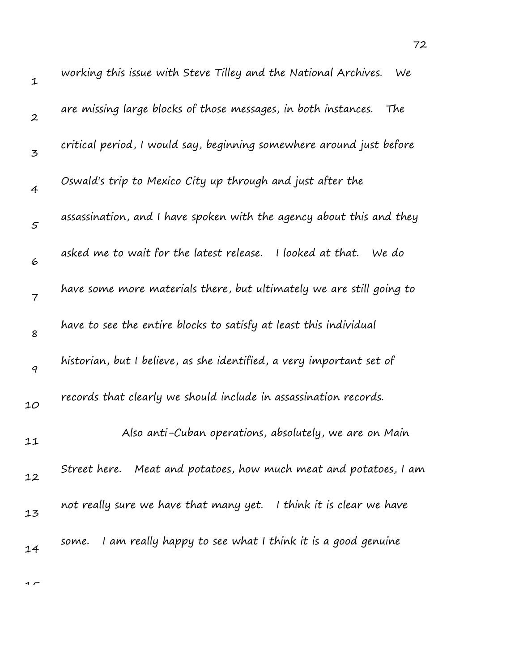| $\mathbf 1$      | working this issue with Steve Tilley and the National Archives.<br>We |
|------------------|-----------------------------------------------------------------------|
| $\boldsymbol{2}$ | are missing large blocks of those messages, in both instances.<br>The |
| 3                | critical period, I would say, beginning somewhere around just before  |
| $\overline{4}$   | Oswald's trip to Mexico City up through and just after the            |
| $\varsigma$      | assassination, and I have spoken with the agency about this and they  |
| 6                | asked me to wait for the latest release. I looked at that. We do      |
| $\overline{7}$   | have some more materials there, but ultimately we are still going to  |
| 8                | have to see the entire blocks to satisfy at least this individual     |
| 9                | historian, but I believe, as she identified, a very important set of  |
| 10               | records that clearly we should include in assassination records.      |
| 11               | Also anti-Cuban operations, absolutely, we are on Main                |
| 12               | Street here. Meat and potatoes, how much meat and potatoes, I am      |
| 13               | not really sure we have that many yet. I think it is clear we have    |
| 14               | I am really happy to see what I think it is a good genuine<br>some.   |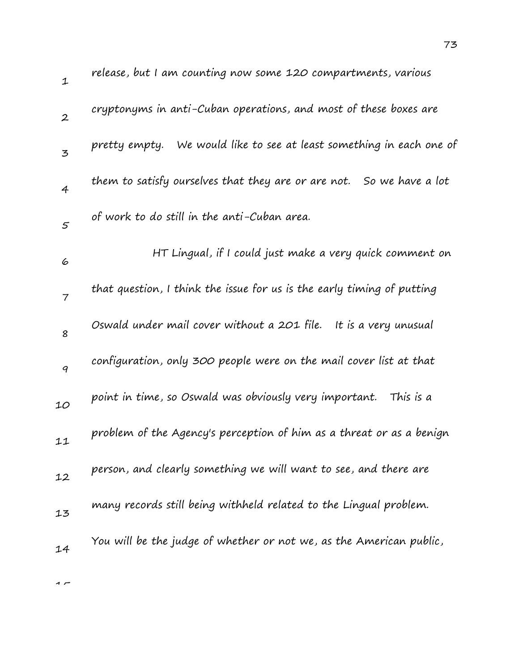| $\mathbf{1}$     | release, but I am counting now some 120 compartments, various          |
|------------------|------------------------------------------------------------------------|
| $\boldsymbol{2}$ | cryptonyms in anti-Cuban operations, and most of these boxes are       |
| $\overline{3}$   | pretty empty. We would like to see at least something in each one of   |
| $\overline{4}$   | them to satisfy ourselves that they are or are not. So we have a lot   |
| $\mathcal{F}$    | of work to do still in the anti-Cuban area.                            |
| 6                | HT Lingual, if I could just make a very quick comment on               |
| $\overline{7}$   | that question, I think the issue for us is the early timing of putting |
| 8                | Oswald under mail cover without a 201 file.<br>It is a very unusual    |
| 9                | configuration, only 300 people were on the mail cover list at that     |
| 10               | point in time, so Oswald was obviously very important.<br>This is a    |
| 11               | problem of the Agency's perception of him as a threat or as a benign   |
| 12               | person, and clearly something we will want to see, and there are       |
| 13               | many records still being withheld related to the Lingual problem.      |
| 14               | You will be the judge of whether or not we, as the American public,    |
|                  |                                                                        |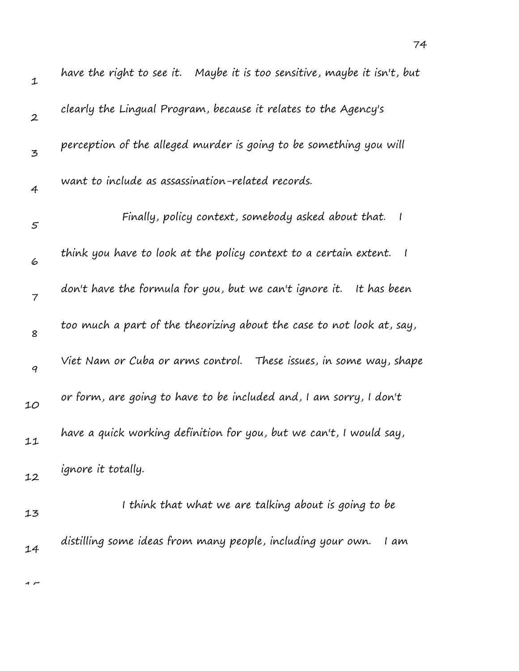| $\mathbf 1$      | have the right to see it.   Maybe it is too sensitive, maybe it isn't, but         |
|------------------|------------------------------------------------------------------------------------|
| $\boldsymbol{2}$ | clearly the Lingual Program, because it relates to the Agency's                    |
| $\mathbf{z}$     | perception of the alleged murder is going to be something you will                 |
| 4                | want to include as assassination-related records.                                  |
| $\mathfrak{s}$   | Finally, policy context, somebody asked about that.<br>$\overline{\phantom{a}}$    |
| 6                | think you have to look at the policy context to a certain extent.<br>$\frac{1}{2}$ |
| $\overline{7}$   | don't have the formula for you, but we can't ignore it.<br>It has been             |
| 8                | too much a part of the theorizing about the case to not look at, say,              |
| 9                | Viet Nam or Cuba or arms control. These issues, in some way, shape                 |
| 10               | or form, are going to have to be included and, I am sorry, I don't                 |
| 11               | have a quick working definition for you, but we can't, I would say,                |
| 12               | ignore it totally.                                                                 |
| 13               | I think that what we are talking about is going to be                              |
| 14               | distilling some ideas from many people, including your own.<br>I am                |
|                  |                                                                                    |

74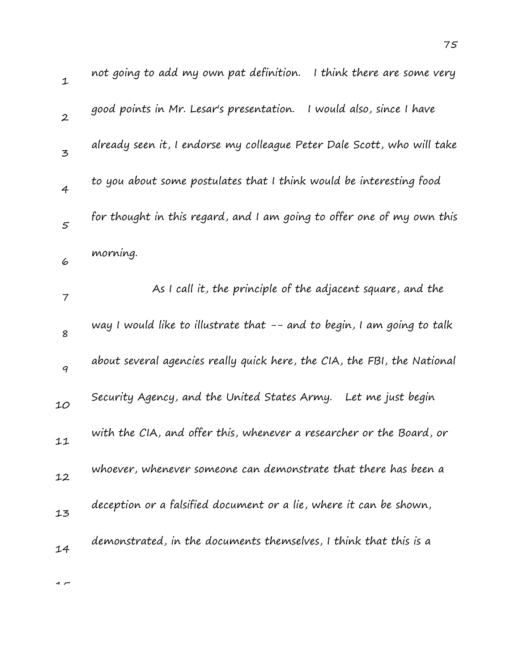| $\mathbf 1$      | not going to add my own pat definition. I think there are some very      |
|------------------|--------------------------------------------------------------------------|
| $\boldsymbol{2}$ | I would also, since I have<br>good points in Mr. Lesar's presentation.   |
| 3                | already seen it, I endorse my colleague Peter Dale Scott, who will take  |
| 4                | to you about some postulates that I think would be interesting food      |
| $\mathfrak{s}$   | for thought in this regard, and I am going to offer one of my own this   |
| 6                | morning.                                                                 |
| 7                | As I call it, the principle of the adjacent square, and the              |
| 8                | way I would like to illustrate that -- and to begin, I am going to talk  |
| $\boldsymbol{q}$ | about several agencies really quick here, the CIA, the FBI, the National |
| 10               | Security Agency, and the United States Army.<br>Let me just begin        |
| 11               | with the CIA, and offer this, whenever a researcher or the Board, or     |
| 12               | whoever, whenever someone can demonstrate that there has been a          |
| 13               | deception or a falsified document or a lie, where it can be shown,       |
| 14               | demonstrated, in the documents themselves, I think that this is a        |
|                  |                                                                          |

75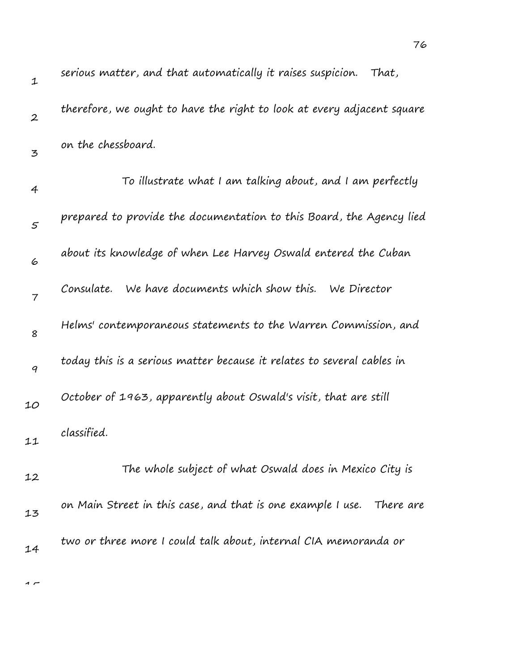| $\mathbf 1$      | serious matter, and that automatically it raises suspicion.<br>That,   |
|------------------|------------------------------------------------------------------------|
| $\boldsymbol{2}$ | therefore, we ought to have the right to look at every adjacent square |
| 3                | on the chessboard.                                                     |
| 4                | To illustrate what I am talking about, and I am perfectly              |
| $\varsigma$      | prepared to provide the documentation to this Board, the Agency lied   |
| 6                | about its knowledge of when Lee Harvey Oswald entered the Cuban        |
| $\overline{7}$   | We have documents which show this. We Director<br>Consulate.           |
| 8                | Helms' contemporaneous statements to the Warren Commission, and        |
| 9                | today this is a serious matter because it relates to several cables in |
| 10               | October of 1963, apparently about Oswald's visit, that are still       |
| 11               | classified.                                                            |
| 12               | The whole subject of what Oswald does in Mexico City is                |
| 13               | on Main Street in this case, and that is one example I use. There are  |
| 14               | two or three more I could talk about, internal CIA memoranda or        |
|                  |                                                                        |

76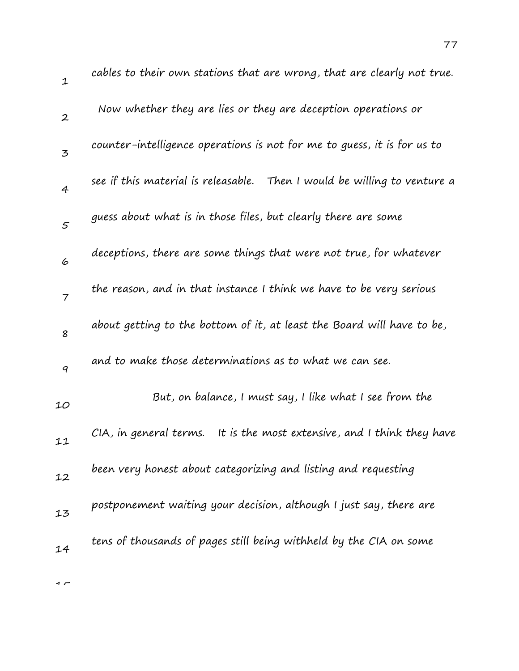| $\mathbf 1$      | cables to their own stations that are wrong, that are clearly not true.  |
|------------------|--------------------------------------------------------------------------|
| $\boldsymbol{2}$ | Now whether they are lies or they are deception operations or            |
| 3                | counter-intelligence operations is not for me to guess, it is for us to  |
| $\overline{4}$   | see if this material is releasable. Then I would be willing to venture a |
| 5                | guess about what is in those files, but clearly there are some           |
| 6                | deceptions, there are some things that were not true, for whatever       |
| $\overline{7}$   | the reason, and in that instance I think we have to be very serious      |
| 8                | about getting to the bottom of it, at least the Board will have to be,   |
| 9                | and to make those determinations as to what we can see.                  |
| 10               | But, on balance, I must say, I like what I see from the                  |
| 11               | CIA, in general terms. It is the most extensive, and I think they have   |
| 12               | been very honest about categorizing and listing and requesting           |
| 13               | postponement waiting your decision, although I just say, there are       |
| 14               | tens of thousands of pages still being withheld by the CIA on some       |
|                  |                                                                          |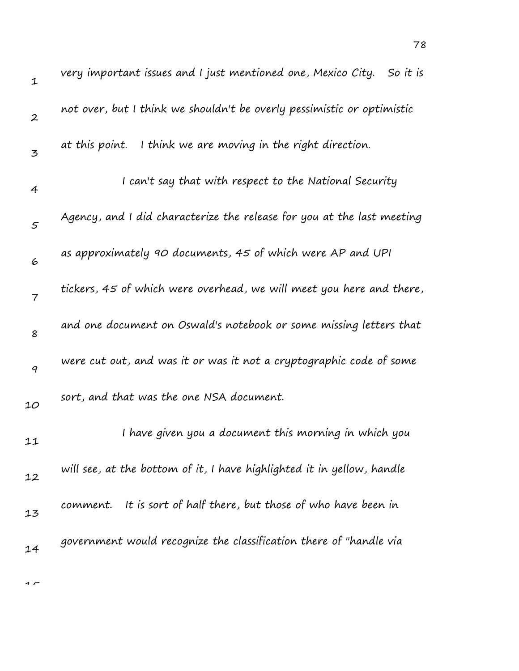| $\mathbf 1$    | very important issues and I just mentioned one, Mexico City.<br>So it is |
|----------------|--------------------------------------------------------------------------|
| $\overline{2}$ | not over, but I think we shouldn't be overly pessimistic or optimistic   |
| 3              | at this point. I think we are moving in the right direction.             |
| $\overline{4}$ | I can't say that with respect to the National Security                   |
| 5              | Agency, and I did characterize the release for you at the last meeting   |
| 6              | as approximately 90 documents, 45 of which were AP and UPI               |
| $\overline{7}$ | tickers, 45 of which were overhead, we will meet you here and there,     |
| 8              | and one document on Oswald's notebook or some missing letters that       |
| 9              | were cut out, and was it or was it not a cryptographic code of some      |
| 10             | sort, and that was the one NSA document.                                 |
| 11             | I have given you a document this morning in which you                    |
| 12             | will see, at the bottom of it, I have highlighted it in yellow, handle   |
| 13             | comment. It is sort of half there, but those of who have been in         |
| 14             | government would recognize the classification there of "handle via       |
|                |                                                                          |

78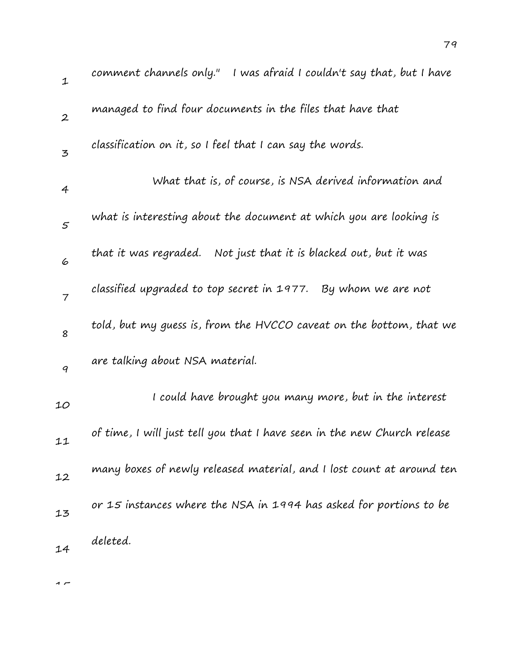| $\mathbf 1$      | comment channels only." I was afraid I couldn't say that, but I have     |
|------------------|--------------------------------------------------------------------------|
| $\boldsymbol{2}$ | managed to find four documents in the files that have that               |
| $\mathfrak{Z}$   | classification on it, so I feel that I can say the words.                |
| 4                | What that is, of course, is NSA derived information and                  |
| $\varsigma$      | what is interesting about the document at which you are looking is       |
| 6                | that it was regraded.<br>Not just that it is blacked out, but it was     |
| $\overline{7}$   | classified upgraded to top secret in 1977. By whom we are not            |
| 8                | told, but my guess is, from the HVCCO caveat on the bottom, that we      |
| 9                | are talking about NSA material.                                          |
| 10               | I could have brought you many more, but in the interest                  |
| 11               | of time, I will just tell you that I have seen in the new Church release |
| 12               | many boxes of newly released material, and I lost count at around ten    |
| 13               | or 15 instances where the NSA in 1994 has asked for portions to be       |
| 14               | deleted.                                                                 |
|                  |                                                                          |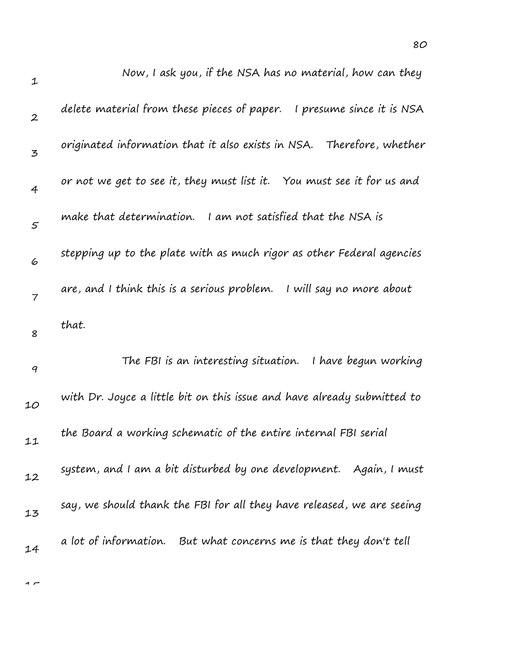| $\mathbf 1$      | Now, I ask you, if the NSA has no material, how can they                 |
|------------------|--------------------------------------------------------------------------|
| $\boldsymbol{2}$ | delete material from these pieces of paper.<br>I presume since it is NSA |
| $\mathbf{z}$     | originated information that it also exists in NSA. Therefore, whether    |
| $\overline{4}$   | or not we get to see it, they must list it. You must see it for us and   |
| $\varsigma$      | make that determination. I am not satisfied that the NSA is              |
| 6                | stepping up to the plate with as much rigor as other Federal agencies    |
| $\overline{7}$   | are, and I think this is a serious problem.<br>I will say no more about  |
| 8                | that.                                                                    |
| $\boldsymbol{q}$ | The FBI is an interesting situation. I have begun working                |
| 10               | with Dr. Joyce a little bit on this issue and have already submitted to  |
| 11               | the Board a working schematic of the entire internal FBI serial          |
| 12               | system, and I am a bit disturbed by one development. Again, I must       |
| 13               | say, we should thank the FBI for all they have released, we are seeing   |
| 14               | a lot of information. But what concerns me is that they don't tell       |
|                  |                                                                          |

 $\overline{1}$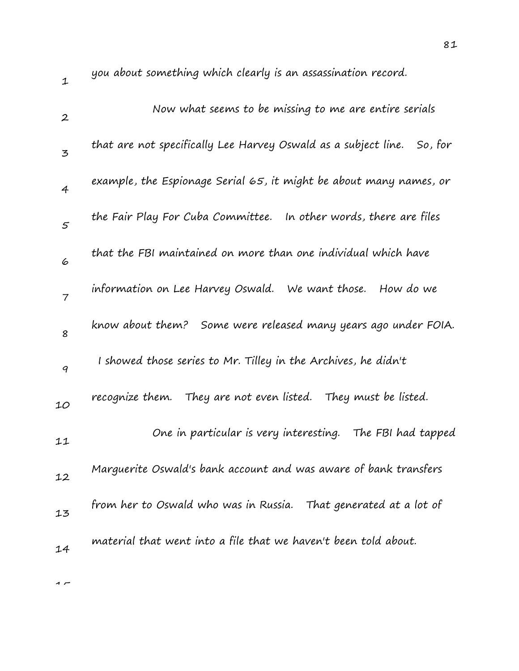1 2 3 4 5 6 7 8 9  $10$ 11 12 13 14 you about something which clearly is an assassination record. Now what seems to be missing to me are entire serials that are not specifically Lee Harvey Oswald as a subject line. So, for example, the Espionage Serial 65, it might be about many names, or the Fair Play For Cuba Committee. In other words, there are files that the FBI maintained on more than one individual which have information on Lee Harvey Oswald. We want those. How do we know about them? Some were released many years ago under FOIA. I showed those series to Mr. Tilley in the Archives, he didn't recognize them. They are not even listed. They must be listed. One in particular is very interesting. The FBI had tapped Marguerite Oswald's bank account and was aware of bank transfers from her to Oswald who was in Russia. That generated at a lot of material that went into a file that we haven't been told about.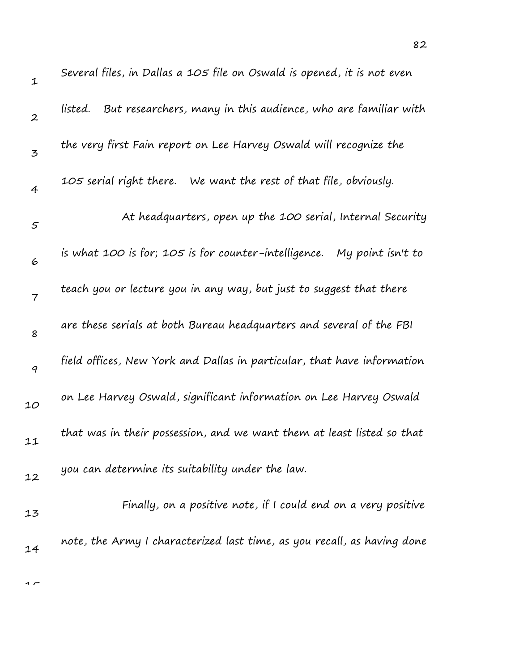| $\mathbf 1$      | Several files, in Dallas a 105 file on Oswald is opened, it is not even   |
|------------------|---------------------------------------------------------------------------|
| $\boldsymbol{2}$ | But researchers, many in this audience, who are familiar with<br>listed.  |
| 3                | the very first Fain report on Lee Harvey Oswald will recognize the        |
| 4                | 105 serial right there.<br>We want the rest of that file, obviously.      |
| 5                | At headquarters, open up the 100 serial, Internal Security                |
| 6                | is what 100 is for; 105 is for counter-intelligence.<br>My point isn't to |
| $\overline{7}$   | teach you or lecture you in any way, but just to suggest that there       |
| 8                | are these serials at both Bureau headquarters and several of the FBI      |
| 9                | field offices, New York and Dallas in particular, that have information   |
| 10               | on Lee Harvey Oswald, significant information on Lee Harvey Oswald        |
| 11               | that was in their possession, and we want them at least listed so that    |
| 12               | you can determine its suitability under the law.                          |
| 13               | Finally, on a positive note, if I could end on a very positive            |
| 14               | note, the Army I characterized last time, as you recall, as having done   |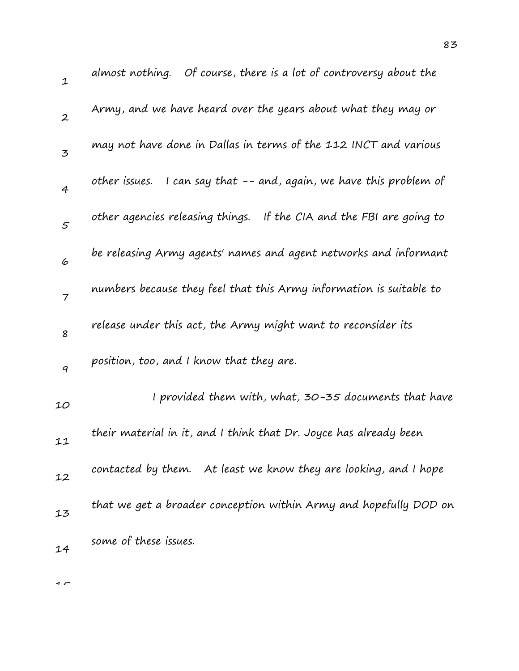1 2 3 4 5 6 7 8 9 10 11 12 13 14 almost nothing. Of course, there is a lot of controversy about the Army, and we have heard over the years about what they may or may not have done in Dallas in terms of the 112 INCT and various other issues. I can say that -- and, again, we have this problem of other agencies releasing things. If the CIA and the FBI are going to be releasing Army agents' names and agent networks and informant numbers because they feel that this Army information is suitable to release under this act, the Army might want to reconsider its position, too, and I know that they are. I provided them with, what, 30-35 documents that have their material in it, and I think that Dr. Joyce has already been contacted by them. At least we know they are looking, and I hope that we get a broader conception within Army and hopefully DOD on some of these issues.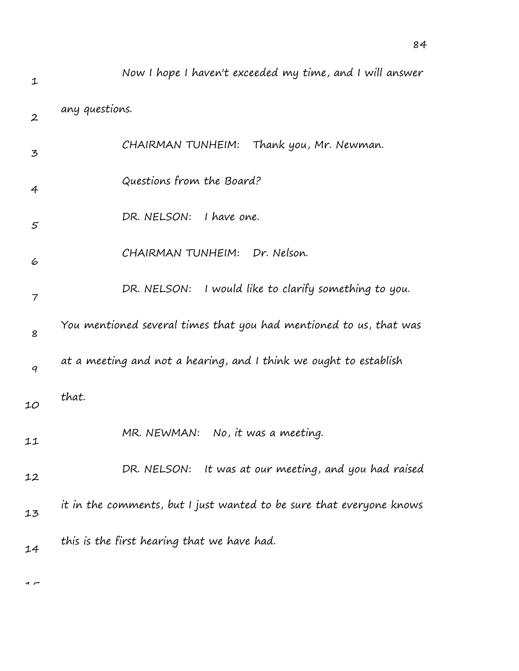| 1                | Now I hope I haven't exceeded my time, and I will answer             |
|------------------|----------------------------------------------------------------------|
| $\boldsymbol{2}$ | any questions.                                                       |
| 3                | CHAIRMAN TUNHEIM: Thank you, Mr. Newman.                             |
| 4                | Questions from the Board?                                            |
| 5                | DR. NELSON: I have one.                                              |
| 6                | CHAIRMAN TUNHEIM: Dr. Nelson.                                        |
| 7                | DR. NELSON: I would like to clarify something to you.                |
| 8                | You mentioned several times that you had mentioned to us, that was   |
| $\boldsymbol{q}$ | at a meeting and not a hearing, and I think we ought to establish    |
| 10               | that.                                                                |
| 11               | MR. NEWMAN: No, it was a meeting.                                    |
| 12               | DR. NELSON: It was at our meeting, and you had raised                |
| 13               | it in the comments, but I just wanted to be sure that everyone knows |
| 14               | this is the first hearing that we have had.                          |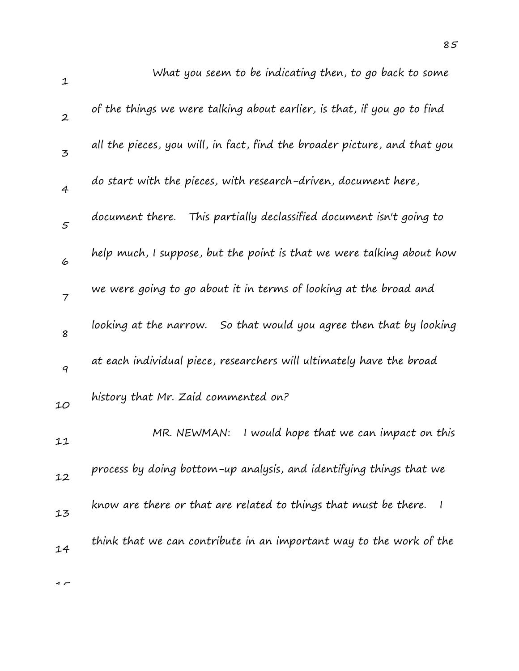| $\mathbf 1$    | What you seem to be indicating then, to go back to some                   |
|----------------|---------------------------------------------------------------------------|
| $\overline{2}$ | of the things we were talking about earlier, is that, if you go to find   |
| 3              | all the pieces, you will, in fact, find the broader picture, and that you |
| $\overline{4}$ | do start with the pieces, with research-driven, document here,            |
| 5              | document there. This partially declassified document isn't going to       |
| 6              | help much, I suppose, but the point is that we were talking about how     |
| $\overline{7}$ | we were going to go about it in terms of looking at the broad and         |
| 8              | looking at the narrow. So that would you agree then that by looking       |
| 9              | at each individual piece, researchers will ultimately have the broad      |
| 10             | history that Mr. Zaid commented on?                                       |
| 11             | I would hope that we can impact on this<br>MR. NEWMAN:                    |
| 12             | process by doing bottom-up analysis, and identifying things that we       |
| 13             | know are there or that are related to things that must be there.          |
| 14             | think that we can contribute in an important way to the work of the       |
|                |                                                                           |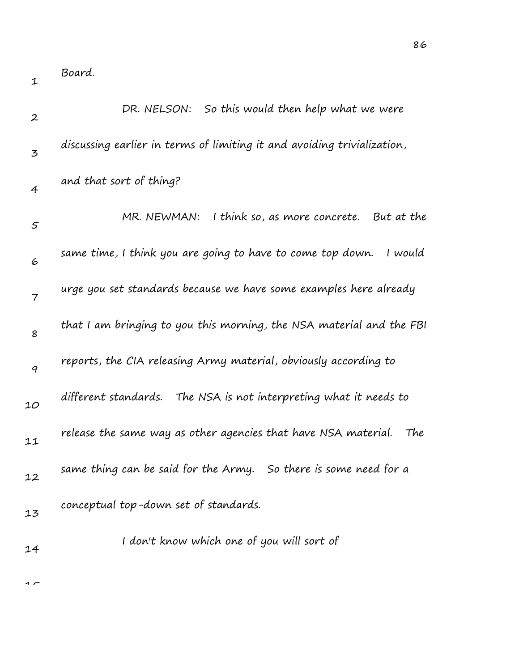1

| $\boldsymbol{2}$ | So this would then help what we were<br>DR. NELSON:                     |
|------------------|-------------------------------------------------------------------------|
| 3                | discussing earlier in terms of limiting it and avoiding trivialization, |
| $\overline{4}$   | and that sort of thing?                                                 |
| $\mathfrak{s}$   | MR. NEWMAN:<br>I think so, as more concrete. But at the                 |
| 6                | same time, I think you are going to have to come top down.<br>I would   |
| $\overline{7}$   | urge you set standards because we have some examples here already       |
| 8                | that I am bringing to you this morning, the NSA material and the FBI    |
| 9                | reports, the CIA releasing Army material, obviously according to        |
| 10               | different standards.<br>The NSA is not interpreting what it needs to    |
| 11               | release the same way as other agencies that have NSA material.<br>The   |
| 12               | same thing can be said for the Army. So there is some need for a        |
| 13               | conceptual top-down set of standards.                                   |
| 14               | I don't know which one of you will sort of                              |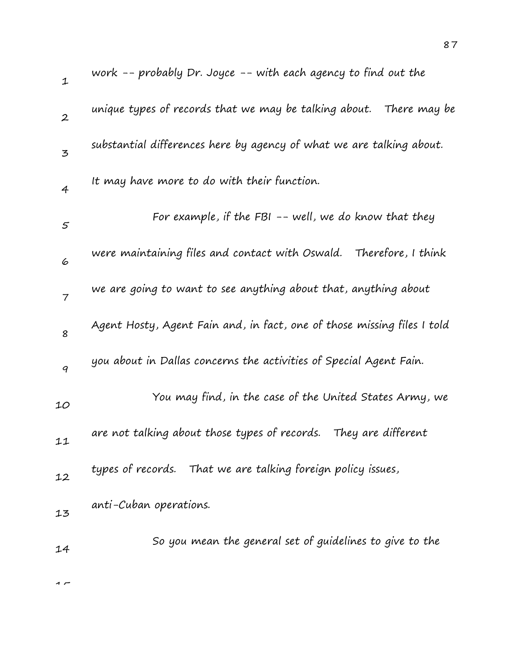| $\mathbf{1}$   | work -- probably Dr. Joyce -- with each agency to find out the          |
|----------------|-------------------------------------------------------------------------|
| $\overline{2}$ | unique types of records that we may be talking about.  There may be     |
| $\mathbf{z}$   | substantial differences here by agency of what we are talking about.    |
| 4              | It may have more to do with their function.                             |
| 5              | For example, if the FBI -- well, we do know that they                   |
| 6              | were maintaining files and contact with Oswald.<br>Therefore, I think   |
| $\overline{7}$ | we are going to want to see anything about that, anything about         |
| 8              | Agent Hosty, Agent Fain and, in fact, one of those missing files I told |
| 9              | you about in Dallas concerns the activities of Special Agent Fain.      |
| 10             | You may find, in the case of the United States Army, we                 |
| 11             | are not talking about those types of records. They are different        |
| 12             | types of records. That we are talking foreign policy issues,            |
| 13             | anti-Cuban operations.                                                  |
| 14             | So you mean the general set of guidelines to give to the                |
|                |                                                                         |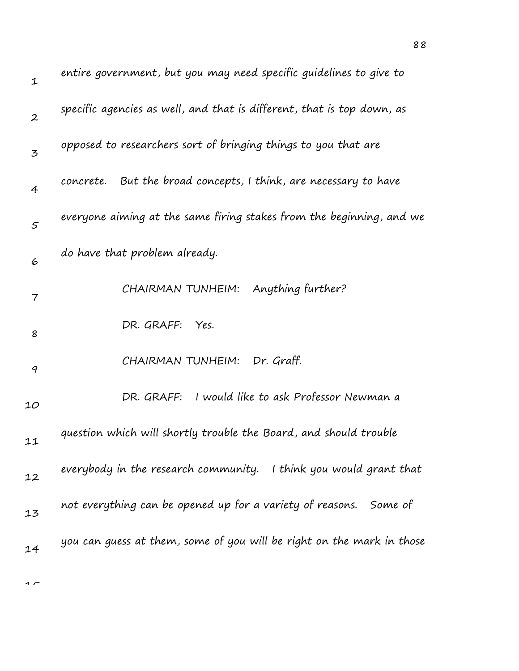| $\mathbf 1$    | entire government, but you may need specific guidelines to give to     |
|----------------|------------------------------------------------------------------------|
| $\overline{2}$ | specific agencies as well, and that is different, that is top down, as |
| 3              | opposed to researchers sort of bringing things to you that are         |
| $\overline{4}$ | But the broad concepts, I think, are necessary to have<br>concrete.    |
| $\varsigma$    | everyone aiming at the same firing stakes from the beginning, and we   |
| 6              | do have that problem already.                                          |
| 7              | Anything further?<br>CHAIRMAN TUNHEIM:                                 |
| 8              | DR. GRAFF: Yes.                                                        |
| 9              | Dr. Graff.<br>CHAIRMAN TUNHEIM:                                        |
| 10             | I would like to ask Professor Newman a<br>DR. GRAFF:                   |
| 11             | question which will shortly trouble the Board, and should trouble      |
| 12             | everybody in the research community.<br>I think you would grant that   |
| 13             | not everything can be opened up for a variety of reasons. Some of      |
| 14             | you can guess at them, some of you will be right on the mark in those  |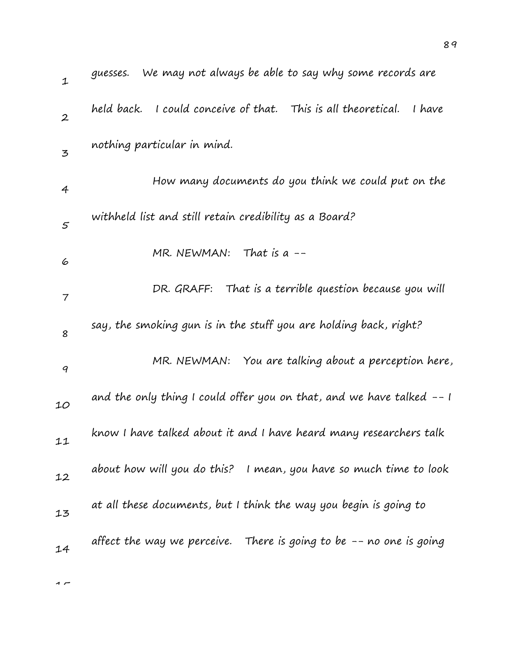| $\mathbf{1}$             | We may not always be able to say why some records are<br>guesses.       |
|--------------------------|-------------------------------------------------------------------------|
| $\boldsymbol{2}$         | held back. I could conceive of that. This is all theoretical.<br>I have |
| $\overline{5}$           | nothing particular in mind.                                             |
| 4                        | How many documents do you think we could put on the                     |
| $\mathfrak{s}$           | withheld list and still retain credibility as a Board?                  |
| 6                        | MR. NEWMAN: That is a $--$                                              |
| $\overline{\phantom{a}}$ | DR. GRAFF: That is a terrible question because you will                 |
| 8                        | say, the smoking gun is in the stuff you are holding back, right?       |
| 9                        | MR. NEWMAN: You are talking about a perception here,                    |
| 10                       | and the only thing I could offer you on that, and we have talked $-1$   |
| 11                       | know I have talked about it and I have heard many researchers talk      |
| 12                       | about how will you do this? I mean, you have so much time to look       |
| 13                       | at all these documents, but I think the way you begin is going to       |
| 14                       | affect the way we perceive. There is going to be $-$ - no one is going  |
|                          |                                                                         |

89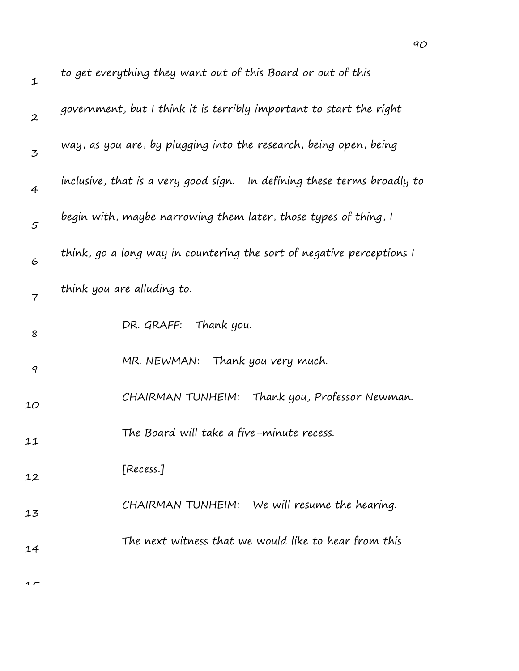| $\mathbf 1$      | to get everything they want out of this Board or out of this            |
|------------------|-------------------------------------------------------------------------|
| $\boldsymbol{2}$ | government, but I think it is terribly important to start the right     |
| 3                | way, as you are, by plugging into the research, being open, being       |
| $\overline{4}$   | inclusive, that is a very good sign. In defining these terms broadly to |
| 5                | begin with, maybe narrowing them later, those types of thing, I         |
| 6                | think, go a long way in countering the sort of negative perceptions I   |
| $\overline{7}$   | think you are alluding to.                                              |
| 8                | DR. GRAFF: Thank you.                                                   |
| 9                | MR. NEWMAN: Thank you very much.                                        |
| 10               | CHAIRMAN TUNHEIM: Thank you, Professor Newman.                          |
| 11               | The Board will take a five-minute recess.                               |
| 12               | [Recess.]                                                               |
| 13               | CHAIRMAN TUNHEIM: We will resume the hearing.                           |
| 14               | The next witness that we would like to hear from this                   |
|                  |                                                                         |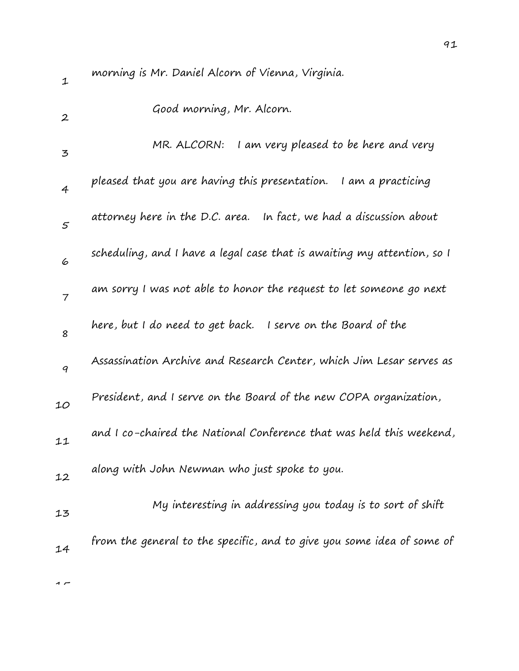1 2 3 4 5 6 7 8 9 10 11 12 13 14 morning is Mr. Daniel Alcorn of Vienna, Virginia. Good morning, Mr. Alcorn. MR. ALCORN: I am very pleased to be here and very pleased that you are having this presentation. I am a practicing attorney here in the D.C. area. In fact, we had a discussion about scheduling, and I have a legal case that is awaiting my attention, so I am sorry I was not able to honor the request to let someone go next here, but I do need to get back. I serve on the Board of the Assassination Archive and Research Center, which Jim Lesar serves as President, and I serve on the Board of the new COPA organization, and I co-chaired the National Conference that was held this weekend, along with John Newman who just spoke to you. My interesting in addressing you today is to sort of shift from the general to the specific, and to give you some idea of some of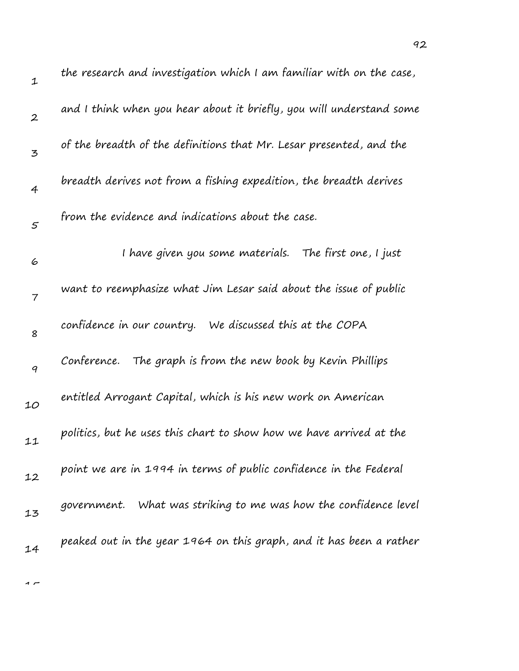| $\mathbf 1$      | the research and investigation which I am familiar with on the case, |
|------------------|----------------------------------------------------------------------|
| $\boldsymbol{2}$ | and I think when you hear about it briefly, you will understand some |
| 3                | of the breadth of the definitions that Mr. Lesar presented, and the  |
| $\overline{4}$   | breadth derives not from a fishing expedition, the breadth derives   |
| $\mathfrak{s}$   | from the evidence and indications about the case.                    |
| 6                | I have given you some materials. The first one, I just               |
| $\overline{7}$   | want to reemphasize what Jim Lesar said about the issue of public    |
| 8                | confidence in our country. We discussed this at the COPA             |
| $\boldsymbol{q}$ | The graph is from the new book by Kevin Phillips<br>Conference.      |
| 10               | entitled Arrogant Capital, which is his new work on American         |
| 11               | politics, but he uses this chart to show how we have arrived at the  |
| 12               | point we are in 1994 in terms of public confidence in the Federal    |
| 13               | government. What was striking to me was how the confidence level     |
| 14               | peaked out in the year 1964 on this graph, and it has been a rather  |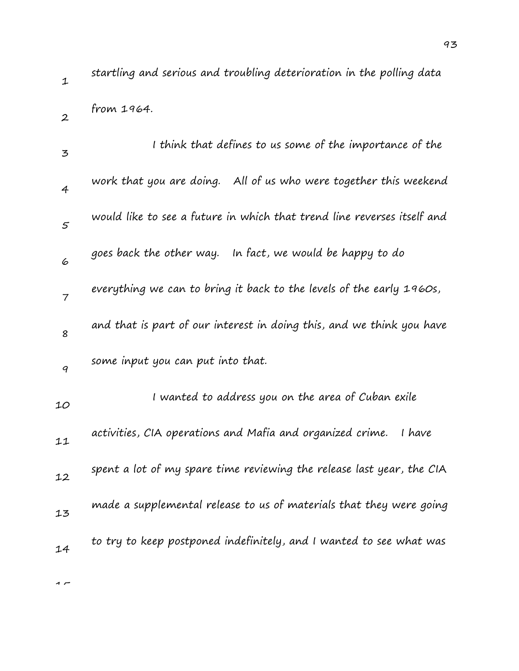2

 $\rightarrow$ 

startling and serious and troubling deterioration in the polling data from 1964.

| 3              | I think that defines to us some of the importance of the                |
|----------------|-------------------------------------------------------------------------|
| $\overline{4}$ | work that you are doing. All of us who were together this weekend       |
| 5              | would like to see a future in which that trend line reverses itself and |
| 6              | goes back the other way. In fact, we would be happy to do               |
| $\overline{7}$ | everything we can to bring it back to the levels of the early 1960s,    |
| 8              | and that is part of our interest in doing this, and we think you have   |
| 9              | some input you can put into that.                                       |
| 10             | I wanted to address you on the area of Cuban exile                      |
| 11             | activities, CIA operations and Mafia and organized crime.<br>I have     |
| 12             | spent a lot of my spare time reviewing the release last year, the CIA   |
| 13             | made a supplemental release to us of materials that they were going     |
| 14             | to try to keep postponed indefinitely, and I wanted to see what was     |
|                |                                                                         |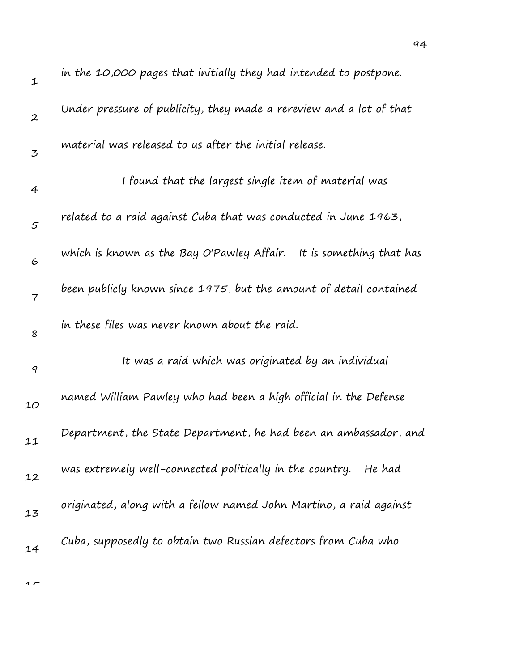| $\mathbf 1$      | in the 10,000 pages that initially they had intended to postpone.   |
|------------------|---------------------------------------------------------------------|
| $\boldsymbol{2}$ | Under pressure of publicity, they made a rereview and a lot of that |
| $\overline{3}$   | material was released to us after the initial release.              |
| $\overline{4}$   | I found that the largest single item of material was                |
| 5                | related to a raid against Cuba that was conducted in June 1963,     |
| 6                | which is known as the Bay O'Pawley Affair. It is something that has |
| $\overline{7}$   | been publicly known since 1975, but the amount of detail contained  |
| 8                | in these files was never known about the raid.                      |
| 9                | It was a raid which was originated by an individual                 |
| 10               | named William Pawley who had been a high official in the Defense    |
| 11               | Department, the State Department, he had been an ambassador, and    |
| 12               | was extremely well-connected politically in the country. He had     |
| 13               | originated, along with a fellow named John Martino, a raid against  |
| 14               | Cuba, supposedly to obtain two Russian defectors from Cuba who      |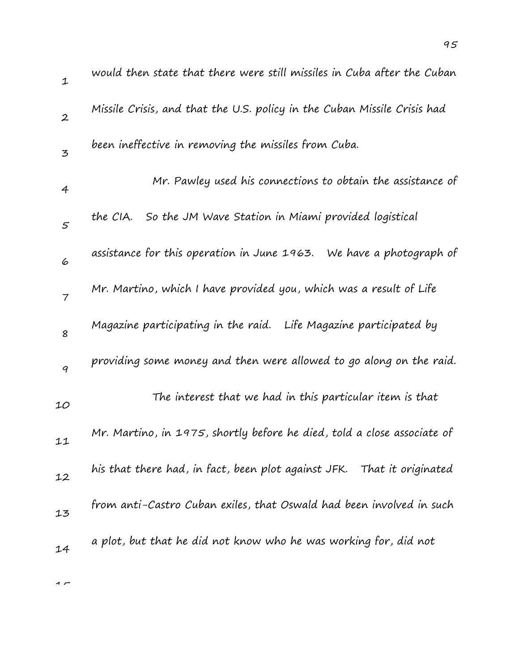| $\mathbf{1}$     | would then state that there were still missiles in Cuba after the Cuban  |
|------------------|--------------------------------------------------------------------------|
| $\boldsymbol{2}$ | Missile Crisis, and that the U.S. policy in the Cuban Missile Crisis had |
| $\overline{5}$   | been ineffective in removing the missiles from Cuba.                     |
| $\overline{4}$   | Mr. Pawley used his connections to obtain the assistance of              |
| 5                | So the JM Wave Station in Miami provided logistical<br>the CIA.          |
| 6                | assistance for this operation in June 1963. We have a photograph of      |
| $\overline{7}$   | Mr. Martino, which I have provided you, which was a result of Life       |
| 8                | Magazine participating in the raid. Life Magazine participated by        |
| 9                | providing some money and then were allowed to go along on the raid.      |
| 10               | The interest that we had in this particular item is that                 |
| 11               | Mr. Martino, in 1975, shortly before he died, told a close associate of  |
| 12               | his that there had, in fact, been plot against JFK. That it originated   |
| 13               | from anti-Castro Cuban exiles, that Oswald had been involved in such     |
| 14               | a plot, but that he did not know who he was working for, did not         |
|                  |                                                                          |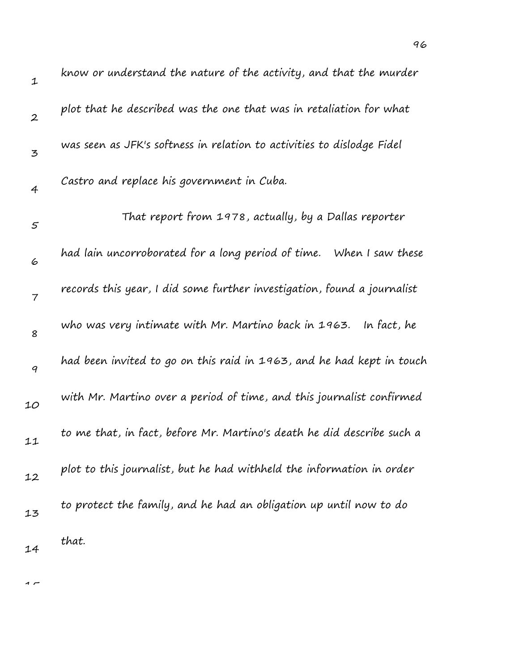| $\mathbf 1$      | know or understand the nature of the activity, and that the murder      |
|------------------|-------------------------------------------------------------------------|
| $\boldsymbol{2}$ | plot that he described was the one that was in retaliation for what     |
| 3                | was seen as JFK's softness in relation to activities to dislodge Fidel  |
| 4                | Castro and replace his government in Cuba.                              |
| 5                | That report from 1978, actually, by a Dallas reporter                   |
| 6                | had lain uncorroborated for a long period of time. When I saw these     |
| $\overline{7}$   | records this year, I did some further investigation, found a journalist |
| 8                | who was very intimate with Mr. Martino back in 1963. In fact, he        |
| $\boldsymbol{q}$ | had been invited to go on this raid in 1963, and he had kept in touch   |
| 10               | with Mr. Martino over a period of time, and this journalist confirmed   |
| 11               | to me that, in fact, before Mr. Martino's death he did describe such a  |
| 12               | plot to this journalist, but he had withheld the information in order   |
| 13               | to protect the family, and he had an obligation up until now to do      |
| 14               | that.                                                                   |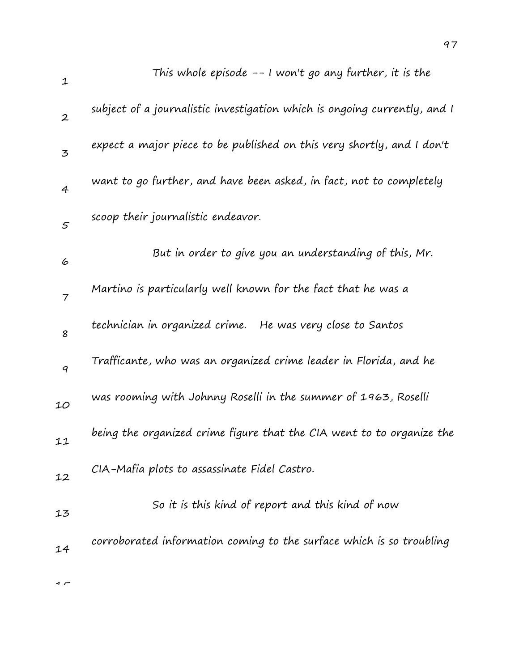| $\mathbf{1}$     | This whole episode -- I won't go any further, it is the                   |
|------------------|---------------------------------------------------------------------------|
| $\boldsymbol{2}$ | subject of a journalistic investigation which is ongoing currently, and I |
| $\mathbf{z}$     | expect a major piece to be published on this very shortly, and I don't    |
| $\overline{4}$   | want to go further, and have been asked, in fact, not to completely       |
| $\varsigma$      | scoop their journalistic endeavor.                                        |
| 6                | But in order to give you an understanding of this, Mr.                    |
| $\overline{7}$   | Martino is particularly well known for the fact that he was a             |
| 8                | technician in organized crime. He was very close to Santos                |
| 9                | Trafficante, who was an organized crime leader in Florida, and he         |
| 10               | was rooming with Johnny Roselli in the summer of 1963, Roselli            |
| 11               | being the organized crime figure that the CIA went to to organize the     |
| 12               | CIA-Mafia plots to assassinate Fidel Castro.                              |
| 13               | So it is this kind of report and this kind of now                         |
| 14               | corroborated information coming to the surface which is so troubling      |
|                  |                                                                           |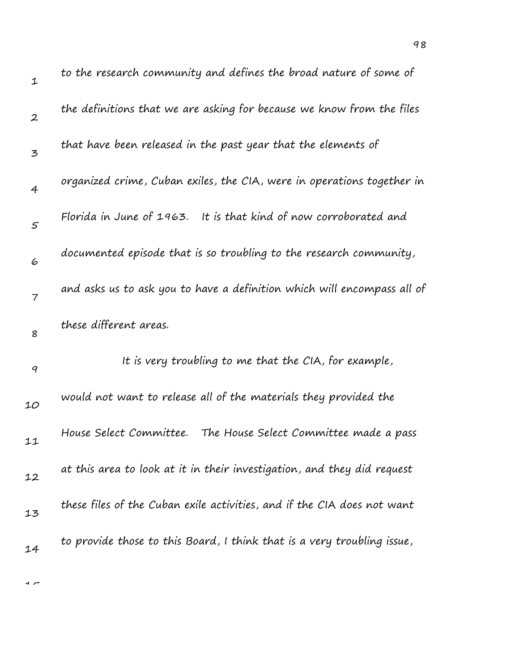| $\mathbf 1$      | to the research community and defines the broad nature of some of       |
|------------------|-------------------------------------------------------------------------|
| $\boldsymbol{2}$ | the definitions that we are asking for because we know from the files   |
| 3                | that have been released in the past year that the elements of           |
| $\overline{4}$   | organized crime, Cuban exiles, the CIA, were in operations together in  |
| $\varsigma$      | Florida in June of 1963. It is that kind of now corroborated and        |
| 6                | documented episode that is so troubling to the research community,      |
| $\overline{7}$   | and asks us to ask you to have a definition which will encompass all of |
| 8                | these different areas.                                                  |
| 9                | It is very troubling to me that the CIA, for example,                   |
| 10               | would not want to release all of the materials they provided the        |
| 11               | House Select Committee.<br>The House Select Committee made a pass       |
| 12               | at this area to look at it in their investigation, and they did request |
| 13               | these files of the Cuban exile activities, and if the CIA does not want |
| 14               | to provide those to this Board, I think that is a very troubling issue, |
|                  |                                                                         |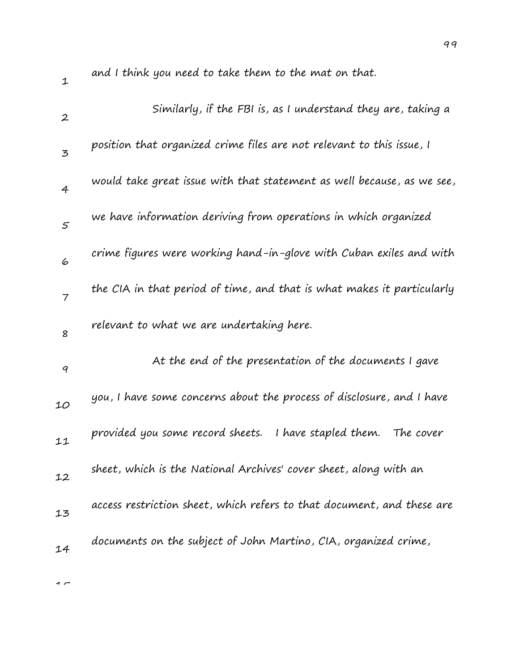| $\mathbf{1}$     | and I think you need to take them to the mat on that.                  |
|------------------|------------------------------------------------------------------------|
| $\boldsymbol{2}$ | Similarly, if the FBI is, as I understand they are, taking a           |
| 3                | position that organized crime files are not relevant to this issue, I  |
| $\overline{4}$   | would take great issue with that statement as well because, as we see, |
| $\varsigma$      | we have information deriving from operations in which organized        |
| 6                | crime figures were working hand-in-glove with Cuban exiles and with    |
| $\overline{7}$   | the CIA in that period of time, and that is what makes it particularly |
| 8                | relevant to what we are undertaking here.                              |
|                  |                                                                        |
| 9                | At the end of the presentation of the documents I gave                 |
| 10               | you, I have some concerns about the process of disclosure, and I have  |
| 11               | provided you some record sheets.<br>I have stapled them.<br>The cover  |
| 12               | sheet, which is the National Archives' cover sheet, along with an      |
| 13               | access restriction sheet, which refers to that document, and these are |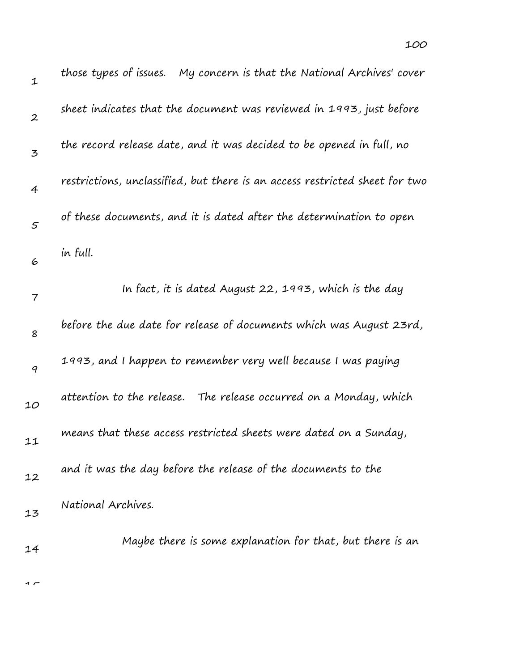| $\mathbf{1}$     | those types of issues.    My concern is that the National Archives' cover   |
|------------------|-----------------------------------------------------------------------------|
| $\boldsymbol{2}$ | sheet indicates that the document was reviewed in 1993, just before         |
| 3                | the record release date, and it was decided to be opened in full, no        |
| $\overline{4}$   | restrictions, unclassified, but there is an access restricted sheet for two |
| $\mathfrak{s}$   | of these documents, and it is dated after the determination to open         |
| 6                | in full.                                                                    |
| 7                | In fact, it is dated August 22, 1993, which is the day                      |
| 8                | before the due date for release of documents which was August 23rd,         |
| 9                | 1993, and I happen to remember very well because I was paying               |
| 10               | attention to the release.<br>The release occurred on a Monday, which        |
| 11               | means that these access restricted sheets were dated on a Sunday,           |
| 12               | and it was the day before the release of the documents to the               |
| 13               | National Archives.                                                          |
| 14               | Maybe there is some explanation for that, but there is an                   |

100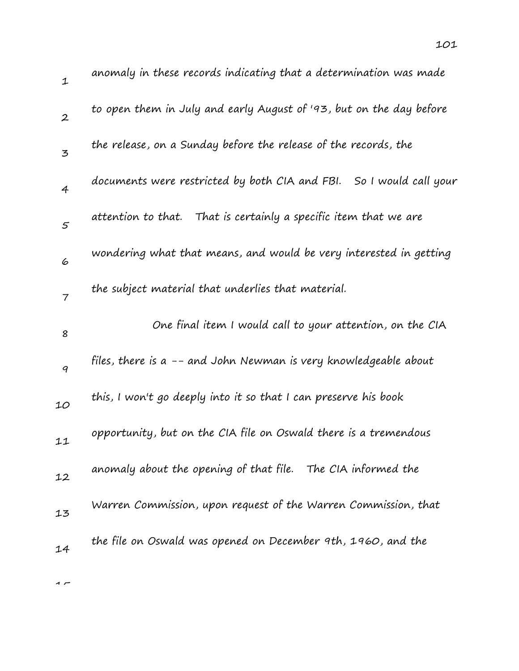| $\mathbf 1$      | anomaly in these records indicating that a determination was made   |
|------------------|---------------------------------------------------------------------|
| $\boldsymbol{2}$ | to open them in July and early August of '93, but on the day before |
| 3                | the release, on a Sunday before the release of the records, the     |
| 4                | documents were restricted by both CIA and FBI. So I would call your |
| 5                | attention to that. That is certainly a specific item that we are    |
| 6                | wondering what that means, and would be very interested in getting  |
| $\overline{7}$   | the subject material that underlies that material.                  |
| 8                | One final item I would call to your attention, on the CIA           |
| 9                | files, there is a -- and John Newman is very knowledgeable about    |
| 10               | this, I won't go deeply into it so that I can preserve his book     |
| 11               | opportunity, but on the CIA file on Oswald there is a tremendous    |
| 12               | anomaly about the opening of that file. The CIA informed the        |
| 13               | Warren Commission, upon request of the Warren Commission, that      |
|                  |                                                                     |
| 14               | the file on Oswald was opened on December 9th, 1960, and the        |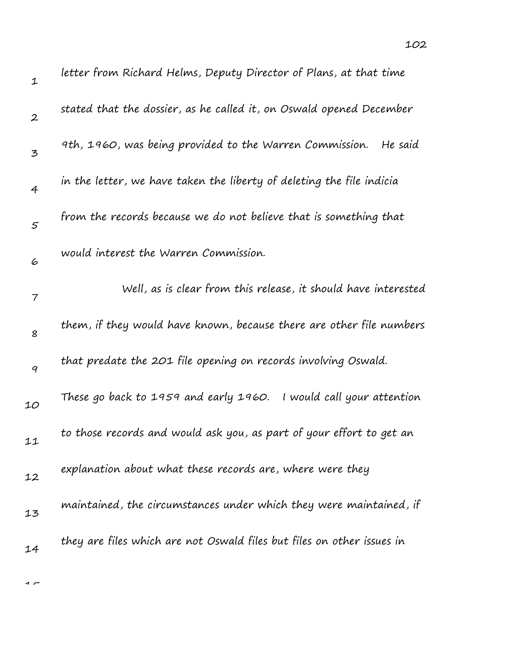| $\mathbf{1}$     | letter from Richard Helms, Deputy Director of Plans, at that time      |
|------------------|------------------------------------------------------------------------|
| $\boldsymbol{2}$ | stated that the dossier, as he called it, on Oswald opened December    |
| 3                | 9th, 1960, was being provided to the Warren Commission.<br>He said     |
| $\overline{4}$   | in the letter, we have taken the liberty of deleting the file indicia  |
| $\varsigma$      | from the records because we do not believe that is something that      |
| 6                | would interest the Warren Commission.                                  |
| 7                | Well, as is clear from this release, it should have interested         |
| 8                | them, if they would have known, because there are other file numbers   |
| 9                | that predate the 201 file opening on records involving Oswald.         |
| 10               | These go back to 1959 and early 1960. I would call your attention      |
| 11               | to those records and would ask you, as part of your effort to get an   |
| 12               | explanation about what these records are, where were they              |
| 13               | maintained, the circumstances under which they were maintained, if     |
| 14               | they are files which are not Oswald files but files on other issues in |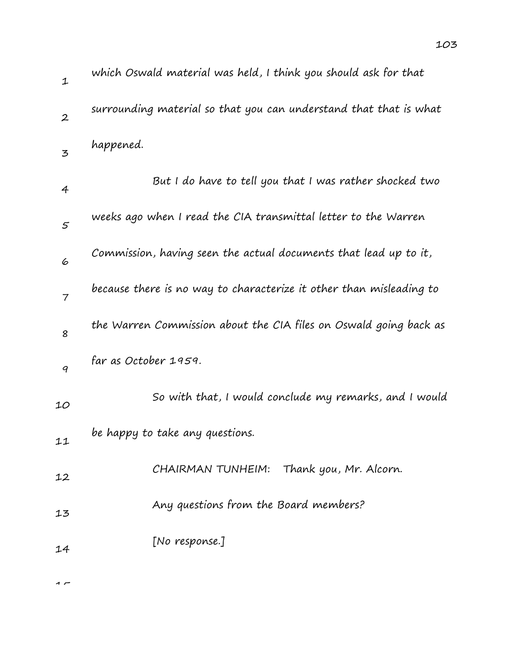| $\mathbf 1$      | which Oswald material was held, I think you should ask for that     |
|------------------|---------------------------------------------------------------------|
| $\boldsymbol{2}$ | surrounding material so that you can understand that that is what   |
| 3                | happened.                                                           |
| 4                | But I do have to tell you that I was rather shocked two             |
| 5                | weeks ago when I read the CIA transmittal letter to the Warren      |
| 6                | Commission, having seen the actual documents that lead up to it,    |
| $\overline{7}$   | because there is no way to characterize it other than misleading to |
| 8                | the Warren Commission about the CIA files on Oswald going back as   |
| 9                | far as October 1959.                                                |
| 10               | So with that, I would conclude my remarks, and I would              |
| 11               | be happy to take any questions.                                     |
| 12               | Thank you, Mr. Alcorn.<br>CHAIRMAN TUNHEIM:                         |
| 13               | Any questions from the Board members?                               |
| 14               | [No response.]                                                      |
|                  |                                                                     |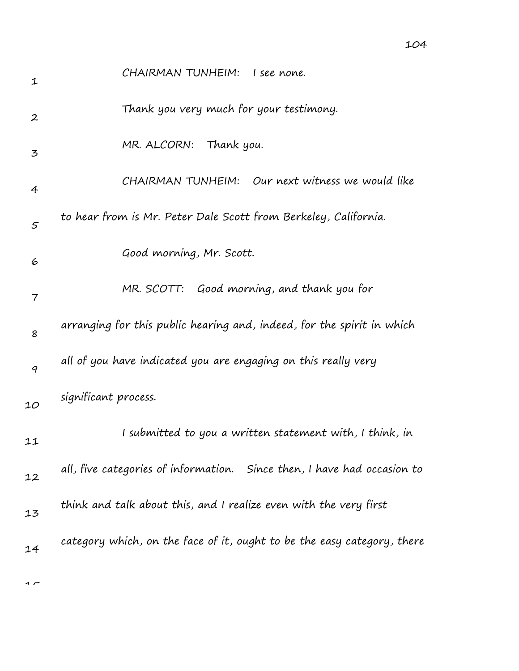| 1                | CHAIRMAN TUNHEIM: I see none.                                           |
|------------------|-------------------------------------------------------------------------|
| $\boldsymbol{2}$ | Thank you very much for your testimony.                                 |
| 3                | Thank you.<br>MR. ALCORN:                                               |
| 4                | CHAIRMAN TUNHEIM: Our next witness we would like                        |
| 5                | to hear from is Mr. Peter Dale Scott from Berkeley, California.         |
| 6                | Good morning, Mr. Scott.                                                |
| 7                | MR. SCOTT: Good morning, and thank you for                              |
| 8                | arranging for this public hearing and, indeed, for the spirit in which  |
| 9                | all of you have indicated you are engaging on this really very          |
| 10               | significant process.                                                    |
| 11               | I submitted to you a written statement with, I think, in                |
| 12               | all, five categories of information. Since then, I have had occasion to |
| 13               | think and talk about this, and I realize even with the very first       |
| 14               | category which, on the face of it, ought to be the easy category, there |
|                  |                                                                         |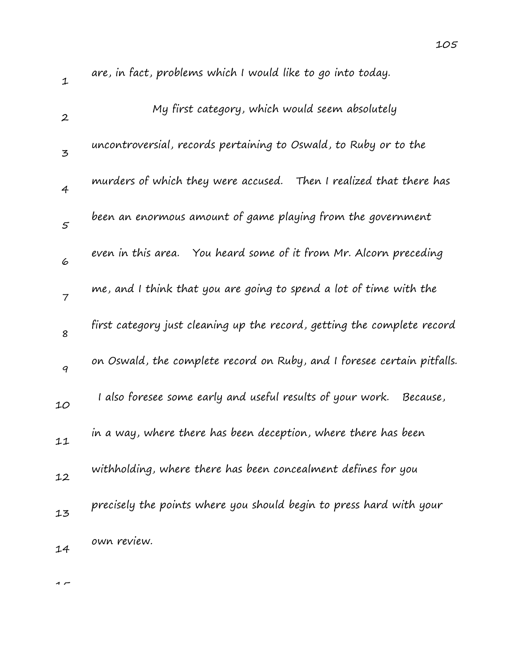| $\mathbf 1$      | are, in fact, problems which I would like to go into today.             |
|------------------|-------------------------------------------------------------------------|
| $\boldsymbol{2}$ | My first category, which would seem absolutely                          |
| 3                | uncontroversial, records pertaining to Oswald, to Ruby or to the        |
| $\overline{4}$   | murders of which they were accused. Then I realized that there has      |
| $\varsigma$      | been an enormous amount of game playing from the government             |
| 6                | even in this area.<br>You heard some of it from Mr. Alcorn preceding    |
| $\overline{7}$   | me, and I think that you are going to spend a lot of time with the      |
| 8                | first category just cleaning up the record, getting the complete record |
| 9                | on Oswald, the complete record on Ruby, and I foresee certain pitfalls. |
| 10               | I also foresee some early and useful results of your work.<br>Because,  |
| 11               | in a way, where there has been deception, where there has been          |
| 12               | withholding, where there has been concealment defines for you           |
| 13               | precisely the points where you should begin to press hard with your     |
| 14               | own review.                                                             |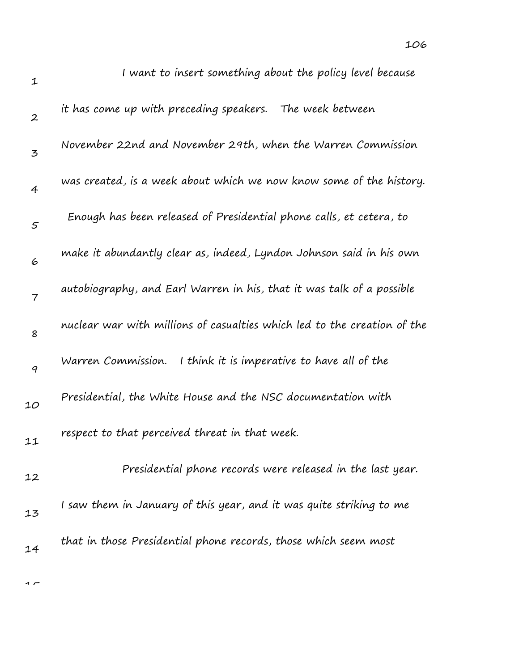| I want to insert something about the policy level because                |
|--------------------------------------------------------------------------|
| it has come up with preceding speakers. The week between                 |
| November 22nd and November 29th, when the Warren Commission              |
| was created, is a week about which we now know some of the history.      |
| Enough has been released of Presidential phone calls, et cetera, to      |
| make it abundantly clear as, indeed, Lyndon Johnson said in his own      |
| autobiography, and Earl Warren in his, that it was talk of a possible    |
| nuclear war with millions of casualties which led to the creation of the |
| Warren Commission.<br>I think it is imperative to have all of the        |
| Presidential, the White House and the NSC documentation with             |
| respect to that perceived threat in that week.                           |
| Presidential phone records were released in the last year.               |
| I saw them in January of this year, and it was quite striking to me      |
| that in those Presidential phone records, those which seem most          |
|                                                                          |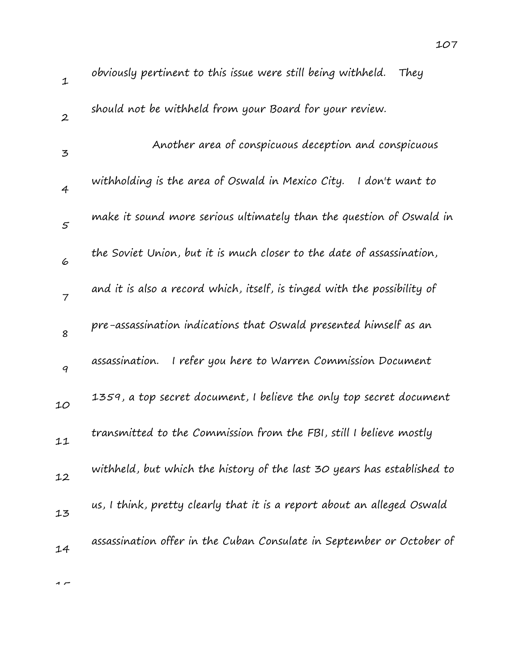| $\mathbf 1$    | obviously pertinent to this issue were still being withheld.<br>They     |
|----------------|--------------------------------------------------------------------------|
| $\mathbf{2}$   | should not be withheld from your Board for your review.                  |
| 3              | Another area of conspicuous deception and conspicuous                    |
| $\overline{4}$ | withholding is the area of Oswald in Mexico City.<br>I don't want to     |
| 5              | make it sound more serious ultimately than the question of Oswald in     |
| 6              | the Soviet Union, but it is much closer to the date of assassination,    |
| $\overline{7}$ | and it is also a record which, itself, is tinged with the possibility of |
| 8              | pre-assassination indications that Oswald presented himself as an        |
| 9              | assassination.<br>I refer you here to Warren Commission Document         |
| 10             | 1359, a top secret document, I believe the only top secret document      |
| 11             | transmitted to the Commission from the FBI, still I believe mostly       |
| 12             | withheld, but which the history of the last 30 years has established to  |
| 13             | us, I think, pretty clearly that it is a report about an alleged Oswald  |
| 14             | assassination offer in the Cuban Consulate in September or October of    |
|                |                                                                          |

107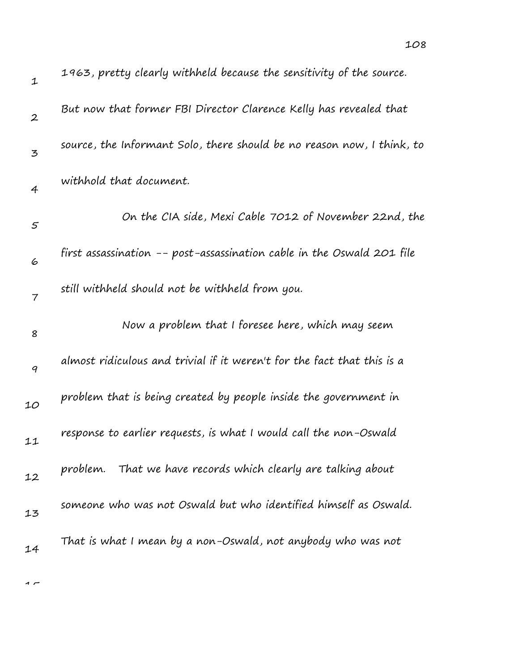| $\mathbf{1}$     | 1963, pretty clearly withheld because the sensitivity of the source.    |
|------------------|-------------------------------------------------------------------------|
| $\boldsymbol{2}$ | But now that former FBI Director Clarence Kelly has revealed that       |
| 3                | source, the Informant Solo, there should be no reason now, I think, to  |
| $\overline{4}$   | withhold that document.                                                 |
| 5                | On the CIA side, Mexi Cable 7012 of November 22nd, the                  |
| 6                | first assassination -- post-assassination cable in the Oswald 201 file  |
| $\overline{7}$   | still withheld should not be withheld from you.                         |
| 8                | Now a problem that I foresee here, which may seem                       |
| $\boldsymbol{q}$ | almost ridiculous and trivial if it weren't for the fact that this is a |
| 10               | problem that is being created by people inside the government in        |
| 11               | response to earlier requests, is what I would call the non-Oswald       |
| 12               | problem. That we have records which clearly are talking about           |
| 13               | someone who was not Oswald but who identified himself as Oswald.        |
| 14               | That is what I mean by a non-Oswald, not anybody who was not            |

 $\overline{1}$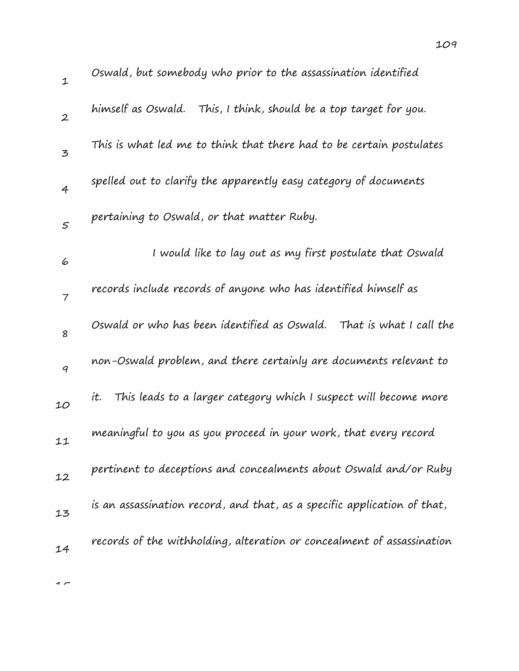| $\mathbf{1}$   | Oswald, but somebody who prior to the assassination identified           |
|----------------|--------------------------------------------------------------------------|
| $\mathbf{2}$   | himself as Oswald.<br>This, I think, should be a top target for you.     |
| $\mathbf{z}$   | This is what led me to think that there had to be certain postulates     |
| $\overline{4}$ | spelled out to clarify the apparently easy category of documents         |
| $\mathfrak{s}$ | pertaining to Oswald, or that matter Ruby.                               |
| 6              | I would like to lay out as my first postulate that Oswald                |
| $\overline{7}$ | records include records of anyone who has identified himself as          |
| 8              | Oswald or who has been identified as Oswald.<br>That is what I call the  |
| 9              | non-Oswald problem, and there certainly are documents relevant to        |
| 10             | This leads to a larger category which I suspect will become more<br>it.  |
| 11             | meaningful to you as you proceed in your work, that every record         |
| 12             | pertinent to deceptions and concealments about Oswald and/or Ruby        |
| 13             | is an assassination record, and that, as a specific application of that, |
| 14             | records of the withholding, alteration or concealment of assassination   |
|                |                                                                          |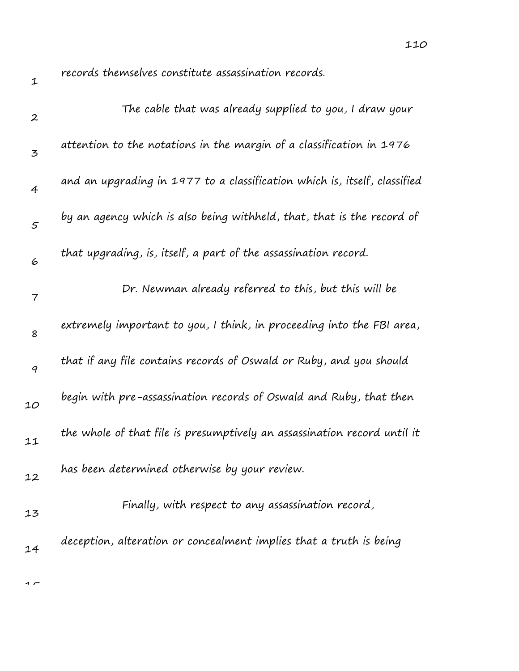records themselves constitute assassination records.

| $\boldsymbol{2}$ | The cable that was already supplied to you, I draw your                   |
|------------------|---------------------------------------------------------------------------|
| $\mathbf{z}$     | attention to the notations in the margin of a classification in 1976      |
| 4                | and an upgrading in 1977 to a classification which is, itself, classified |
| $\mathcal{S}$    | by an agency which is also being withheld, that, that is the record of    |
| 6                | that upgrading, is, itself, a part of the assassination record.           |
| $\overline{7}$   | Dr. Newman already referred to this, but this will be                     |
| 8                | extremely important to you, I think, in proceeding into the FBI area,     |
| 9                | that if any file contains records of Oswald or Ruby, and you should       |
| 10               | begin with pre-assassination records of Oswald and Ruby, that then        |
| 11               | the whole of that file is presumptively an assassination record until it  |
| 12               | has been determined otherwise by your review.                             |
|                  | Finally, with respect to any assassination record,                        |
| 13<br>14         | deception, alteration or concealment implies that a truth is being        |
|                  |                                                                           |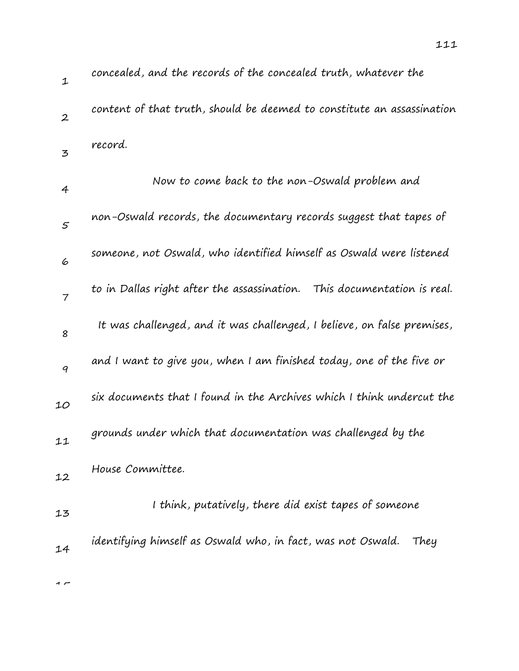| ${\mathcal{I}}$  | concealed, and the records of the concealed truth, whatever the            |
|------------------|----------------------------------------------------------------------------|
| $\boldsymbol{2}$ | content of that truth, should be deemed to constitute an assassination     |
| 3                | record.                                                                    |
| 4                | Now to come back to the non-Oswald problem and                             |
| 5                | non-Oswald records, the documentary records suggest that tapes of          |
| 6                | someone, not Oswald, who identified himself as Oswald were listened        |
| $\overline{7}$   | to in Dallas right after the assassination.<br>This documentation is real. |
| 8                | It was challenged, and it was challenged, I believe, on false premises,    |
| 9                | and I want to give you, when I am finished today, one of the five or       |
| 10               | six documents that I found in the Archives which I think undercut the      |
| 11               | grounds under which that documentation was challenged by the               |
| 12               | House Committee.                                                           |
| 13               | I think, putatively, there did exist tapes of someone                      |
| 14               | identifying himself as Oswald who, in fact, was not Oswald.<br>They        |
|                  |                                                                            |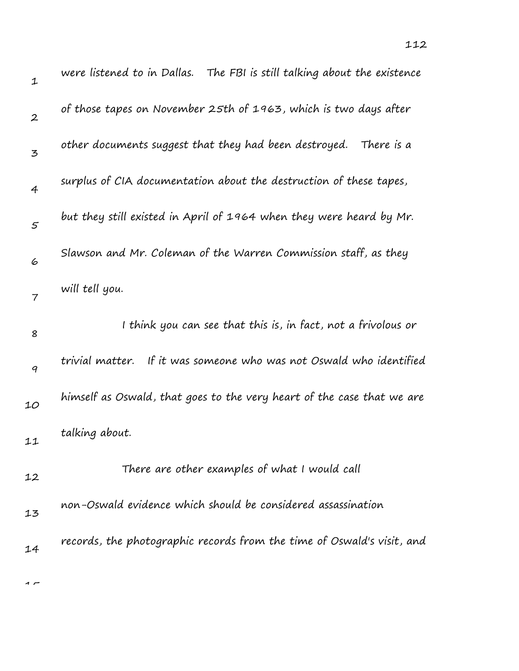| $\mathbf 1$      | were listened to in Dallas. The FBI is still talking about the existence |
|------------------|--------------------------------------------------------------------------|
| $\boldsymbol{2}$ | of those tapes on November 25th of 1963, which is two days after         |
| 3                | other documents suggest that they had been destroyed.<br>There is a      |
| $\overline{4}$   | surplus of CIA documentation about the destruction of these tapes,       |
| 5                | but they still existed in April of 1964 when they were heard by Mr.      |
| 6                | Slawson and Mr. Coleman of the Warren Commission staff, as they          |
| $\overline{7}$   | will tell you.                                                           |
| 8                | I think you can see that this is, in fact, not a frivolous or            |
| $\boldsymbol{q}$ | If it was someone who was not Oswald who identified<br>trivial matter.   |
| 10               | himself as Oswald, that goes to the very heart of the case that we are   |
| 11               | talking about.                                                           |
| 12               | There are other examples of what I would call                            |
| 13               | non-Oswald evidence which should be considered assassination             |
| 14               | records, the photographic records from the time of Oswald's visit, and   |
|                  |                                                                          |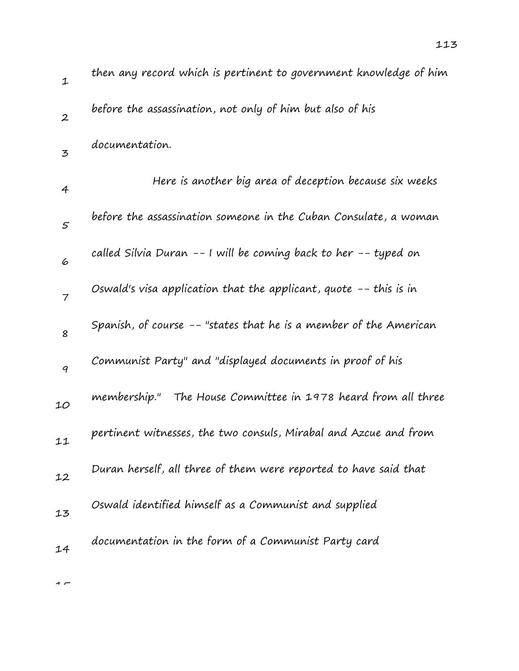| $\mathbf 1$      | then any record which is pertinent to government knowledge of him   |
|------------------|---------------------------------------------------------------------|
| $\boldsymbol{2}$ | before the assassination, not only of him but also of his           |
| 3                | documentation.                                                      |
| 4                | Here is another big area of deception because six weeks             |
| $\varsigma$      | before the assassination someone in the Cuban Consulate, a woman    |
| 6                | called Silvia Duran -- I will be coming back to her -- typed on     |
| $\overline{7}$   | Oswald's visa application that the applicant, quote $-$ -this is in |
| 8                | Spanish, of course -- "states that he is a member of the American   |
| $\boldsymbol{q}$ | Communist Party" and "displayed documents in proof of his           |
| 10               | membership." The House Committee in 1978 heard from all three       |
| 11               | pertinent witnesses, the two consuls, Mirabal and Azcue and from    |
| 12               | Duran herself, all three of them were reported to have said that    |
| 13               | Oswald identified himself as a Communist and supplied               |
| 14               | documentation in the form of a Communist Party card                 |
|                  |                                                                     |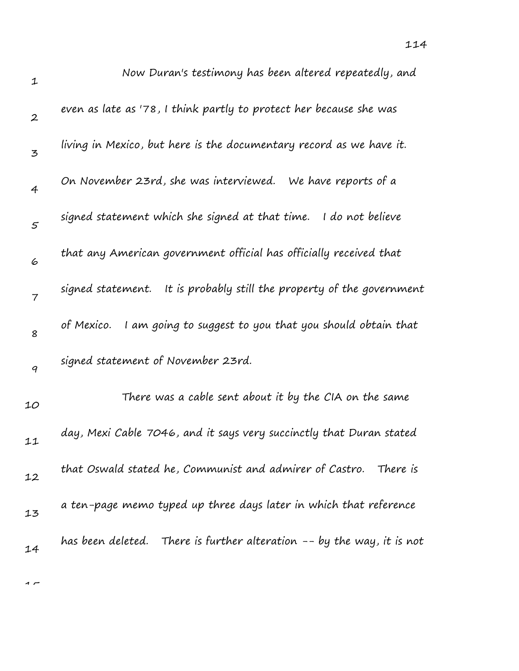| $\mathbf 1$      | Now Duran's testimony has been altered repeatedly, and                 |
|------------------|------------------------------------------------------------------------|
| $\boldsymbol{2}$ | even as late as '78, I think partly to protect her because she was     |
| 3                | living in Mexico, but here is the documentary record as we have it.    |
| $\overline{4}$   | On November 23rd, she was interviewed. We have reports of a            |
| $\mathfrak{s}$   | signed statement which she signed at that time. I do not believe       |
| 6                | that any American government official has officially received that     |
| $\overline{7}$   | signed statement. It is probably still the property of the government  |
| 8                | of Mexico.<br>I am going to suggest to you that you should obtain that |
| 9                | signed statement of November 23rd.                                     |
| 10               | There was a cable sent about it by the CIA on the same                 |
| 11               | day, Mexi Cable 7046, and it says very succinctly that Duran stated    |
| 12               | that Oswald stated he, Communist and admirer of Castro.<br>There is    |
| 13               | a ten-page memo typed up three days later in which that reference      |
| 14               | has been deleted. There is further alteration -- by the way, it is not |

 $\overline{a}$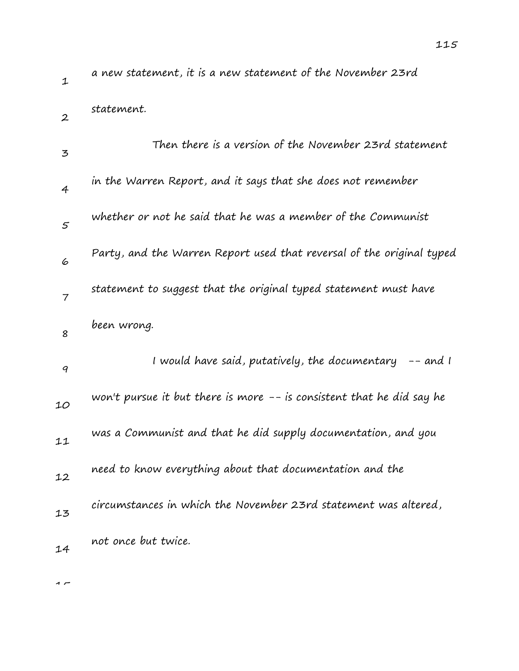| $\mathbf{1}$   | a new statement, it is a new statement of the November 23rd            |
|----------------|------------------------------------------------------------------------|
| $\overline{2}$ | statement.                                                             |
| 3              | Then there is a version of the November 23rd statement                 |
| $\overline{4}$ | in the Warren Report, and it says that she does not remember           |
| 5              | whether or not he said that he was a member of the Communist           |
| 6              | Party, and the Warren Report used that reversal of the original typed  |
| $\overline{7}$ | statement to suggest that the original typed statement must have       |
| 8              | been wrong.                                                            |
| 9              | I would have said, putatively, the documentary<br>$--$ and $\prime$    |
| 10             | won't pursue it but there is more $-$ is consistent that he did say he |
| 11             | was a Communist and that he did supply documentation, and you          |
|                |                                                                        |
| 12             | need to know everything about that documentation and the               |
| 13             | circumstances in which the November 23rd statement was altered,        |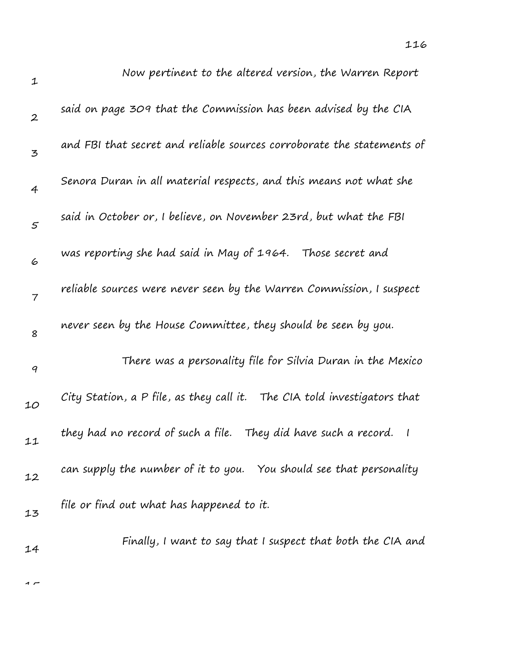| $\mathbf{1}$     | Now pertinent to the altered version, the Warren Report                          |
|------------------|----------------------------------------------------------------------------------|
| $\boldsymbol{2}$ | said on page 309 that the Commission has been advised by the CIA                 |
| 3                | and FBI that secret and reliable sources corroborate the statements of           |
| $\overline{4}$   | Senora Duran in all material respects, and this means not what she               |
| $\mathfrak{s}$   | said in October or, I believe, on November 23rd, but what the FBI                |
| 6                | was reporting she had said in May of 1964. Those secret and                      |
| $\overline{7}$   | reliable sources were never seen by the Warren Commission, I suspect             |
| 8                | never seen by the House Committee, they should be seen by you.                   |
| $\boldsymbol{q}$ | There was a personality file for Silvia Duran in the Mexico                      |
| 10               | City Station, a P file, as they call it. The CIA told investigators that         |
| 11               | they had no record of such a file. They did have such a record.<br>$\mathcal{I}$ |
| 12               | can supply the number of it to you. You should see that personality              |
| 13               | file or find out what has happened to it.                                        |
| 14               | Finally, I want to say that I suspect that both the CIA and                      |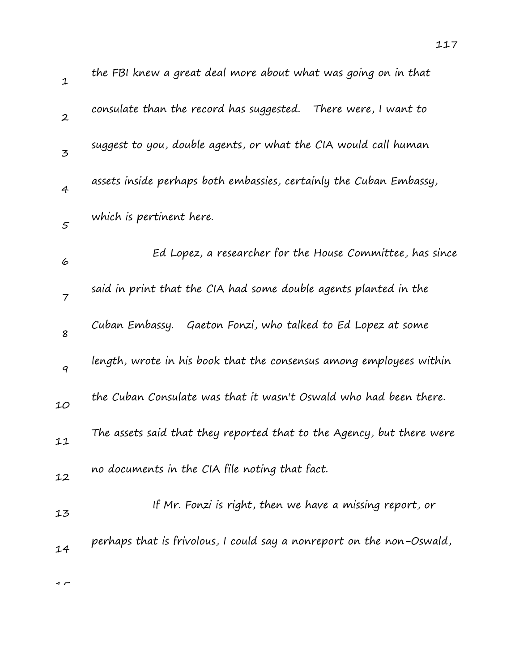| the FBI knew a great deal more about what was going on in that        |
|-----------------------------------------------------------------------|
| consulate than the record has suggested. There were, I want to        |
| suggest to you, double agents, or what the CIA would call human       |
| assets inside perhaps both embassies, certainly the Cuban Embassy,    |
| which is pertinent here.                                              |
| Ed Lopez, a researcher for the House Committee, has since             |
| said in print that the CIA had some double agents planted in the      |
| Cuban Embassy. Gaeton Fonzi, who talked to Ed Lopez at some           |
| length, wrote in his book that the consensus among employees within   |
| the Cuban Consulate was that it wasn't Oswald who had been there.     |
| The assets said that they reported that to the Agency, but there were |
| no documents in the CIA file noting that fact.                        |
| If Mr. Fonzi is right, then we have a missing report, or              |
|                                                                       |

perhaps that is frivolous, I could say a nonreport on the non-Oswald,

 $\sim$ 

14

1

2

3

4

5

6

7

8

9

10

11

12

13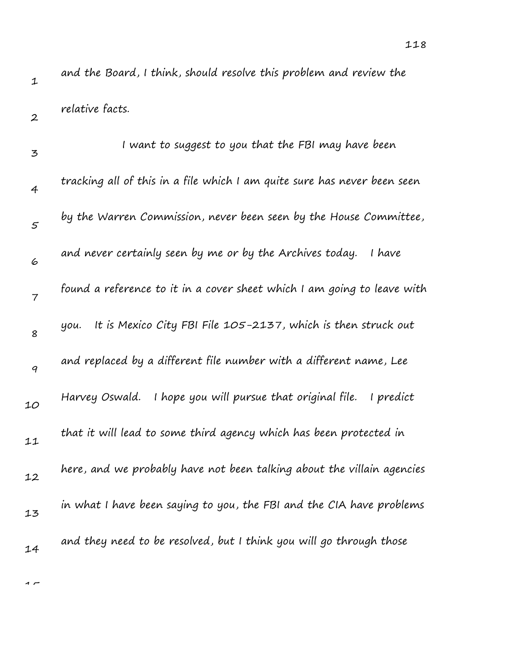2

and the Board, I think, should resolve this problem and review the relative facts.

3 4 5 6 7 8 9 10 11 12 13 14 I want to suggest to you that the FBI may have been tracking all of this in a file which I am quite sure has never been seen by the Warren Commission, never been seen by the House Committee, and never certainly seen by me or by the Archives today. I have found a reference to it in a cover sheet which I am going to leave with you. It is Mexico City FBI File 105-2137, which is then struck out and replaced by a different file number with a different name, Lee Harvey Oswald. I hope you will pursue that original file. I predict that it will lead to some third agency which has been protected in here, and we probably have not been talking about the villain agencies in what I have been saying to you, the FBI and the CIA have problems and they need to be resolved, but I think you will go through those

1 –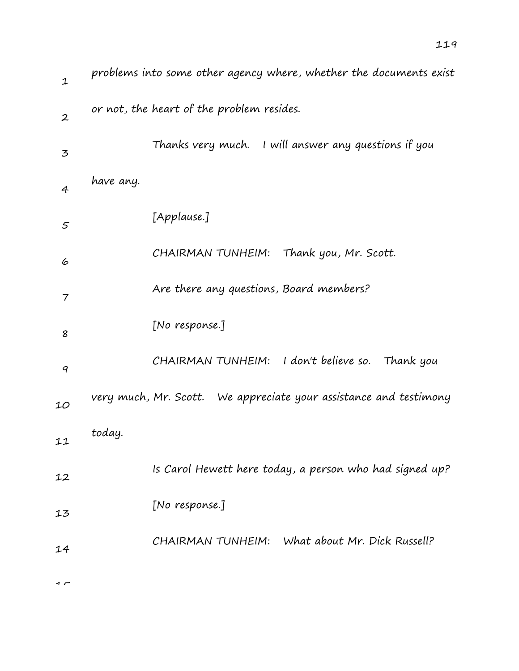| $\mathbf{1}$     | problems into some other agency where, whether the documents exist |
|------------------|--------------------------------------------------------------------|
| $\boldsymbol{2}$ | or not, the heart of the problem resides.                          |
| 3                | Thanks very much. I will answer any questions if you               |
| $\overline{4}$   | have any.                                                          |
| 5                | [Applause.]                                                        |
| 6                | CHAIRMAN TUNHEIM: Thank you, Mr. Scott.                            |
| 7                | Are there any questions, Board members?                            |
| 8                | [No response.]                                                     |
| 9                | CHAIRMAN TUNHEIM: I don't believe so. Thank you                    |
| 10               | very much, Mr. Scott. We appreciate your assistance and testimony  |
| 11               | today.                                                             |
| 12               | Is Carol Hewett here today, a person who had signed up?            |
| 13               | [No response.]                                                     |
| 14               | CHAIRMAN TUNHEIM: What about Mr. Dick Russell?                     |
|                  |                                                                    |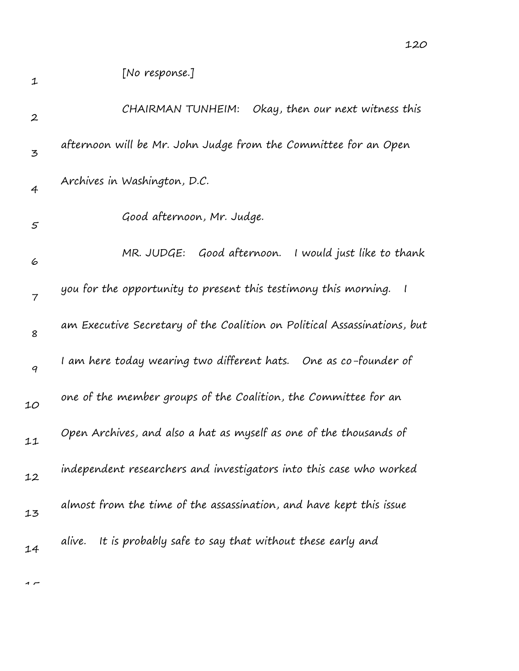| $\boldsymbol{2}$ | CHAIRMAN TUNHEIM:<br>Okay, then our next witness this                                       |
|------------------|---------------------------------------------------------------------------------------------|
| 3                | afternoon will be Mr. John Judge from the Committee for an Open                             |
| $\overline{4}$   | Archives in Washington, D.C.                                                                |
| $\mathfrak{s}$   | Good afternoon, Mr. Judge.                                                                  |
| 6                | MR. JUDGE: Good afternoon.<br>I would just like to thank                                    |
| $\overline{7}$   | you for the opportunity to present this testimony this morning.<br>$\overline{\phantom{a}}$ |
| 8                | am Executive Secretary of the Coalition on Political Assassinations, but                    |
| $\boldsymbol{q}$ | I am here today wearing two different hats. One as co-founder of                            |
| 10               | one of the member groups of the Coalition, the Committee for an                             |
| 11               | Open Archives, and also a hat as myself as one of the thousands of                          |
| 12               | independent researchers and investigators into this case who worked                         |
| 13               | almost from the time of the assassination, and have kept this issue                         |
| 14               | It is probably safe to say that without these early and<br>alive.                           |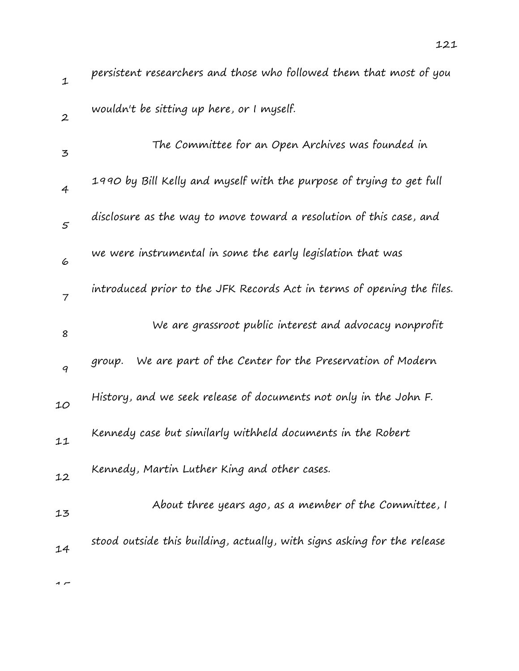| $\mathbf{1}$     | persistent researchers and those who followed them that most of you      |
|------------------|--------------------------------------------------------------------------|
| $\boldsymbol{2}$ | wouldn't be sitting up here, or I myself.                                |
| $\mathbf{z}$     | The Committee for an Open Archives was founded in                        |
| $\overline{4}$   | 1990 by Bill Kelly and myself with the purpose of trying to get full     |
| $\varsigma$      | disclosure as the way to move toward a resolution of this case, and      |
| 6                | we were instrumental in some the early legislation that was              |
| $\overline{7}$   | introduced prior to the JFK Records Act in terms of opening the files.   |
| 8                | We are grassroot public interest and advocacy nonprofit                  |
| 9                | We are part of the Center for the Preservation of Modern<br>group.       |
| 10               | History, and we seek release of documents not only in the John F.        |
| 11               | Kennedy case but similarly withheld documents in the Robert              |
| 12               | Kennedy, Martin Luther King and other cases.                             |
| 13               | About three years ago, as a member of the Committee, I                   |
| 14               | stood outside this building, actually, with signs asking for the release |
|                  |                                                                          |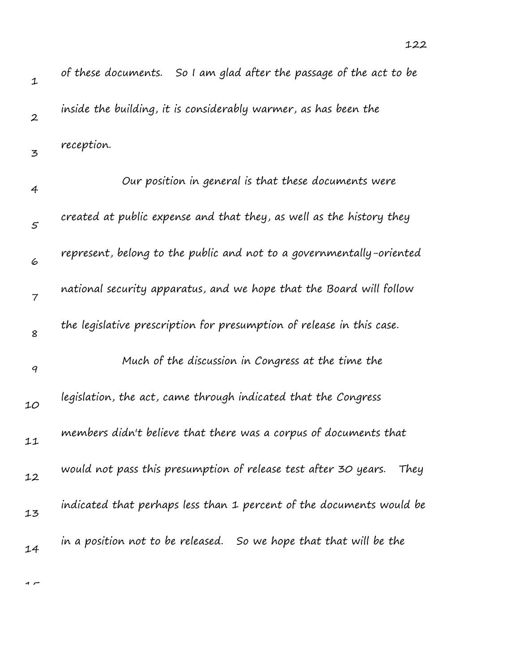| $\mathbf 1$      | of these documents. So I am glad after the passage of the act to be     |
|------------------|-------------------------------------------------------------------------|
| $\boldsymbol{2}$ | inside the building, it is considerably warmer, as has been the         |
| 3                | reception.                                                              |
| 4                | Our position in general is that these documents were                    |
| $\varsigma$      | created at public expense and that they, as well as the history they    |
| 6                | represent, belong to the public and not to a governmentally-oriented    |
| $\overline{7}$   | national security apparatus, and we hope that the Board will follow     |
| 8                | the legislative prescription for presumption of release in this case.   |
| 9                | Much of the discussion in Congress at the time the                      |
| 10               | legislation, the act, came through indicated that the Congress          |
| 11               | members didn't believe that there was a corpus of documents that        |
| 12               | would not pass this presumption of release test after 30 years.<br>They |
| 13               | indicated that perhaps less than 1 percent of the documents would be    |
| 14               | in a position not to be released. So we hope that that will be the      |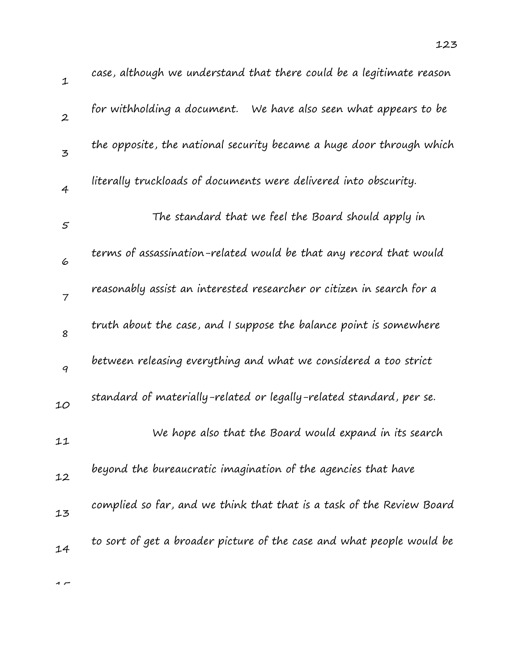| 1                | case, although we understand that there could be a legitimate reason  |
|------------------|-----------------------------------------------------------------------|
| $\boldsymbol{2}$ | for withholding a document. We have also seen what appears to be      |
| $\mathbf{z}$     | the opposite, the national security became a huge door through which  |
| $\overline{4}$   | literally truckloads of documents were delivered into obscurity.      |
| 5                | The standard that we feel the Board should apply in                   |
| 6                | terms of assassination-related would be that any record that would    |
| $\overline{7}$   | reasonably assist an interested researcher or citizen in search for a |
| 8                | truth about the case, and I suppose the balance point is somewhere    |
| $\boldsymbol{q}$ | between releasing everything and what we considered a too strict      |
| 10               | standard of materially-related or legally-related standard, per se.   |
| 11               | We hope also that the Board would expand in its search                |
| 12               | beyond the bureaucratic imagination of the agencies that have         |
| 13               | complied so far, and we think that that is a task of the Review Board |
| 14               | to sort of get a broader picture of the case and what people would be |
|                  |                                                                       |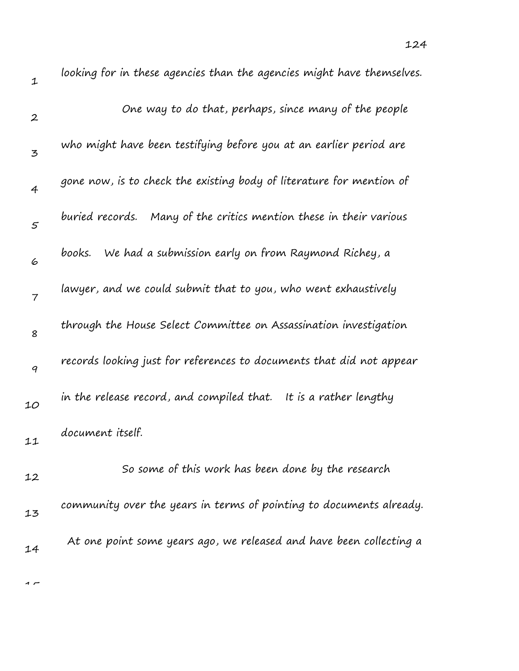| $\mathbf 1$      | looking for in these agencies than the agencies might have themselves. |
|------------------|------------------------------------------------------------------------|
| $\boldsymbol{2}$ | One way to do that, perhaps, since many of the people                  |
| 3                | who might have been testifying before you at an earlier period are     |
| 4                | gone now, is to check the existing body of literature for mention of   |
| 5                | buried records. Many of the critics mention these in their various     |
| 6                | We had a submission early on from Raymond Richey, a<br>books.          |
| 7                | lawyer, and we could submit that to you, who went exhaustively         |
| 8                | through the House Select Committee on Assassination investigation      |
| 9                | records looking just for references to documents that did not appear   |
| 10               | in the release record, and compiled that. It is a rather lengthy       |
| 11               | document itself.                                                       |
| 12               | So some of this work has been done by the research                     |
| 13               | community over the years in terms of pointing to documents already.    |
| 14               | At one point some years ago, we released and have been collecting a    |
|                  |                                                                        |

 $\overline{1}$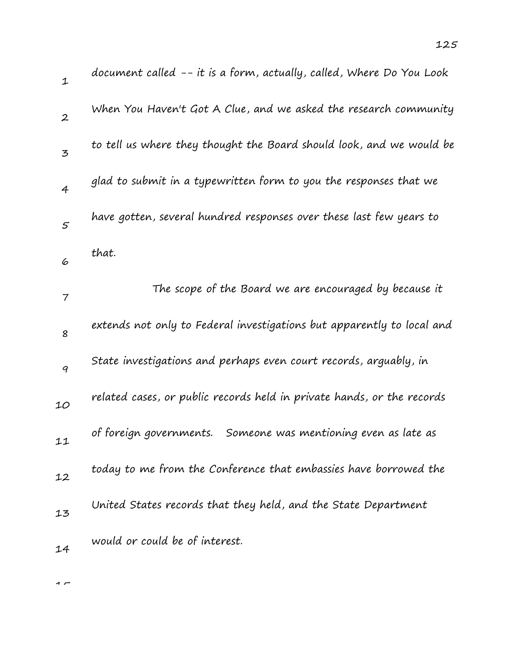| $\mathbf{1}$     | document called -- it is a form, actually, called, Where Do You Look   |
|------------------|------------------------------------------------------------------------|
| $\boldsymbol{2}$ | When You Haven't Got A Clue, and we asked the research community       |
| 3                | to tell us where they thought the Board should look, and we would be   |
| $\overline{4}$   | glad to submit in a typewritten form to you the responses that we      |
| 5                | have gotten, several hundred responses over these last few years to    |
| 6                | that.                                                                  |
| $\overline{7}$   | The scope of the Board we are encouraged by because it                 |
| 8                | extends not only to Federal investigations but apparently to local and |
| 9                | State investigations and perhaps even court records, arguably, in      |
| 10               | related cases, or public records held in private hands, or the records |
| 11               | Someone was mentioning even as late as<br>of foreign governments.      |
| 12               | today to me from the Conference that embassies have borrowed the       |
| 13               | United States records that they held, and the State Department         |
| 14               | would or could be of interest.                                         |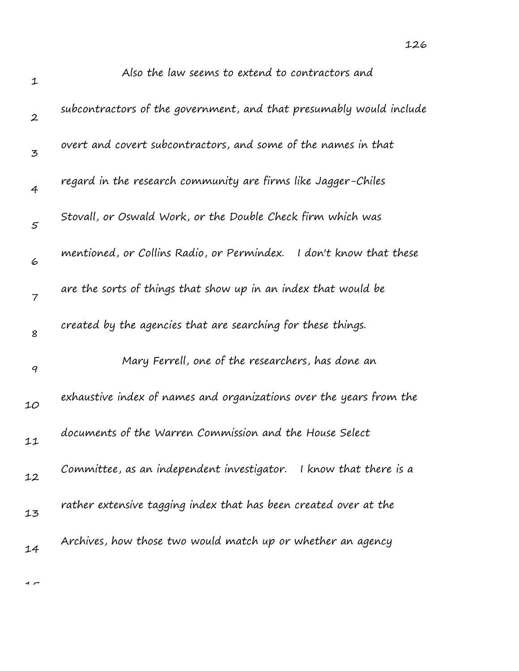| 1                | Also the law seems to extend to contractors and                       |
|------------------|-----------------------------------------------------------------------|
| $\boldsymbol{2}$ | subcontractors of the government, and that presumably would include   |
| 3                | overt and covert subcontractors, and some of the names in that        |
| 4                | regard in the research community are firms like Jagger-Chiles         |
| $\mathfrak{s}$   | Stovall, or Oswald Work, or the Double Check firm which was           |
| 6                | mentioned, or Collins Radio, or Permindex.<br>I don't know that these |
| 7                | are the sorts of things that show up in an index that would be        |
| 8                | created by the agencies that are searching for these things.          |
| 9                | Mary Ferrell, one of the researchers, has done an                     |
| 10               | exhaustive index of names and organizations over the years from the   |
| 11               | documents of the Warren Commission and the House Select               |
| 12               | Committee, as an independent investigator. I know that there is a     |
| 13               | rather extensive tagging index that has been created over at the      |
| 14               | Archives, how those two would match up or whether an agency           |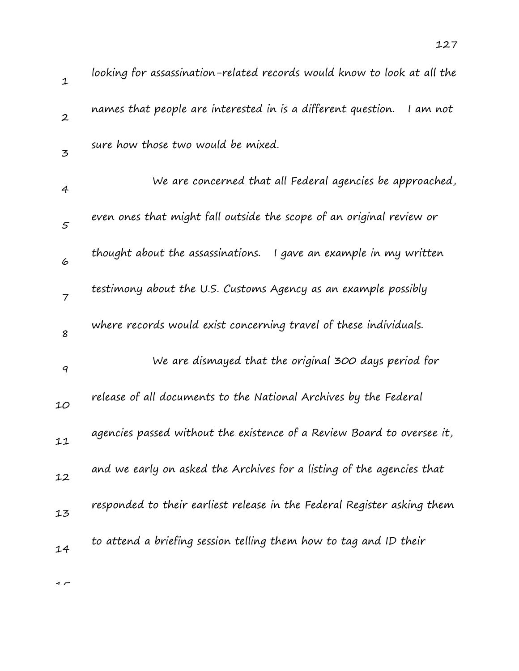| $\mathbf 1$      | looking for assassination-related records would know to look at all the  |
|------------------|--------------------------------------------------------------------------|
| $\boldsymbol{2}$ | names that people are interested in is a different question.<br>I am not |
| 3                | sure how those two would be mixed.                                       |
| 4                | We are concerned that all Federal agencies be approached,                |
| 5                | even ones that might fall outside the scope of an original review or     |
| 6                | thought about the assassinations. I gave an example in my written        |
| $\overline{7}$   | testimony about the U.S. Customs Agency as an example possibly           |
| 8                | where records would exist concerning travel of these individuals.        |
| $\boldsymbol{q}$ | We are dismayed that the original 300 days period for                    |
| 10               | release of all documents to the National Archives by the Federal         |
| 11               | agencies passed without the existence of a Review Board to oversee it,   |
| 12               | and we early on asked the Archives for a listing of the agencies that    |
| 13               | responded to their earliest release in the Federal Register asking them  |
| 14               | to attend a briefing session telling them how to tag and ID their        |
|                  |                                                                          |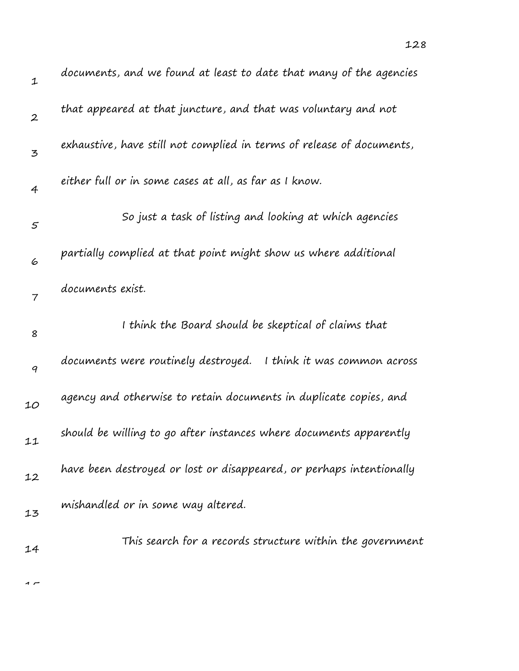| $\mathbf{1}$     | documents, and we found at least to date that many of the agencies    |
|------------------|-----------------------------------------------------------------------|
| $\boldsymbol{2}$ | that appeared at that juncture, and that was voluntary and not        |
| 3                | exhaustive, have still not complied in terms of release of documents, |
| $\overline{4}$   | either full or in some cases at all, as far as I know.                |
| $\varsigma$      | So just a task of listing and looking at which agencies               |
| 6                | partially complied at that point might show us where additional       |
| $\overline{7}$   | documents exist.                                                      |
| 8                | I think the Board should be skeptical of claims that                  |
| 9                | documents were routinely destroyed.<br>I think it was common across   |
| 10               | agency and otherwise to retain documents in duplicate copies, and     |
| 11               | should be willing to go after instances where documents apparently    |
| 12               | have been destroyed or lost or disappeared, or perhaps intentionally  |
| 13               | mishandled or in some way altered.                                    |
| 14               | This search for a records structure within the government             |

128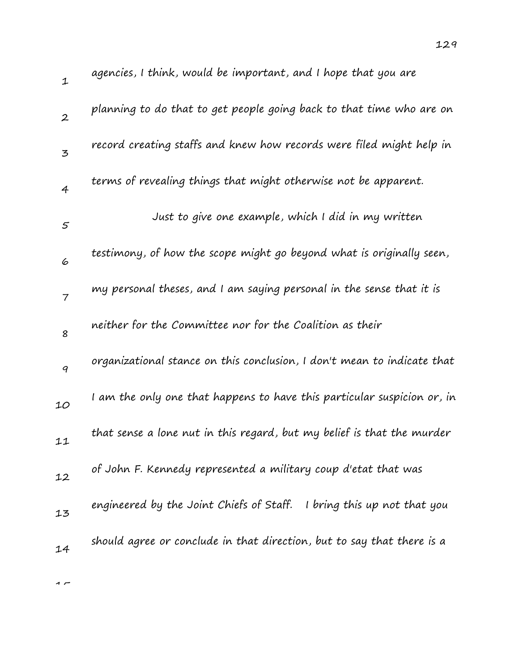| 1              | agencies, I think, would be important, and I hope that you are           |
|----------------|--------------------------------------------------------------------------|
| $\overline{2}$ | planning to do that to get people going back to that time who are on     |
| $\overline{5}$ | record creating staffs and knew how records were filed might help in     |
| $\overline{4}$ | terms of revealing things that might otherwise not be apparent.          |
| $\mathfrak{s}$ | Just to give one example, which I did in my written                      |
| 6              | testimony, of how the scope might go beyond what is originally seen,     |
| $\overline{7}$ | my personal theses, and I am saying personal in the sense that it is     |
| 8              | neither for the Committee nor for the Coalition as their                 |
| 9              | organizational stance on this conclusion, I don't mean to indicate that  |
| 10             | I am the only one that happens to have this particular suspicion or, in  |
| 11             | that sense a lone nut in this regard, but my belief is that the murder   |
| 12             | of John F. Kennedy represented a military coup d'etat that was           |
| 13             | engineered by the Joint Chiefs of Staff.<br>I bring this up not that you |
| 14             | should agree or conclude in that direction, but to say that there is a   |

129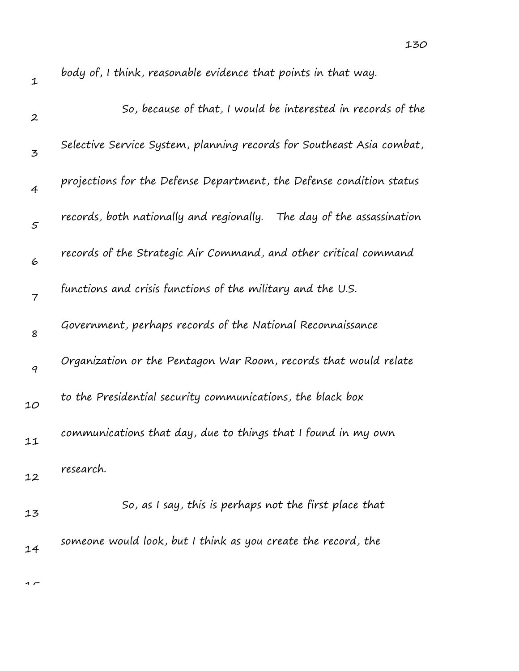| $\mathbf 1$      | body of, I think, reasonable evidence that points in that way.           |
|------------------|--------------------------------------------------------------------------|
| $\boldsymbol{2}$ | So, because of that, I would be interested in records of the             |
| 3                | Selective Service System, planning records for Southeast Asia combat,    |
| $\overline{4}$   | projections for the Defense Department, the Defense condition status     |
| $\mathfrak{s}$   | records, both nationally and regionally.<br>The day of the assassination |
| 6                | records of the Strategic Air Command, and other critical command         |
| $\overline{7}$   | functions and crisis functions of the military and the U.S.              |
| 8                | Government, perhaps records of the National Reconnaissance               |
| 9                | Organization or the Pentagon War Room, records that would relate         |
| 10               | to the Presidential security communications, the black box               |
| 11               | communications that day, due to things that I found in my own            |
| 12               | research.                                                                |
| 13               | So, as I say, this is perhaps not the first place that                   |
| 14               | someone would look, but I think as you create the record, the            |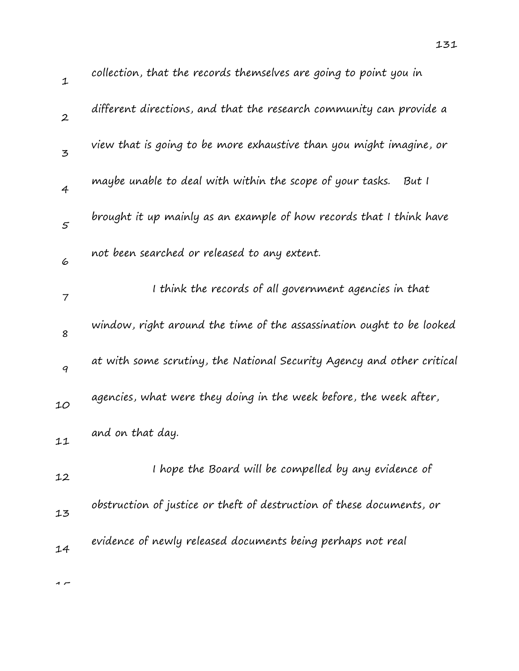131

| $\boldsymbol{2}$         | different directions, and that the research community can provide a    |
|--------------------------|------------------------------------------------------------------------|
| $\overline{5}$           | view that is going to be more exhaustive than you might imagine, or    |
| $\overline{4}$           | maybe unable to deal with within the scope of your tasks.<br>But I     |
| 5                        | brought it up mainly as an example of how records that I think have    |
| 6                        | not been searched or released to any extent.                           |
| $\overline{\phantom{a}}$ | I think the records of all government agencies in that                 |
| 8                        | window, right around the time of the assassination ought to be looked  |
| 9                        | at with some scrutiny, the National Security Agency and other critical |
| 10                       | agencies, what were they doing in the week before, the week after,     |
| 11                       | and on that day.                                                       |
| 12                       | I hope the Board will be compelled by any evidence of                  |
| 13                       | obstruction of justice or theft of destruction of these documents, or  |
| 14                       | evidence of newly released documents being perhaps not real            |

 $\rightarrow$ 

1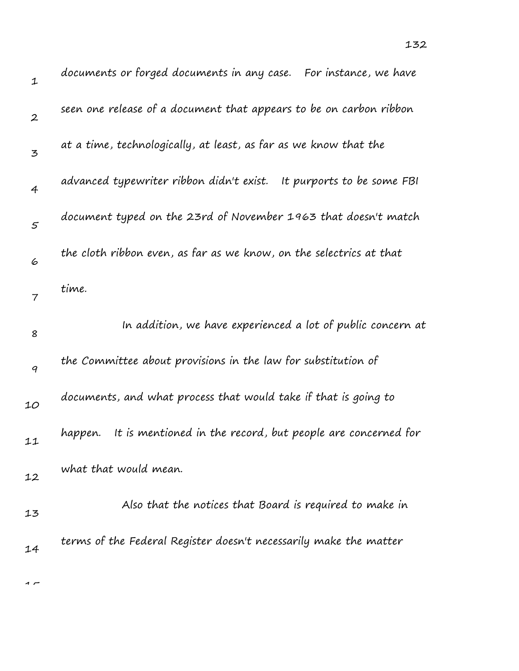| $\mathbf 1$      | documents or forged documents in any case. For instance, we have       |
|------------------|------------------------------------------------------------------------|
| $\boldsymbol{2}$ | seen one release of a document that appears to be on carbon ribbon     |
| 3                | at a time, technologically, at least, as far as we know that the       |
| $\overline{4}$   | advanced typewriter ribbon didn't exist.<br>It purports to be some FBI |
| $\varsigma$      | document typed on the 23rd of November 1963 that doesn't match         |
| 6                | the cloth ribbon even, as far as we know, on the selectrics at that    |
| 7                | time.                                                                  |
| 8                | In addition, we have experienced a lot of public concern at            |
| $\boldsymbol{q}$ | the Committee about provisions in the law for substitution of          |
|                  |                                                                        |
| 10               | documents, and what process that would take if that is going to        |
| 11               | It is mentioned in the record, but people are concerned for<br>happen. |
| 12               | what that would mean.                                                  |
| 13               | Also that the notices that Board is required to make in                |
| 14               | terms of the Federal Register doesn't necessarily make the matter      |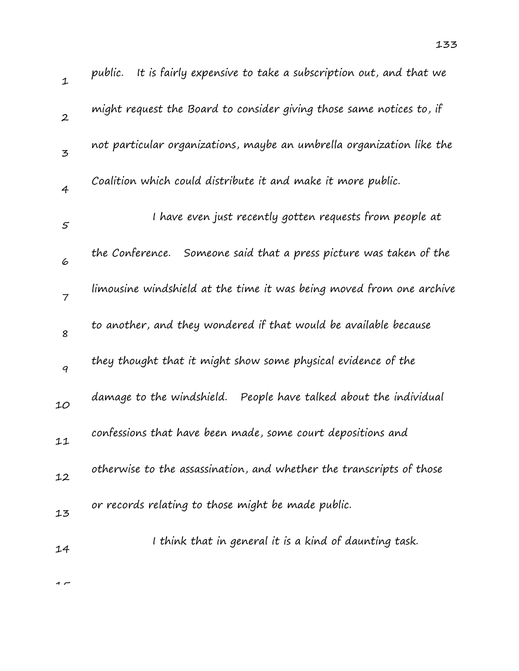| $\mathbf{1}$     | It is fairly expensive to take a subscription out, and that we<br>public. |
|------------------|---------------------------------------------------------------------------|
| $\boldsymbol{2}$ | might request the Board to consider giving those same notices to, if      |
| 3                | not particular organizations, maybe an umbrella organization like the     |
| $\overline{4}$   | Coalition which could distribute it and make it more public.              |
| $\mathfrak{s}$   | I have even just recently gotten requests from people at                  |
| 6                | Someone said that a press picture was taken of the<br>the Conference.     |
| $\overline{7}$   | limousine windshield at the time it was being moved from one archive      |
| 8                | to another, and they wondered if that would be available because          |
| 9                | they thought that it might show some physical evidence of the             |
| 10               | People have talked about the individual<br>damage to the windshield.      |
| 11               | confessions that have been made, some court depositions and               |
| 12               | otherwise to the assassination, and whether the transcripts of those      |
| 13               | or records relating to those might be made public.                        |
| 14               | I think that in general it is a kind of daunting task.                    |
|                  |                                                                           |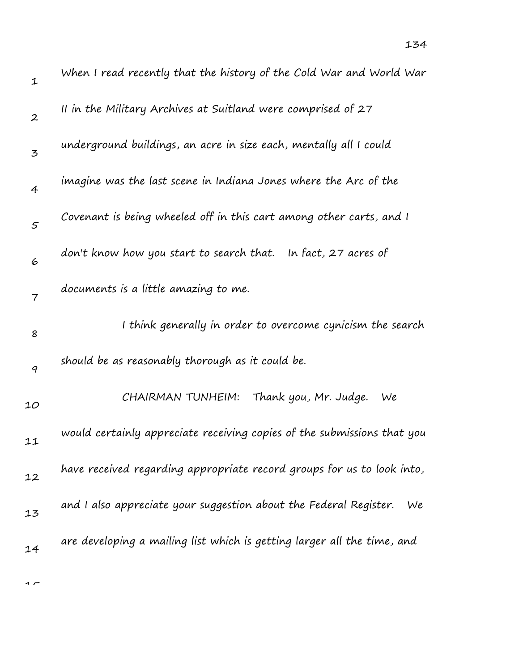| $\mathbf 1$    | When I read recently that the history of the Cold War and World War     |
|----------------|-------------------------------------------------------------------------|
| $\overline{2}$ | II in the Military Archives at Suitland were comprised of 27            |
| 3              | underground buildings, an acre in size each, mentally all I could       |
| $\overline{4}$ | imagine was the last scene in Indiana Jones where the Arc of the        |
| $\varsigma$    | Covenant is being wheeled off in this cart among other carts, and I     |
| 6              | don't know how you start to search that.   In fact, 27 acres of         |
| $\overline{7}$ | documents is a little amazing to me.                                    |
| 8              | I think generally in order to overcome cynicism the search              |
| 9              | should be as reasonably thorough as it could be.                        |
| 10             | CHAIRMAN TUNHEIM:<br>Thank you, Mr. Judge.<br>We                        |
| 11             | would certainly appreciate receiving copies of the submissions that you |
| 12             | have received regarding appropriate record groups for us to look into,  |
| 13             | and I also appreciate your suggestion about the Federal Register.<br>We |
| 14             | are developing a mailing list which is getting larger all the time, and |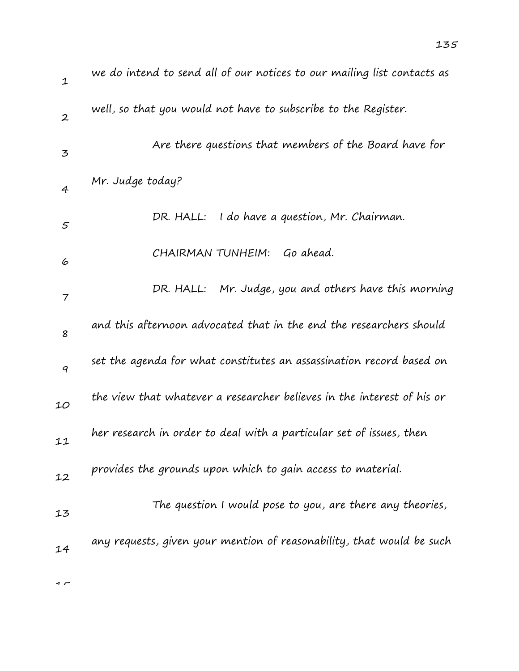| $\mathbf{1}$     | we do intend to send all of our notices to our mailing list contacts as |
|------------------|-------------------------------------------------------------------------|
| $\boldsymbol{2}$ | well, so that you would not have to subscribe to the Register.          |
| $\mathbf{z}$     | Are there questions that members of the Board have for                  |
| 4                | Mr. Judge today?                                                        |
| $\mathfrak{s}$   | DR. HALL:<br>I do have a question, Mr. Chairman.                        |
| 6                | Go ahead.<br>CHAIRMAN TUNHEIM:                                          |
| $\overline{7}$   | DR. HALL: Mr. Judge, you and others have this morning                   |
| 8                | and this afternoon advocated that in the end the researchers should     |
| 9                | set the agenda for what constitutes an assassination record based on    |
| 10               | the view that whatever a researcher believes in the interest of his or  |
| 11               | her research in order to deal with a particular set of issues, then     |
| 12               | provides the grounds upon which to gain access to material.             |
| 13               | The question I would pose to you, are there any theories,               |
| 14               | any requests, given your mention of reasonability, that would be such   |
|                  |                                                                         |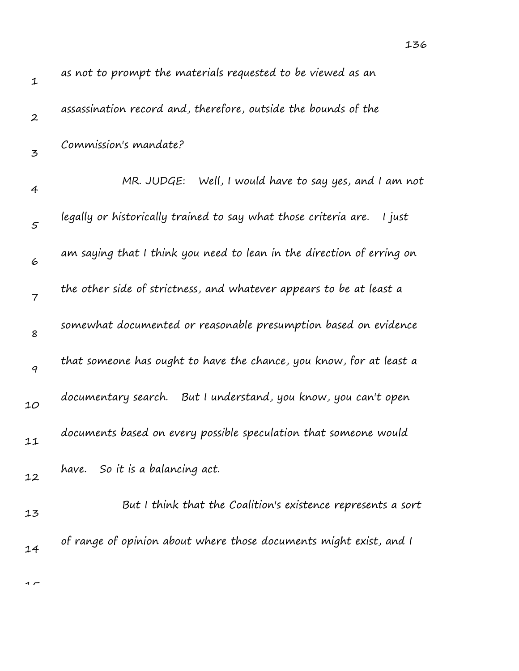| $\mathbf 1$    | as not to prompt the materials requested to be viewed as an               |
|----------------|---------------------------------------------------------------------------|
| $\overline{2}$ | assassination record and, therefore, outside the bounds of the            |
| 3              | Commission's mandate?                                                     |
| $\overline{4}$ | MR. JUDGE: Well, I would have to say yes, and I am not                    |
| $\varsigma$    | legally or historically trained to say what those criteria are.<br>I just |
| 6              | am saying that I think you need to lean in the direction of erring on     |
| $\overline{7}$ | the other side of strictness, and whatever appears to be at least a       |
| 8              | somewhat documented or reasonable presumption based on evidence           |
| 9              | that someone has ought to have the chance, you know, for at least a       |
| 10             | documentary search. But I understand, you know, you can't open            |
| 11             | documents based on every possible speculation that someone would          |
| 12             | So it is a balancing act.<br>have.                                        |
| 13             | But I think that the Coalition's existence represents a sort              |
| 14             | of range of opinion about where those documents might exist, and I        |

136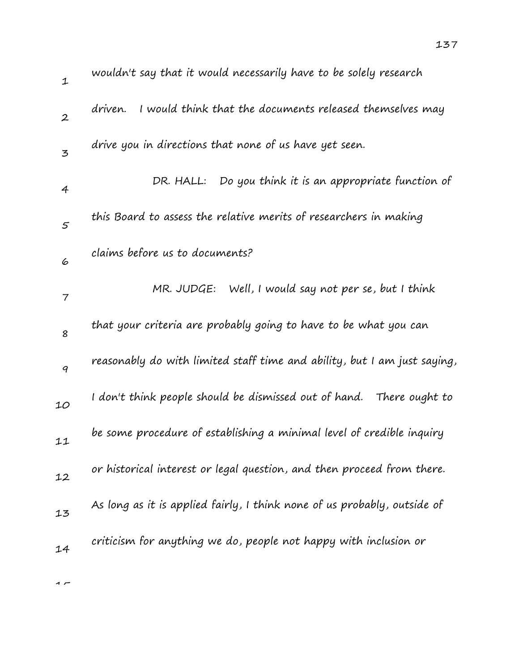| 1                | wouldn't say that it would necessarily have to be solely research        |
|------------------|--------------------------------------------------------------------------|
| $\boldsymbol{2}$ | I would think that the documents released themselves may<br>driven.      |
| 3                | drive you in directions that none of us have yet seen.                   |
| $\overline{4}$   | Do you think it is an appropriate function of<br>DR. HALL:               |
| 5                | this Board to assess the relative merits of researchers in making        |
| 6                | claims before us to documents?                                           |
| $\overline{7}$   | MR. JUDGE: Well, I would say not per se, but I think                     |
| 8                | that your criteria are probably going to have to be what you can         |
| 9                | reasonably do with limited staff time and ability, but I am just saying, |
| 10               | I don't think people should be dismissed out of hand.   There ought to   |
| 11               | be some procedure of establishing a minimal level of credible inquiry    |
| 12               | or historical interest or legal question, and then proceed from there.   |
| 13               | As long as it is applied fairly, I think none of us probably, outside of |
| 14               | criticism for anything we do, people not happy with inclusion or         |
|                  |                                                                          |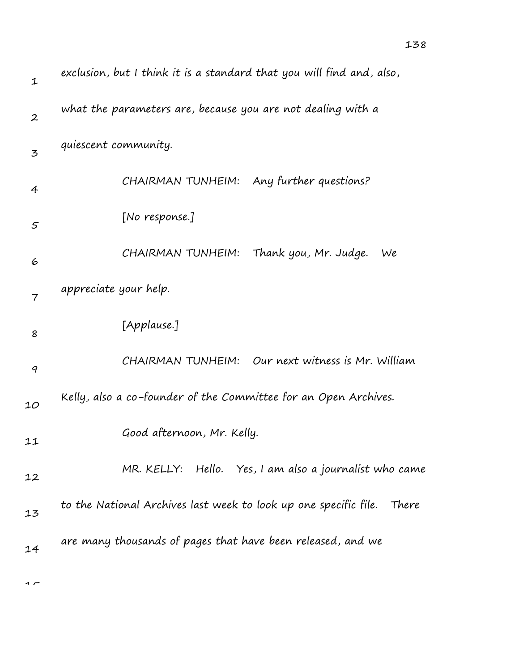| exclusion, but I think it is a standard that you will find and, also, |  |  |
|-----------------------------------------------------------------------|--|--|
| what the parameters are, because you are not dealing with a           |  |  |
| quiescent community.                                                  |  |  |
| CHAIRMAN TUNHEIM: Any further questions?                              |  |  |
| [No response.]                                                        |  |  |
| CHAIRMAN TUNHEIM: Thank you, Mr. Judge.<br>We                         |  |  |
| appreciate your help.                                                 |  |  |
| [Applause.]                                                           |  |  |

9 10 11 12 13 CHAIRMAN TUNHEIM: Our next witness is Mr. William Kelly, also a co-founder of the Committee for an Open Archives. Good afternoon, Mr. Kelly. MR. KELLY: Hello. Yes, I am also a journalist who came to the National Archives last week to look up one specific file. There

14 are many thousands of pages that have been released, and we

 $\sim$ 

1

2

3

4

5

6

7

8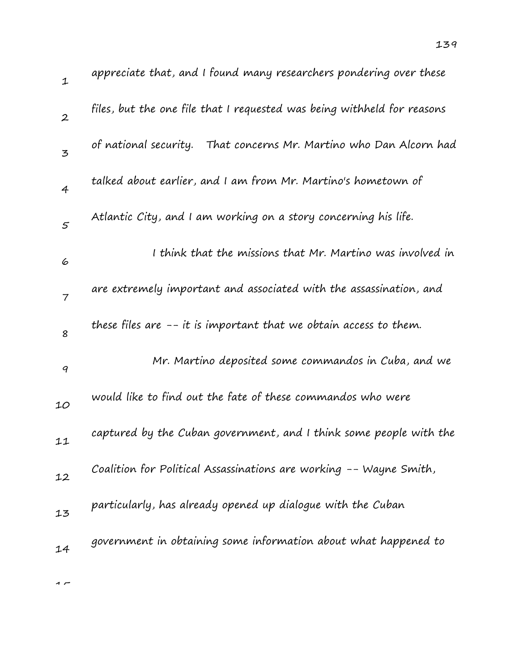| $\mathbf 1$      | appreciate that, and I found many researchers pondering over these      |
|------------------|-------------------------------------------------------------------------|
| $\boldsymbol{2}$ | files, but the one file that I requested was being withheld for reasons |
| 3                | of national security.<br>That concerns Mr. Martino who Dan Alcorn had   |
| $\overline{4}$   | talked about earlier, and I am from Mr. Martino's hometown of           |
| $\mathcal{S}$    | Atlantic City, and I am working on a story concerning his life.         |
| 6                | I think that the missions that Mr. Martino was involved in              |
| $\overline{7}$   | are extremely important and associated with the assassination, and      |
| 8                | these files are $-$ - it is important that we obtain access to them.    |
| 9                | Mr. Martino deposited some commandos in Cuba, and we                    |
| 10               | would like to find out the fate of these commandos who were             |
| 11               | captured by the Cuban government, and I think some people with the      |
| 12               | Coalition for Political Assassinations are working -- Wayne Smith,      |
| 13               | particularly, has already opened up dialogue with the Cuban             |
| 14               | government in obtaining some information about what happened to         |
|                  |                                                                         |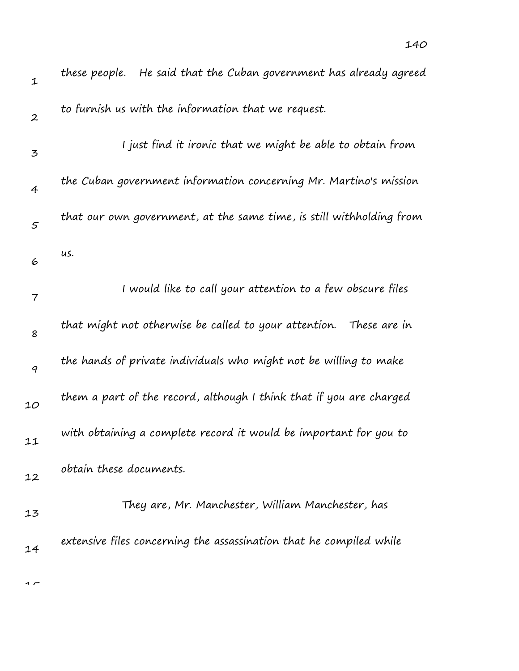| $\mathbf 1$      | these people. He said that the Cuban government has already agreed    |
|------------------|-----------------------------------------------------------------------|
| $\boldsymbol{2}$ | to furnish us with the information that we request.                   |
| 3                | I just find it ironic that we might be able to obtain from            |
| $\overline{4}$   | the Cuban government information concerning Mr. Martino's mission     |
| $\mathfrak{s}$   | that our own government, at the same time, is still withholding from  |
| 6                | us.                                                                   |
| 7                | I would like to call your attention to a few obscure files            |
| 8                | that might not otherwise be called to your attention.<br>These are in |
| 9                | the hands of private individuals who might not be willing to make     |
| 10               | them a part of the record, although I think that if you are charged   |
| 11               | with obtaining a complete record it would be important for you to     |
| 12               | obtain these documents.                                               |
| 13               | They are, Mr. Manchester, William Manchester, has                     |
| 14               | extensive files concerning the assassination that he compiled while   |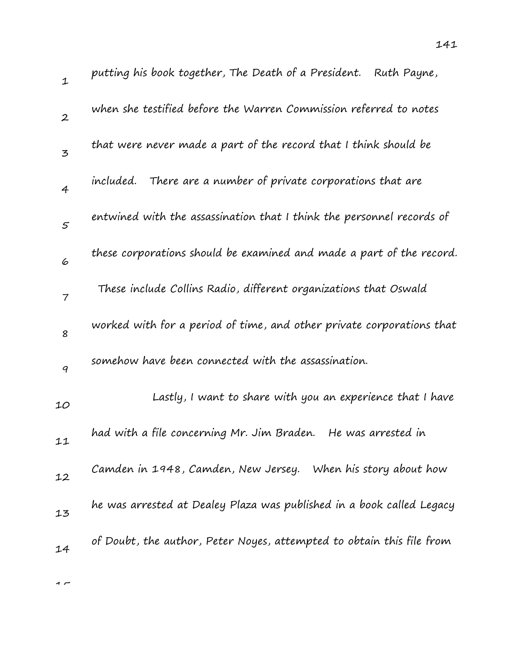| $\mathbf{1}$     | putting his book together, The Death of a President. Ruth Payne,      |
|------------------|-----------------------------------------------------------------------|
| $\boldsymbol{2}$ | when she testified before the Warren Commission referred to notes     |
| $\mathbf{z}$     | that were never made a part of the record that I think should be      |
| $\overline{4}$   | There are a number of private corporations that are<br>included.      |
| $\mathcal{S}$    | entwined with the assassination that I think the personnel records of |
| 6                | these corporations should be examined and made a part of the record.  |
| $\overline{7}$   | These include Collins Radio, different organizations that Oswald      |
| 8                | worked with for a period of time, and other private corporations that |
| $\boldsymbol{q}$ | somehow have been connected with the assassination.                   |
| 10               | Lastly, I want to share with you an experience that I have            |
| 11               | had with a file concerning Mr. Jim Braden.<br>He was arrested in      |
| 12               | Camden in 1948, Camden, New Jersey. When his story about how          |
| 13               | he was arrested at Dealey Plaza was published in a book called Legacy |
| 14               | of Doubt, the author, Peter Noyes, attempted to obtain this file from |
|                  |                                                                       |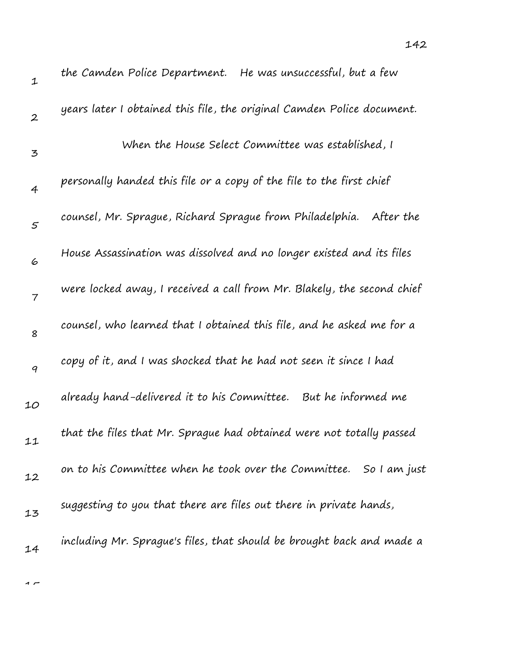| 1                | che Camaen Police Department. The was ansaccessial, bac a lew          |
|------------------|------------------------------------------------------------------------|
| $\boldsymbol{2}$ | years later I obtained this file, the original Camden Police document. |
| 3                | When the House Select Committee was established, I                     |
| $\overline{4}$   | personally handed this file or a copy of the file to the first chief   |
| $\sqrt{5}$       | counsel, Mr. Sprague, Richard Sprague from Philadelphia.<br>After the  |
| 6                | House Assassination was dissolved and no longer existed and its files  |
| $\overline{7}$   | were locked away, I received a call from Mr. Blakely, the second chief |
| 8                | counsel, who learned that I obtained this file, and he asked me for a  |
| 9                | copy of it, and I was shocked that he had not seen it since I had      |
| 10               | already hand-delivered it to his Committee. But he informed me         |
| 11               | that the files that Mr. Sprague had obtained were not totally passed   |
| 12               | on to his Committee when he took over the Committee. So I am just      |
| 13               | suggesting to you that there are files out there in private hands,     |
| 14               | including Mr. Sprague's files, that should be brought back and made a  |
|                  |                                                                        |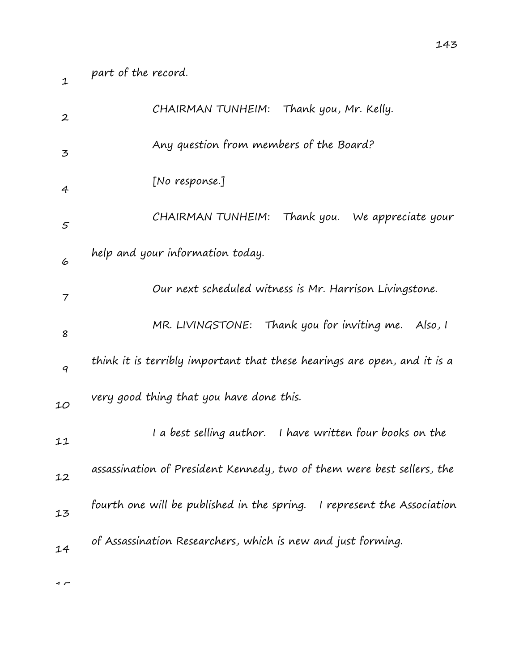1

| $\boldsymbol{2}$ | CHAIRMAN TUNHEIM: Thank you, Mr. Kelly.                                  |
|------------------|--------------------------------------------------------------------------|
| 3                | Any question from members of the Board?                                  |
| 4                | [No response.]                                                           |
| 5                | Thank you. We appreciate your<br>CHAIRMAN TUNHEIM:                       |
| 6                | help and your information today.                                         |
| 7                | Our next scheduled witness is Mr. Harrison Livingstone.                  |
| 8                | MR. LIVINGSTONE: Thank you for inviting me. Also, I                      |
| 9                | think it is terribly important that these hearings are open, and it is a |
| 10               | very good thing that you have done this.                                 |
| 11               | I a best selling author. I have written four books on the                |
| 12               | assassination of President Kennedy, two of them were best sellers, the   |
| 13               | fourth one will be published in the spring. I represent the Association  |
| 14               | of Assassination Researchers, which is new and just forming.             |
|                  |                                                                          |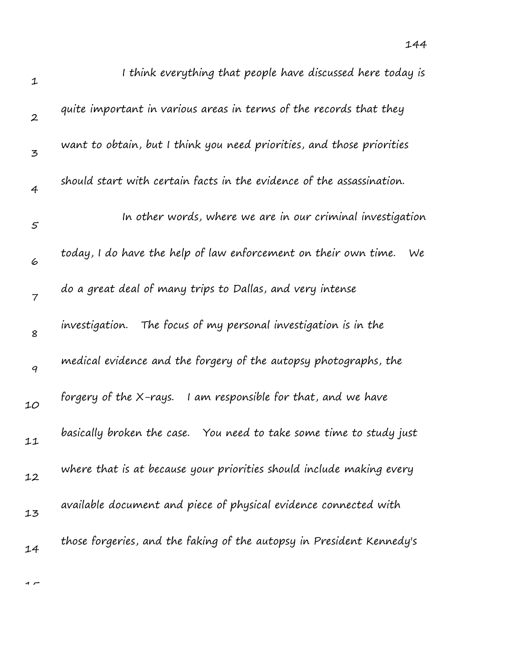| $\mathbf 1$      | I think everything that people have discussed here today is           |
|------------------|-----------------------------------------------------------------------|
| $\boldsymbol{2}$ | quite important in various areas in terms of the records that they    |
| 3                | want to obtain, but I think you need priorities, and those priorities |
| $\overline{4}$   | should start with certain facts in the evidence of the assassination. |
| $\mathfrak{s}$   | In other words, where we are in our criminal investigation            |
| 6                | today, I do have the help of law enforcement on their own time.<br>We |
| 7                | do a great deal of many trips to Dallas, and very intense             |
| 8                | The focus of my personal investigation is in the<br>investigation.    |
| 9                | medical evidence and the forgery of the autopsy photographs, the      |
| 10               | forgery of the X-rays. I am responsible for that, and we have         |
| 11               | basically broken the case. You need to take some time to study just   |
| 12               | where that is at because your priorities should include making every  |
| 13               | available document and piece of physical evidence connected with      |
| 14               | those forgeries, and the faking of the autopsy in President Kennedy's |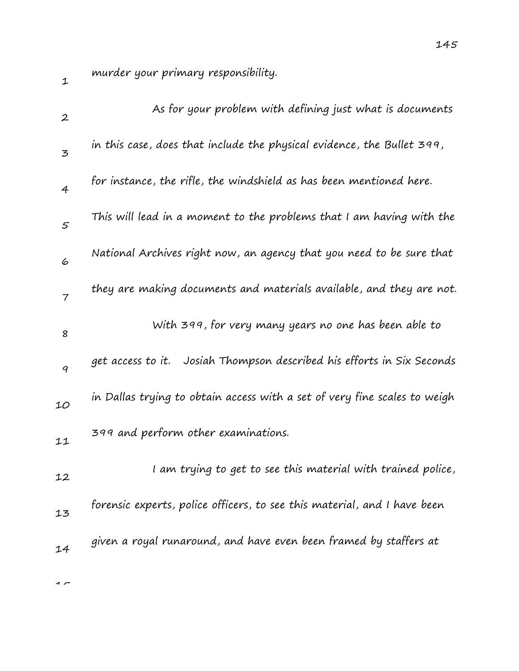murder your primary responsibility.

| $\boldsymbol{2}$ | As for your problem with defining just what is documents                  |
|------------------|---------------------------------------------------------------------------|
| 3                | in this case, does that include the physical evidence, the Bullet 399,    |
| $\overline{4}$   | for instance, the rifle, the windshield as has been mentioned here.       |
| $\sqrt{5}$       | This will lead in a moment to the problems that I am having with the      |
| 6                | National Archives right now, an agency that you need to be sure that      |
| $\overline{7}$   | they are making documents and materials available, and they are not.      |
| 8                | With 399, for very many years no one has been able to                     |
| 9                | Josiah Thompson described his efforts in Six Seconds<br>get access to it. |
| 10               | in Dallas trying to obtain access with a set of very fine scales to weigh |
| 11               | 399 and perform other examinations.                                       |
| 12               | I am trying to get to see this material with trained police,              |
| 13               | forensic experts, police officers, to see this material, and I have been  |
| 14               | given a royal runaround, and have even been framed by staffers at         |
|                  |                                                                           |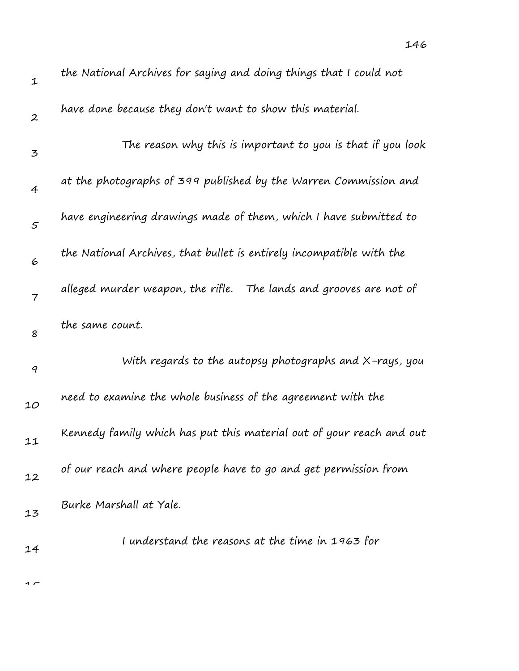| $\mathbf 1$       | the National Archives for saying and doing things that I could not   |
|-------------------|----------------------------------------------------------------------|
| $\boldsymbol{2}$  | have done because they don't want to show this material.             |
| 3                 | The reason why this is important to you is that if you look          |
| 4                 | at the photographs of 399 published by the Warren Commission and     |
| $\mathcal{F}_{0}$ | have engineering drawings made of them, which I have submitted to    |
| 6                 | the National Archives, that bullet is entirely incompatible with the |
| $\overline{7}$    | alleged murder weapon, the rifle. The lands and grooves are not of   |
| 8                 | the same count.                                                      |
| 9                 | With regards to the autopsy photographs and $X$ -rays, you           |
| 10                | need to examine the whole business of the agreement with the         |
| 11                | Kennedy family which has put this material out of your reach and out |
| 12                | of our reach and where people have to go and get permission from     |
| 13                | Burke Marshall at Yale.                                              |
| 14                | I understand the reasons at the time in 1963 for                     |
|                   |                                                                      |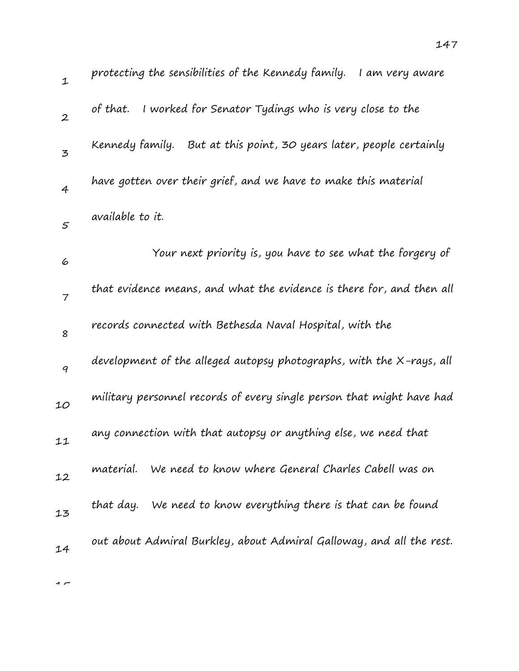| $\mathbf 1$              | protecting the sensibilities of the Kennedy family.<br>I am very aware |
|--------------------------|------------------------------------------------------------------------|
| $\boldsymbol{2}$         | of that. I worked for Senator Tydings who is very close to the         |
| 3                        | Kennedy family. But at this point, 30 years later, people certainly    |
| $\overline{4}$           | have gotten over their grief, and we have to make this material        |
| $\varsigma$              | available to it.                                                       |
| 6                        | Your next priority is, you have to see what the forgery of             |
| $\overline{\mathcal{I}}$ | that evidence means, and what the evidence is there for, and then all  |
| 8                        | records connected with Bethesda Naval Hospital, with the               |
| 9                        | development of the alleged autopsy photographs, with the X-rays, all   |
| 10                       | military personnel records of every single person that might have had  |
| 11                       | any connection with that autopsy or anything else, we need that        |
| 12                       | material.<br>We need to know where General Charles Cabell was on       |
| 13                       | that day. We need to know everything there is that can be found        |
| 14                       | out about Admiral Burkley, about Admiral Galloway, and all the rest.   |
|                          |                                                                        |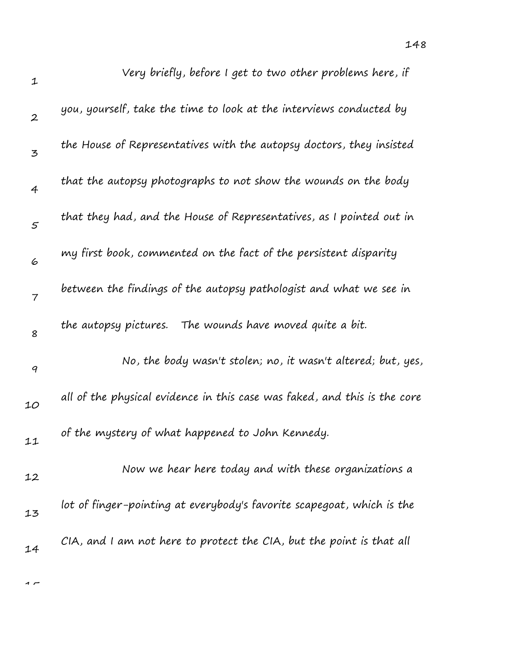| $\mathbf 1$    | Very briefly, before I get to two other problems here, if                 |
|----------------|---------------------------------------------------------------------------|
| $\mathbf{2}$   | you, yourself, take the time to look at the interviews conducted by       |
| 3              | the House of Representatives with the autopsy doctors, they insisted      |
| $\overline{4}$ | that the autopsy photographs to not show the wounds on the body           |
| $\varsigma$    | that they had, and the House of Representatives, as I pointed out in      |
| 6              | my first book, commented on the fact of the persistent disparity          |
| 7              | between the findings of the autopsy pathologist and what we see in        |
| 8              | the autopsy pictures. The wounds have moved quite a bit.                  |
| 9              | No, the body wasn't stolen; no, it wasn't altered; but, yes,              |
| 10             | all of the physical evidence in this case was faked, and this is the core |
| 11             | of the mystery of what happened to John Kennedy.                          |
| 12             | Now we hear here today and with these organizations a                     |
| 13             | lot of finger-pointing at everybody's favorite scapegoat, which is the    |
| 14             | CIA, and I am not here to protect the CIA, but the point is that all      |
|                |                                                                           |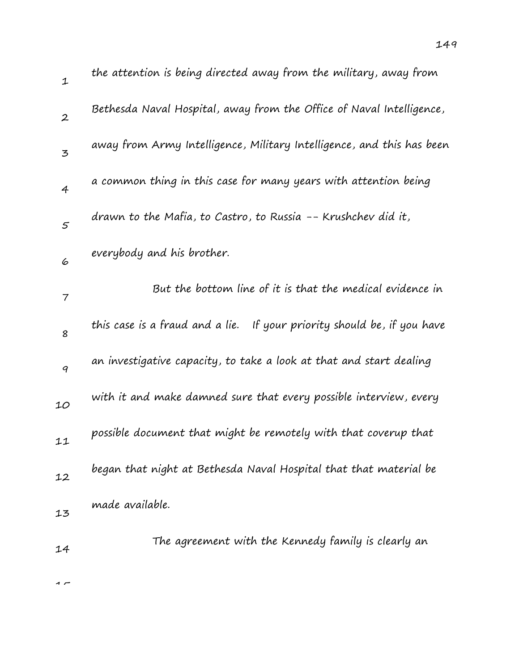| $\mathbf 1$      | the attention is being directed away from the military, away from       |
|------------------|-------------------------------------------------------------------------|
| $\boldsymbol{2}$ | Bethesda Naval Hospital, away from the Office of Naval Intelligence,    |
| 3                | away from Army Intelligence, Military Intelligence, and this has been   |
| $\overline{4}$   | a common thing in this case for many years with attention being         |
| $\varsigma$      | drawn to the Mafia, to Castro, to Russia -- Krushchev did it,           |
| 6                | everybody and his brother.                                              |
| 7                | But the bottom line of it is that the medical evidence in               |
| 8                | this case is a fraud and a lie. If your priority should be, if you have |
| 9                | an investigative capacity, to take a look at that and start dealing     |
| 10               | with it and make damned sure that every possible interview, every       |
| 11               | possible document that might be remotely with that coverup that         |
| 12               | began that night at Bethesda Naval Hospital that that material be       |
| 13               | made available.                                                         |
| 14               | The agreement with the Kennedy family is clearly an                     |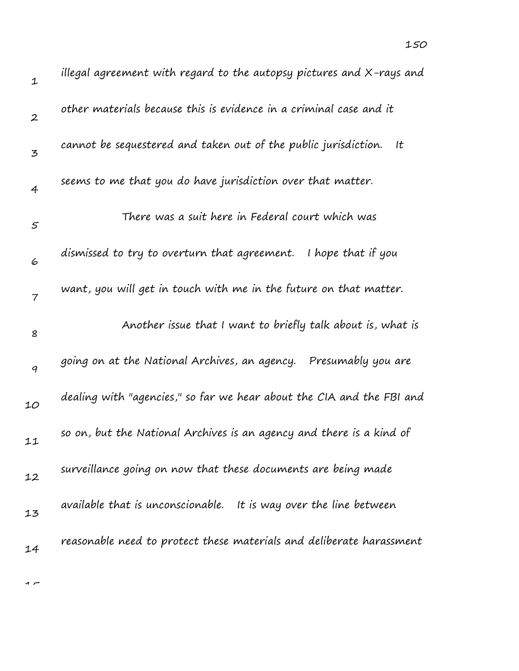| $\mathbf 1$      | illegal agreement with regard to the autopsy pictures and X-rays and  |
|------------------|-----------------------------------------------------------------------|
| $\boldsymbol{2}$ | other materials because this is evidence in a criminal case and it    |
| 3                | cannot be sequestered and taken out of the public jurisdiction.<br>It |
| 4                | seems to me that you do have jurisdiction over that matter.           |
| 5                | There was a suit here in Federal court which was                      |
| 6                | I hope that if you<br>dismissed to try to overturn that agreement.    |
| 7                | want, you will get in touch with me in the future on that matter.     |
| 8                | Another issue that I want to briefly talk about is, what is           |
| 9                | going on at the National Archives, an agency.<br>Presumably you are   |
| 10               | dealing with "agencies," so far we hear about the CIA and the FBI and |
| 11               | so on, but the National Archives is an agency and there is a kind of  |
| 12               | surveillance going on now that these documents are being made         |
| 13               | available that is unconscionable. It is way over the line between     |
| 14               | reasonable need to protect these materials and deliberate harassment  |
|                  |                                                                       |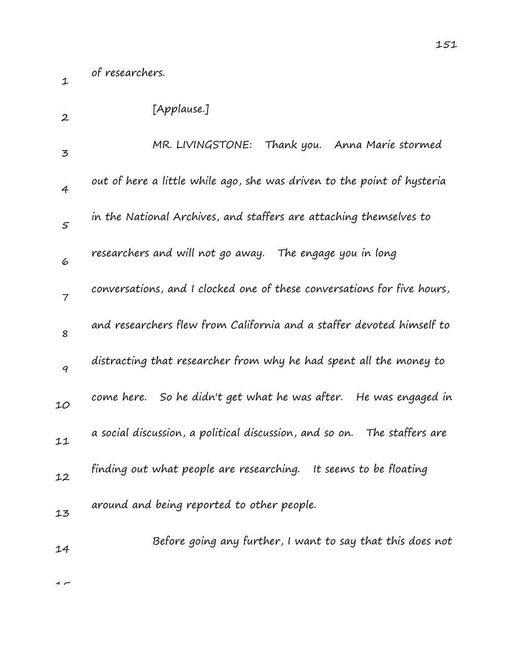of researchers.

1

| $\boldsymbol{2}$ | [Applause.]                                                              |
|------------------|--------------------------------------------------------------------------|
| 3                | MR. LIVINGSTONE: Thank you. Anna Marie stormed                           |
| 4                | out of here a little while ago, she was driven to the point of hysteria  |
| $\varsigma$      | in the National Archives, and staffers are attaching themselves to       |
| 6                | researchers and will not go away. The engage you in long                 |
| $\overline{7}$   | conversations, and I clocked one of these conversations for five hours,  |
| 8                | and researchers flew from California and a staffer devoted himself to    |
| 9                | distracting that researcher from why he had spent all the money to       |
| 10               | come here. So he didn't get what he was after. He was engaged in         |
| 11               | a social discussion, a political discussion, and so on. The staffers are |
| 12               | finding out what people are researching.<br>It seems to be floating      |
| 13               | around and being reported to other people.                               |
| 14               | Before going any further, I want to say that this does not               |
|                  |                                                                          |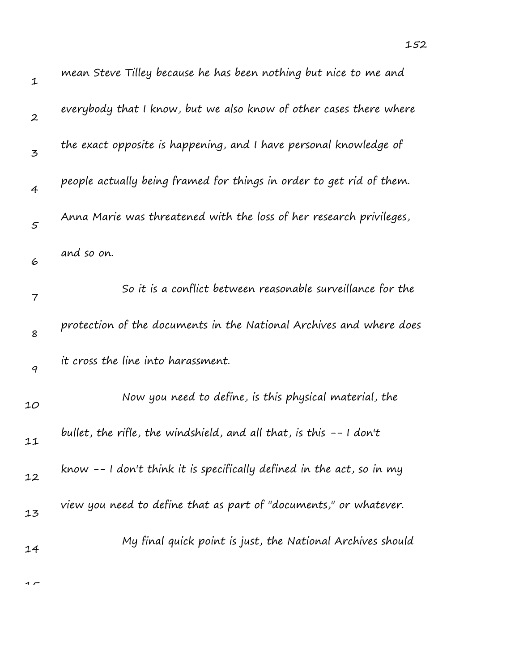| mean Steve Tilley because he has been nothing but nice to me and     |  |
|----------------------------------------------------------------------|--|
| everybody that I know, but we also know of other cases there where   |  |
| the exact opposite is happening, and I have personal knowledge of    |  |
| people actually being framed for things in order to get rid of them. |  |
| Anna Marie was threatened with the loss of her research privileges,  |  |
| and so on.                                                           |  |
| So it is a conflict between reasonable surveillance for the          |  |
| protection of the documents in the National Archives and where does  |  |
| it cross the line into harassment.                                   |  |
| Now you need to define, is this physical material, the               |  |

| 6  | and so on.                                                            |
|----|-----------------------------------------------------------------------|
| 7  | So it is a conflict between reasonable surveillance for the           |
| 8  | protection of the documents in the National Archives and where doe    |
| 9  | it cross the line into harassment.                                    |
| 10 | Now you need to define, is this physical material, the                |
| 11 | bullet, the rifle, the windshield, and all that, is this $-$ 1 don't  |
| 12 | know -- I don't think it is specifically defined in the act, so in my |
| 13 | view you need to define that as part of "documents," or whatever.     |
| 14 | My final quick point is just, the National Archives should            |
|    |                                                                       |

 $\sim$ 

1

2

3

4

5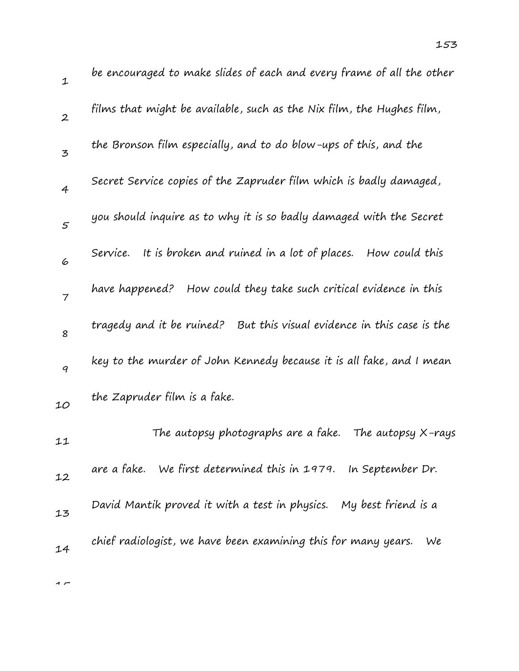| $\mathbf 1$    | be encouraged to make slides of each and every frame of all the other     |
|----------------|---------------------------------------------------------------------------|
| $\overline{2}$ | films that might be available, such as the Nix film, the Hughes film,     |
| 3              | the Bronson film especially, and to do blow-ups of this, and the          |
| $\overline{4}$ | Secret Service copies of the Zapruder film which is badly damaged,        |
| $\varsigma$    | you should inquire as to why it is so badly damaged with the Secret       |
| 6              | It is broken and ruined in a lot of places.<br>How could this<br>Service. |
| $\overline{7}$ | How could they take such critical evidence in this<br>have happened?      |
| 8              | tragedy and it be ruined?<br>But this visual evidence in this case is the |
| 9              | key to the murder of John Kennedy because it is all fake, and I mean      |
| 10             | the Zapruder film is a fake.                                              |
| 11             | The autopsy photographs are a fake.<br>The autopsy X-rays                 |
| 12             | are a fake. We first determined this in 1979. In September Dr.            |
| 13             | My best friend is a<br>David Mantik proved it with a test in physics.     |
| 14             | chief radiologist, we have been examining this for many years.<br>We      |
|                |                                                                           |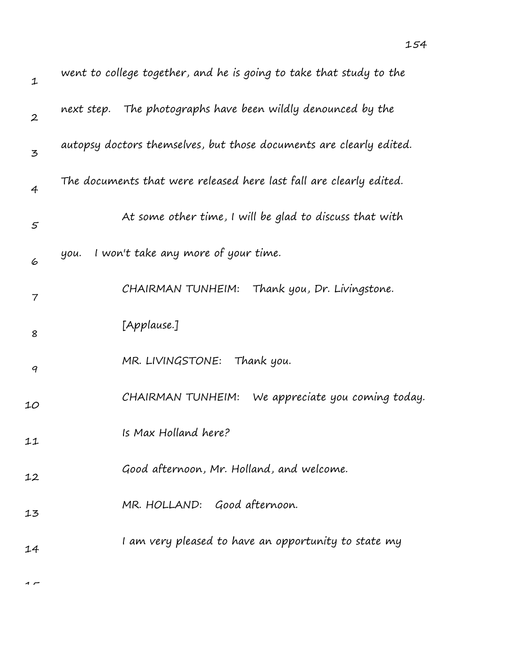| $\mathbf 1$      | went to college together, and he is going to take that study to the |
|------------------|---------------------------------------------------------------------|
| $\boldsymbol{2}$ | next step. The photographs have been wildly denounced by the        |
| 3                | autopsy doctors themselves, but those documents are clearly edited. |
| $\overline{4}$   | The documents that were released here last fall are clearly edited. |
| 5                | At some other time, I will be glad to discuss that with             |
| 6                | I won't take any more of your time.<br>уои.                         |
| 7                | CHAIRMAN TUNHEIM:<br>Thank you, Dr. Livingstone.                    |
| 8                | [Applause.]                                                         |
| 9                | Thank you.<br>MR. LIVINGSTONE:                                      |
| 10               | CHAIRMAN TUNHEIM:<br>We appreciate you coming today.                |
| 11               | Is Max Holland here?                                                |
| 12               | Good afternoon, Mr. Holland, and welcome.                           |
| 13               | MR. HOLLAND: Good afternoon.                                        |
| 14               | I am very pleased to have an opportunity to state my                |
|                  |                                                                     |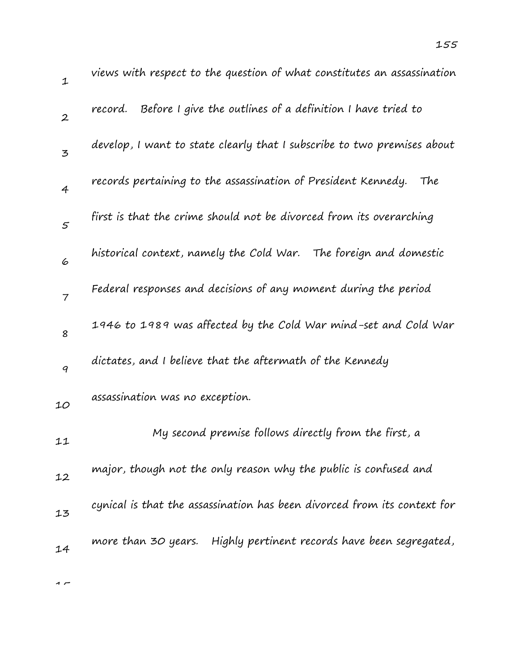| ${\mathcal{I}}$  | views with respect to the question of what constitutes an assassination  |
|------------------|--------------------------------------------------------------------------|
| $\boldsymbol{2}$ | Before I give the outlines of a definition I have tried to<br>record.    |
| $\overline{3}$   | develop, I want to state clearly that I subscribe to two premises about  |
| $\overline{4}$   | records pertaining to the assassination of President Kennedy. The        |
| 5                | first is that the crime should not be divorced from its overarching      |
| 6                | historical context, namely the Cold War. The foreign and domestic        |
| $\overline{7}$   | Federal responses and decisions of any moment during the period          |
| 8                | 1946 to 1989 was affected by the Cold War mind-set and Cold War          |
| 9                | dictates, and I believe that the aftermath of the Kennedy                |
| 10               | assassination was no exception.                                          |
| 11               | My second premise follows directly from the first, a                     |
| 12               | major, though not the only reason why the public is confused and         |
| 13               | cynical is that the assassination has been divorced from its context for |
| 14               | Highly pertinent records have been segregated,<br>more than 30 years.    |
|                  |                                                                          |

 $\overline{1}$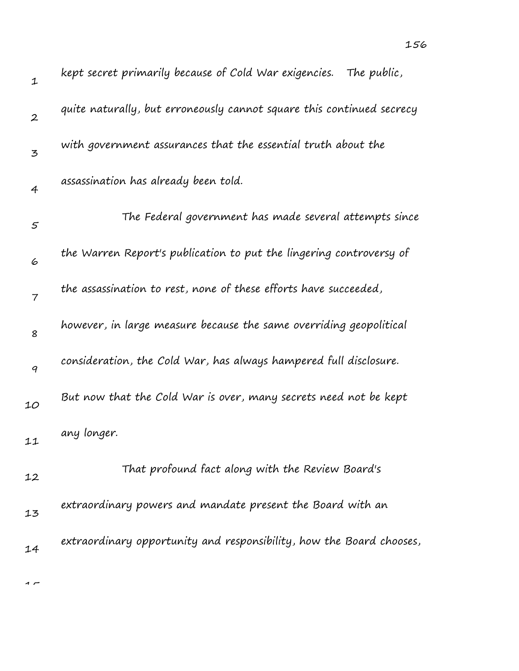| $\mathbf 1$      | kept secret primarily because of Cold War exigencies. The public,     |
|------------------|-----------------------------------------------------------------------|
| $\boldsymbol{2}$ | quite naturally, but erroneously cannot square this continued secrecy |
| 3                | with government assurances that the essential truth about the         |
| $\overline{4}$   | assassination has already been told.                                  |
| $\varsigma$      | The Federal government has made several attempts since                |
| 6                | the Warren Report's publication to put the lingering controversy of   |
| $\overline{7}$   | the assassination to rest, none of these efforts have succeeded,      |
| 8                | however, in large measure because the same overriding geopolitical    |
| 9                | consideration, the Cold War, has always hampered full disclosure.     |
| 10               | But now that the Cold War is over, many secrets need not be kept      |
| 11               | any longer.                                                           |
| 12               | That profound fact along with the Review Board's                      |
| 13               | extraordinary powers and mandate present the Board with an            |
| 14               | extraordinary opportunity and responsibility, how the Board chooses,  |
|                  |                                                                       |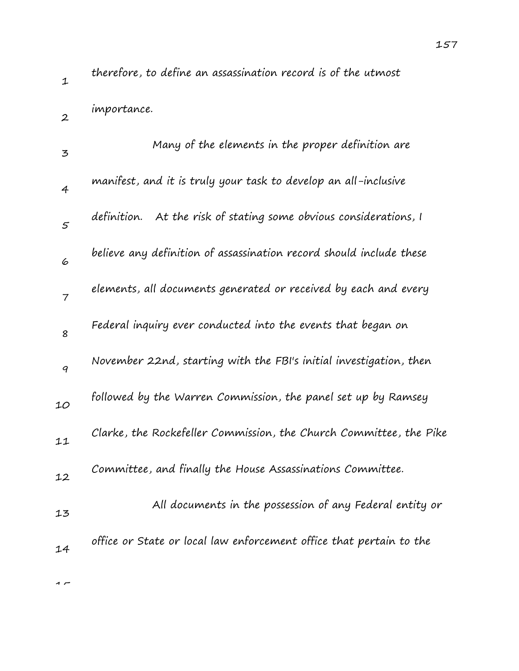1

2

 $\rightarrow$ 

importance.

| $\overline{5}$    | Many of the elements in the proper definition are                    |
|-------------------|----------------------------------------------------------------------|
| $\overline{4}$    | manifest, and it is truly your task to develop an all-inclusive      |
| $\mathcal{F}_{0}$ | At the risk of stating some obvious considerations, I<br>definition. |
| 6                 | believe any definition of assassination record should include these  |
| $\overline{7}$    | elements, all documents generated or received by each and every      |
| 8                 | Federal inquiry ever conducted into the events that began on         |
| 9                 | November 22nd, starting with the FBI's initial investigation, then   |
| 10                | followed by the Warren Commission, the panel set up by Ramsey        |
| 11                | Clarke, the Rockefeller Commission, the Church Committee, the Pike   |
| 12                | Committee, and finally the House Assassinations Committee.           |
| 13                | All documents in the possession of any Federal entity or             |
| 14                | office or State or local law enforcement office that pertain to the  |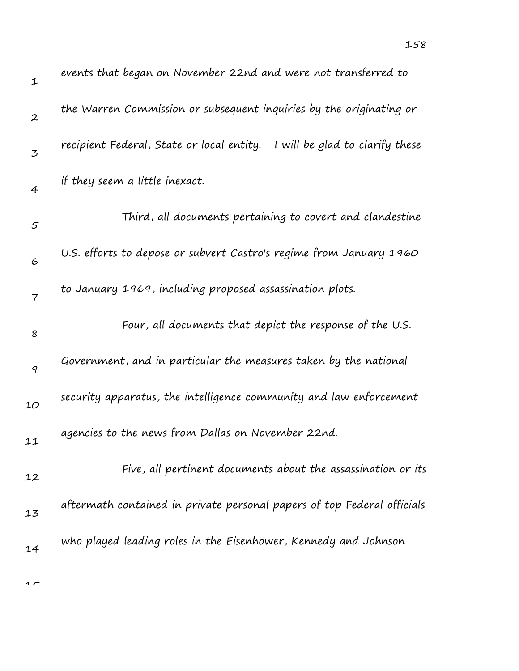| $\mathbf 1$       | events that began on November 22nd and were not transferred to               |
|-------------------|------------------------------------------------------------------------------|
| $\boldsymbol{2}$  | the Warren Commission or subsequent inquiries by the originating or          |
| 3                 | recipient Federal, State or local entity.<br>I will be glad to clarify these |
| 4                 | if they seem a little inexact.                                               |
| $\mathcal{F}_{0}$ | Third, all documents pertaining to covert and clandestine                    |
| 6                 | U.S. efforts to depose or subvert Castro's regime from January 1960          |
| $\overline{7}$    | to January 1969, including proposed assassination plots.                     |
| 8                 | Four, all documents that depict the response of the U.S.                     |
| 9                 | Government, and in particular the measures taken by the national             |
| 10                | security apparatus, the intelligence community and law enforcement           |
| 11                | agencies to the news from Dallas on November 22nd.                           |
| 12                | Five, all pertinent documents about the assassination or its                 |
| 13                | aftermath contained in private personal papers of top Federal officials      |
| 14                | who played leading roles in the Eisenhower, Kennedy and Johnson              |
|                   |                                                                              |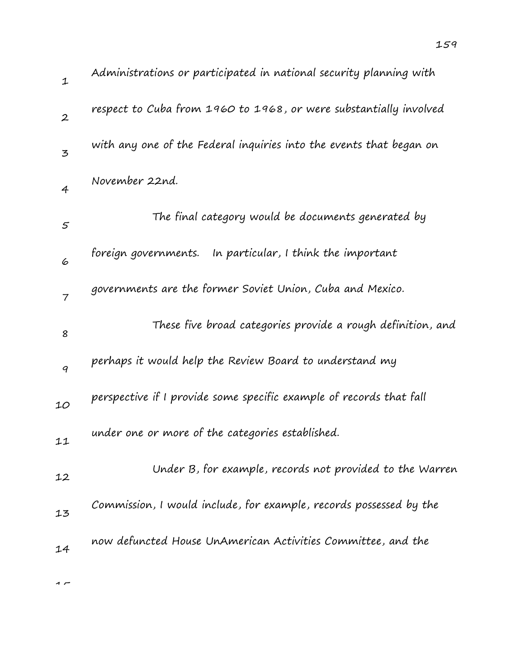| Administrations or participated in national security planning with  |
|---------------------------------------------------------------------|
| respect to Cuba from 1960 to 1968, or were substantially involved   |
| with any one of the Federal inquiries into the events that began on |
| November 22nd.                                                      |
| The final category would be documents generated by                  |
| foreign governments. In particular, I think the important           |
| governments are the former Soviet Union, Cuba and Mexico.           |
| These five broad categories provide a rough definition, and         |
| perhaps it would help the Review Board to understand my             |
| perspective if I provide some specific example of records that fall |
| under one or more of the categories established.                    |
| $\mathbf{u} \cdot \mathbf{v} = \mathbf{v} \cdot \mathbf{v}$         |

| 12 | Under B, for example, records not provided to the Warren           |
|----|--------------------------------------------------------------------|
| 13 | Commission, I would include, for example, records possessed by the |
| 14 | now defuncted House UnAmerican Activities Committee, and the       |

1

2

3

4

5

6

7

8

9

10

11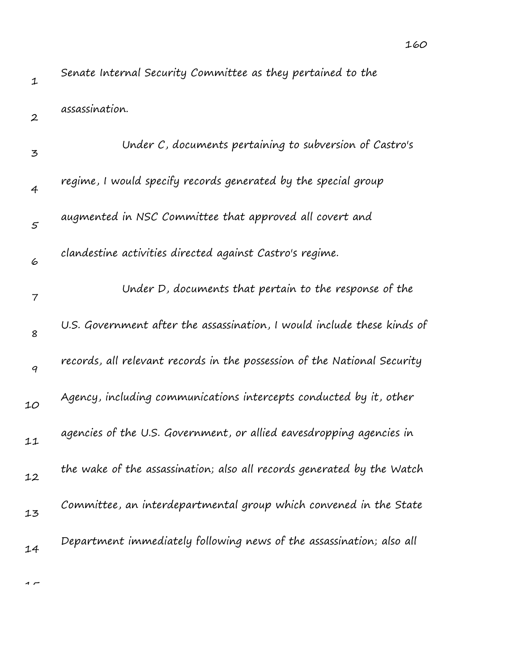Senate Internal Security Committee as they pertained to the

| $\boldsymbol{2}$ | assassination.                                                           |
|------------------|--------------------------------------------------------------------------|
| 3                | Under C, documents pertaining to subversion of Castro's                  |
| 4                | regime, I would specify records generated by the special group           |
| 5                | augmented in NSC Committee that approved all covert and                  |
| 6                | clandestine activities directed against Castro's regime.                 |
| 7                | Under D, documents that pertain to the response of the                   |
| 8                | U.S. Government after the assassination, I would include these kinds of  |
| 9                | records, all relevant records in the possession of the National Security |
| 10               | Agency, including communications intercepts conducted by it, other       |
| 11               | agencies of the U.S. Government, or allied eavesdropping agencies in     |
| 12               | the wake of the assassination; also all records generated by the Watch   |
| 13               | Committee, an interdepartmental group which convened in the State        |
| 14               | Department immediately following news of the assassination; also all     |
|                  |                                                                          |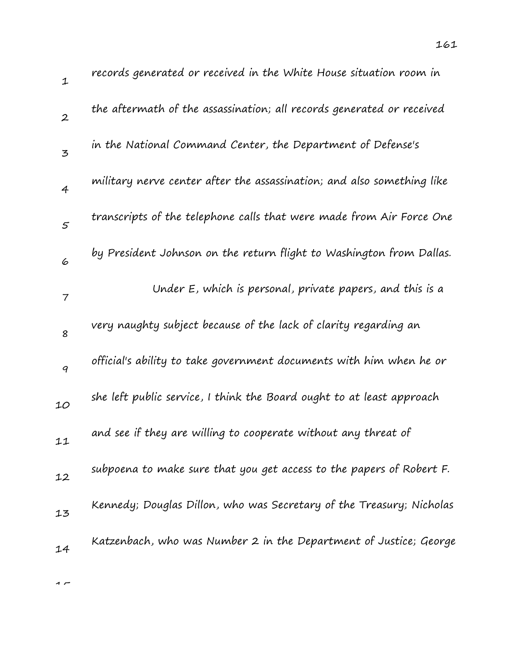| $\mathbf{1}$     | records generated or received in the White House situation room in     |
|------------------|------------------------------------------------------------------------|
| $\boldsymbol{2}$ | the aftermath of the assassination; all records generated or received  |
| 3                | in the National Command Center, the Department of Defense's            |
| 4                | military nerve center after the assassination; and also something like |
| 5                | transcripts of the telephone calls that were made from Air Force One   |
| 6                | by President Johnson on the return flight to Washington from Dallas.   |
| 7                | Under E, which is personal, private papers, and this is a              |
| 8                | very naughty subject because of the lack of clarity regarding an       |
| $\boldsymbol{q}$ | official's ability to take government documents with him when he or    |
| 10               | she left public service, I think the Board ought to at least approach  |
| 11               | and see if they are willing to cooperate without any threat of         |
| 12               | subpoena to make sure that you get access to the papers of Robert F.   |
| 13               | Kennedy; Douglas Dillon, who was Secretary of the Treasury; Nicholas   |
| 14               | Katzenbach, who was Number 2 in the Department of Justice; George      |
|                  |                                                                        |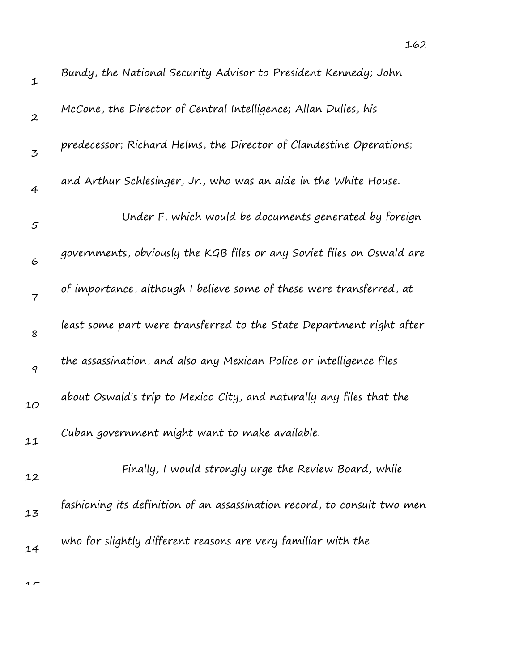| $\mathbf 1$      | Bundy, the National Security Advisor to President Kennedy; John          |
|------------------|--------------------------------------------------------------------------|
| $\boldsymbol{2}$ | McCone, the Director of Central Intelligence; Allan Dulles, his          |
| 3                | predecessor; Richard Helms, the Director of Clandestine Operations;      |
| 4                | and Arthur Schlesinger, Jr., who was an aide in the White House.         |
| $\mathfrak{s}$   | Under F, which would be documents generated by foreign                   |
| 6                | governments, obviously the KGB files or any Soviet files on Oswald are   |
| $\overline{7}$   | of importance, although I believe some of these were transferred, at     |
| 8                | least some part were transferred to the State Department right after     |
| 9                | the assassination, and also any Mexican Police or intelligence files     |
| 10               | about Oswald's trip to Mexico City, and naturally any files that the     |
| 11               | Cuban government might want to make available.                           |
| 12               | Finally, I would strongly urge the Review Board, while                   |
| 13               | fashioning its definition of an assassination record, to consult two men |
| 14               | who for slightly different reasons are very familiar with the            |
|                  |                                                                          |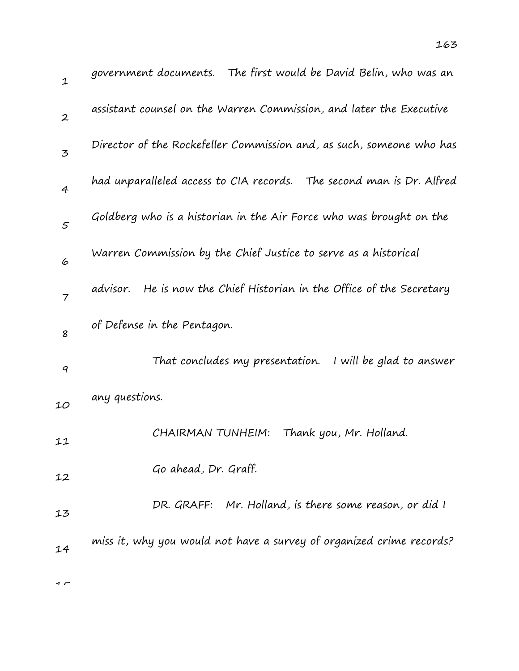| $\mathbf 1$      | government documents. The first would be David Belin, who was an         |
|------------------|--------------------------------------------------------------------------|
| $\boldsymbol{2}$ | assistant counsel on the Warren Commission, and later the Executive      |
| 3                | Director of the Rockefeller Commission and, as such, someone who has     |
| $\overline{4}$   | had unparalleled access to CIA records.  The second man is Dr. Alfred    |
| 5                | Goldberg who is a historian in the Air Force who was brought on the      |
| 6                | Warren Commission by the Chief Justice to serve as a historical          |
| $\overline{7}$   | He is now the Chief Historian in the Office of the Secretary<br>advisor. |
| 8                | of Defense in the Pentagon.                                              |
| 9                | That concludes my presentation. I will be glad to answer                 |
| 10               | any questions.                                                           |
| 11               | CHAIRMAN TUNHEIM:<br>Thank you, Mr. Holland.                             |
| 12               | Go ahead, Dr. Graff.                                                     |
| 13               | DR. GRAFF: Mr. Holland, is there some reason, or did I                   |
| 14               | miss it, why you would not have a survey of organized crime records?     |
|                  |                                                                          |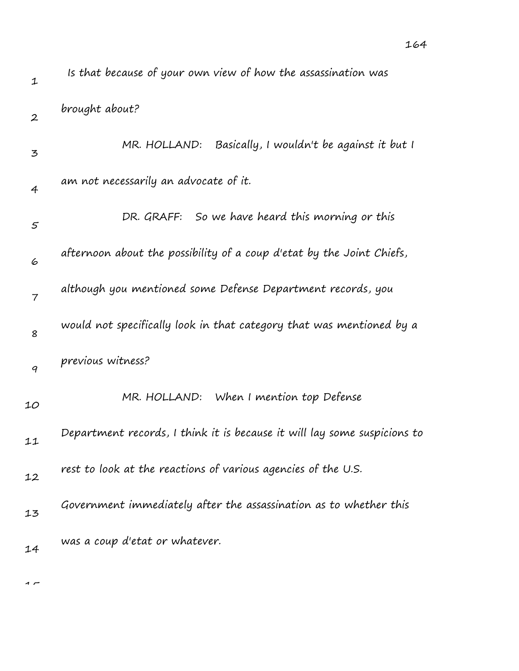| $\mathbf 1$      | Is that because of your own view of how the assassination was            |
|------------------|--------------------------------------------------------------------------|
| $\boldsymbol{2}$ | brought about?                                                           |
| 3                | Basically, I wouldn't be against it but I<br>MR. HOLLAND:                |
| 4                | am not necessarily an advocate of it.                                    |
| $\varsigma$      | So we have heard this morning or this<br>DR. GRAFF:                      |
| 6                | afternoon about the possibility of a coup d'etat by the Joint Chiefs,    |
| $\overline{7}$   | although you mentioned some Defense Department records, you              |
| 8                | would not specifically look in that category that was mentioned by a     |
| 9                | previous witness?                                                        |
| 10               | MR. HOLLAND: When I mention top Defense                                  |
| 11               | Department records, I think it is because it will lay some suspicions to |
| 12               | rest to look at the reactions of various agencies of the U.S.            |
| 13               | Government immediately after the assassination as to whether this        |
| 14               | was a coup d'etat or whatever.                                           |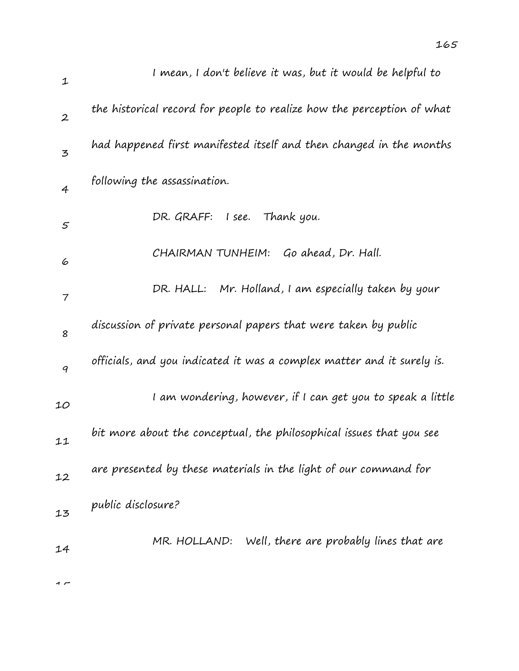| $\mathbf 1$      | I mean, I don't believe it was, but it would be helpful to             |
|------------------|------------------------------------------------------------------------|
| $\boldsymbol{2}$ | the historical record for people to realize how the perception of what |
| $\overline{5}$   | had happened first manifested itself and then changed in the months    |
| $\overline{4}$   | following the assassination.                                           |
| 5                | DR. GRAFF:<br>I see. Thank you.                                        |
| 6                | Go ahead, Dr. Hall.<br>CHAIRMAN TUNHEIM:                               |
| 7                | DR. HALL: Mr. Holland, I am especially taken by your                   |
| 8                | discussion of private personal papers that were taken by public        |
| 9                | officials, and you indicated it was a complex matter and it surely is. |
| 10               | I am wondering, however, if I can get you to speak a little            |
| 11               | bit more about the conceptual, the philosophical issues that you see   |
| 12               | are presented by these materials in the light of our command for       |
| 13               | public disclosure?                                                     |
| 14               | Well, there are probably lines that are<br>MR. HOLLAND:                |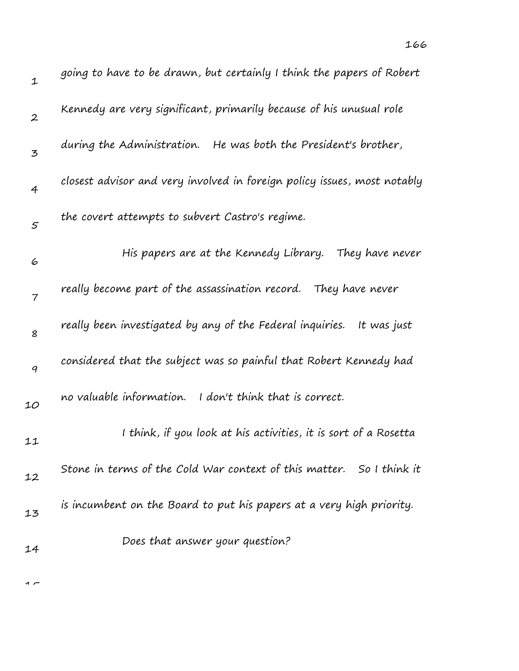| $\mathbf 1$    | going to have to be drawn, but certainly I think the papers of Robert    |
|----------------|--------------------------------------------------------------------------|
| $\overline{2}$ | Kennedy are very significant, primarily because of his unusual role      |
| 3              | during the Administration. He was both the President's brother,          |
| $\overline{4}$ | closest advisor and very involved in foreign policy issues, most notably |
| 5              | the covert attempts to subvert Castro's regime.                          |
| 6              | His papers are at the Kennedy Library. They have never                   |
| $\overline{7}$ | really become part of the assassination record. They have never          |
| 8              | really been investigated by any of the Federal inquiries.<br>It was just |
| 9              | considered that the subject was so painful that Robert Kennedy had       |
| 10             | no valuable information.<br>I don't think that is correct.               |
| 11             | I think, if you look at his activities, it is sort of a Rosetta          |
| 12             | Stone in terms of the Cold War context of this matter. So I think it     |
| 13             | is incumbent on the Board to put his papers at a very high priority.     |
| 14             | Does that answer your question?                                          |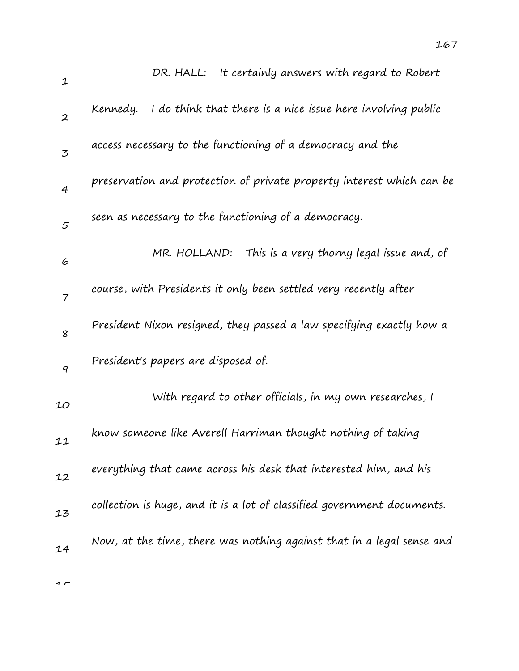| $\mathbf{1}$     | DR. HALL: It certainly answers with regard to Robert                    |
|------------------|-------------------------------------------------------------------------|
| $\boldsymbol{2}$ | I do think that there is a nice issue here involving public<br>Kennedy. |
| 3                | access necessary to the functioning of a democracy and the              |
| $\overline{4}$   | preservation and protection of private property interest which can be   |
| $\mathfrak{s}$   | seen as necessary to the functioning of a democracy.                    |
| 6                | This is a very thorny legal issue and, of<br>MR. HOLLAND:               |
| $\overline{7}$   | course, with Presidents it only been settled very recently after        |
| 8                | President Nixon resigned, they passed a law specifying exactly how a    |
| 9                | President's papers are disposed of.                                     |
| 10               | With regard to other officials, in my own researches, I                 |
| 11               | know someone like Averell Harriman thought nothing of taking            |
| 12               | everything that came across his desk that interested him, and his       |
| 13               | collection is huge, and it is a lot of classified government documents. |
| 14               | Now, at the time, there was nothing against that in a legal sense and   |
|                  |                                                                         |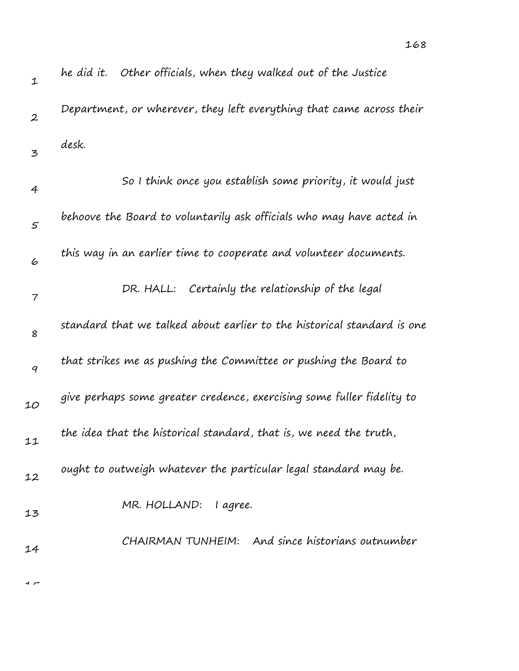| $\mathbf 1$      | he did it. Other officials, when they walked out of the Justice         |
|------------------|-------------------------------------------------------------------------|
| $\boldsymbol{2}$ | Department, or wherever, they left everything that came across their    |
| 3                | desk.                                                                   |
| 4                | So I think once you establish some priority, it would just              |
| 5                | behoove the Board to voluntarily ask officials who may have acted in    |
| 6                | this way in an earlier time to cooperate and volunteer documents.       |
| $\overline{7}$   | DR. HALL: Certainly the relationship of the legal                       |
| 8                | standard that we talked about earlier to the historical standard is one |
| 9                | that strikes me as pushing the Committee or pushing the Board to        |
| 10               | give perhaps some greater credence, exercising some fuller fidelity to  |
| 11               | the idea that the historical standard, that is, we need the truth,      |
| 12               | ought to outweigh whatever the particular legal standard may be.        |
| 13               | MR. HOLLAND: lagree.                                                    |
| 14               | CHAIRMAN TUNHEIM: And since historians outnumber                        |
|                  |                                                                         |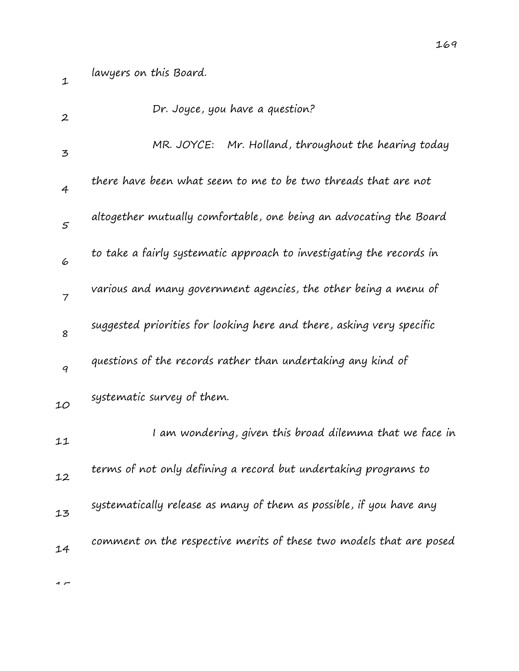1

| $\boldsymbol{2}$ | Dr. Joyce, you have a question?                                       |
|------------------|-----------------------------------------------------------------------|
| 3                | MR. JOYCE: Mr. Holland, throughout the hearing today                  |
| 4                | there have been what seem to me to be two threads that are not        |
| 5                | altogether mutually comfortable, one being an advocating the Board    |
| 6                | to take a fairly systematic approach to investigating the records in  |
| $\overline{7}$   | various and many government agencies, the other being a menu of       |
| 8                | suggested priorities for looking here and there, asking very specific |
| 9                | questions of the records rather than undertaking any kind of          |
| 10               | systematic survey of them.                                            |
| 11               | I am wondering, given this broad dilemma that we face in              |
| 12               | terms of not only defining a record but undertaking programs to       |
| 13               | systematically release as many of them as possible, if you have any   |
| 14               | comment on the respective merits of these two models that are posed   |
|                  |                                                                       |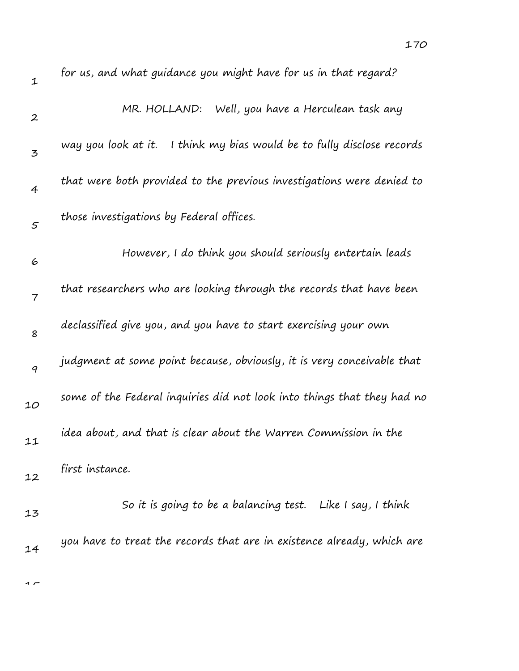| $\mathbf 1$       | for us, and what guidance you might have for us in that regard?           |
|-------------------|---------------------------------------------------------------------------|
| $\boldsymbol{2}$  | MR. HOLLAND: Well, you have a Herculean task any                          |
| 3                 | I think my bias would be to fully disclose records<br>way you look at it. |
| 4                 | that were both provided to the previous investigations were denied to     |
| $\mathcal{F}_{0}$ | those investigations by Federal offices.                                  |
| 6                 | However, I do think you should seriously entertain leads                  |
| $\overline{7}$    | that researchers who are looking through the records that have been       |
| 8                 | declassified give you, and you have to start exercising your own          |
| 9                 | judgment at some point because, obviously, it is very conceivable that    |
| 10                | some of the Federal inquiries did not look into things that they had no   |
| 11                | idea about, and that is clear about the Warren Commission in the          |
| 12                | first instance.                                                           |
| 13                | So it is going to be a balancing test. Like I say, I think                |
| 14                | you have to treat the records that are in existence already, which are    |

1 –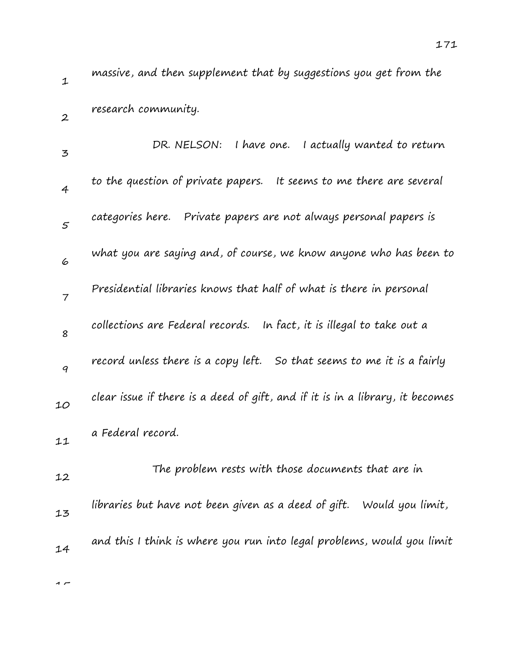1 2 massive, and then supplement that by suggestions you get from the research community.

| $\mathbf{z}$   | I have one. I actually wanted to return<br>DR. NELSON:                        |
|----------------|-------------------------------------------------------------------------------|
| $\overline{4}$ | to the question of private papers. It seems to me there are several           |
| 5              | categories here. Private papers are not always personal papers is             |
| 6              | what you are saying and, of course, we know anyone who has been to            |
| $\overline{7}$ | Presidential libraries knows that half of what is there in personal           |
| 8              | collections are Federal records. In fact, it is illegal to take out a         |
| 9              | record unless there is a copy left. So that seems to me it is a fairly        |
| 10             | clear issue if there is a deed of gift, and if it is in a library, it becomes |
| 11             | a Federal record.                                                             |
| 12             | The problem rests with those documents that are in                            |
| 13             | libraries but have not been given as a deed of gift. Would you limit,         |
| 14             | and this I think is where you run into legal problems, would you limit        |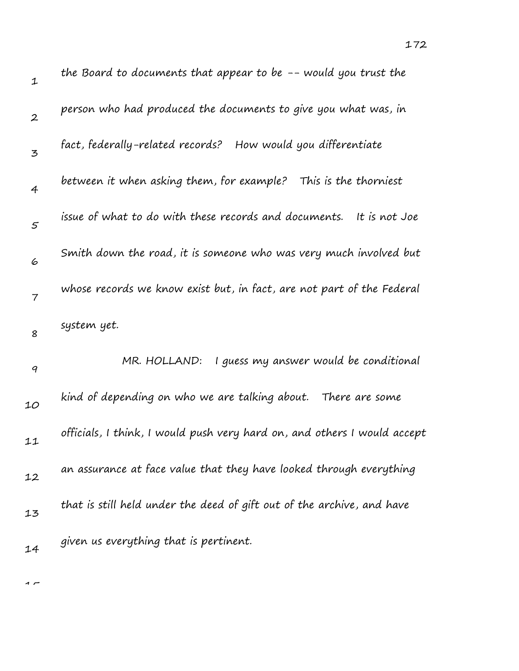| $\mathbf 1$      | the Board to documents that appear to be -- would you trust the          |
|------------------|--------------------------------------------------------------------------|
| $\boldsymbol{2}$ | person who had produced the documents to give you what was, in           |
| 3                | fact, federally-related records? How would you differentiate             |
| $\overline{4}$   | between it when asking them, for example? This is the thorniest          |
| $\mathcal{S}$    | issue of what to do with these records and documents.<br>It is not Joe   |
| 6                | Smith down the road, it is someone who was very much involved but        |
| 7                | whose records we know exist but, in fact, are not part of the Federal    |
| 8                | system yet.                                                              |
| $\boldsymbol{q}$ | I guess my answer would be conditional<br>MR. HOLLAND:                   |
| 10               | kind of depending on who we are talking about.<br>There are some         |
| 11               | officials, I think, I would push very hard on, and others I would accept |
| 12               | an assurance at face value that they have looked through everything      |
| 13               | that is still held under the deed of gift out of the archive, and have   |
| 14               | given us everything that is pertinent.                                   |

 $\overline{1}$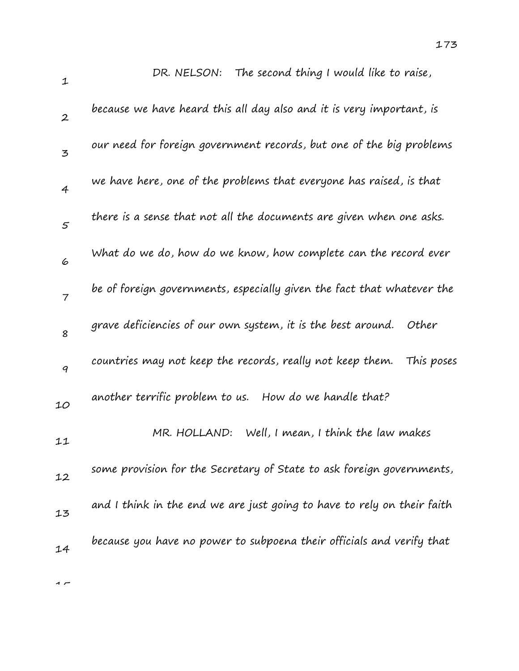| 1                | The second thing I would like to raise,<br>DR. NELSON:                  |
|------------------|-------------------------------------------------------------------------|
| $\boldsymbol{2}$ | because we have heard this all day also and it is very important, is    |
| $\overline{5}$   | our need for foreign government records, but one of the big problems    |
| $\overline{4}$   | we have here, one of the problems that everyone has raised, is that     |
| 5                | there is a sense that not all the documents are given when one asks.    |
| 6                | What do we do, how do we know, how complete can the record ever         |
| $\overline{7}$   | be of foreign governments, especially given the fact that whatever the  |
| 8                | grave deficiencies of our own system, it is the best around. Other      |
| 9                | countries may not keep the records, really not keep them.<br>This poses |
| 10               | another terrific problem to us. How do we handle that?                  |
| 11               | Well, I mean, I think the law makes<br>MR. HOLLAND:                     |
| 12               | some provision for the Secretary of State to ask foreign governments,   |
| 13               | and I think in the end we are just going to have to rely on their faith |
| 14               | because you have no power to subpoena their officials and verify that   |
|                  |                                                                         |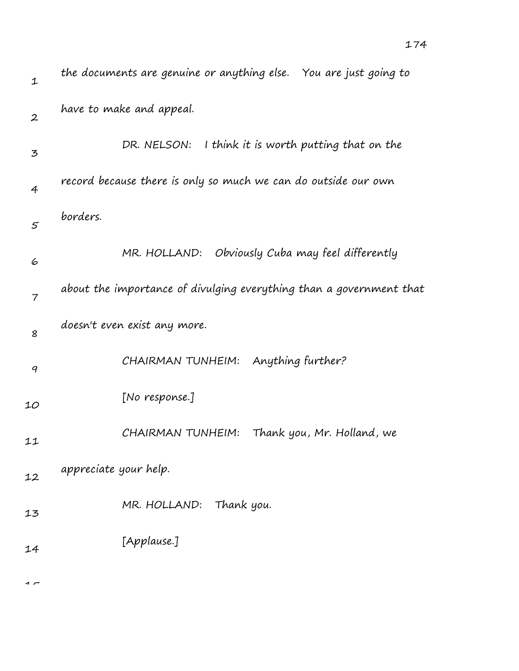| $\mathbf{1}$     | the documents are genuine or anything else. You are just going to   |
|------------------|---------------------------------------------------------------------|
| $\boldsymbol{2}$ | have to make and appeal.                                            |
| 3                | DR. NELSON:<br>I think it is worth putting that on the              |
| $\overline{4}$   | record because there is only so much we can do outside our own      |
| $\mathcal{S}$    | borders.                                                            |
| 6                | MR. HOLLAND: Obviously Cuba may feel differently                    |
| $\overline{7}$   | about the importance of divulging everything than a government that |
| 8                | doesn't even exist any more.                                        |
| 9                | Anything further?<br>CHAIRMAN TUNHEIM:                              |
| 10               | [No response.]                                                      |
| 11               | Thank you, Mr. Holland, we<br>CHAIRMAN TUNHEIM:                     |
| 12               | appreciate your help.                                               |
| 13               | MR. HOLLAND: Thank you.                                             |
| 14               | [Applause.]                                                         |
|                  |                                                                     |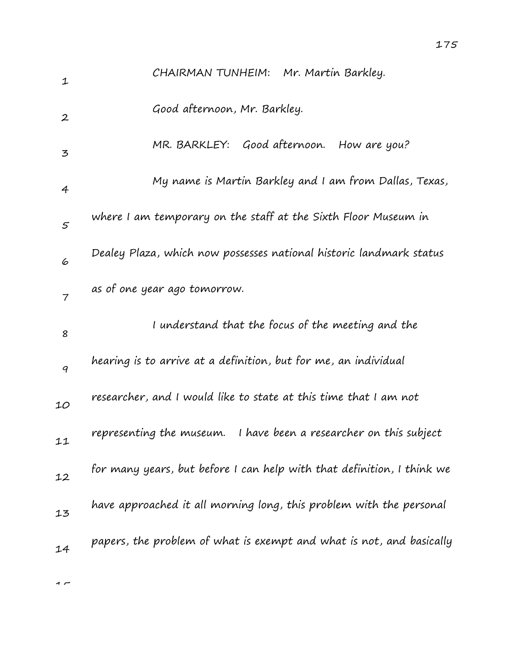| $\mathbf{1}$     | CHAIRMAN TUNHEIM: Mr. Martin Barkley.                                  |
|------------------|------------------------------------------------------------------------|
| $\boldsymbol{2}$ | Good afternoon, Mr. Barkley.                                           |
| 3                | MR. BARKLEY: Good afternoon. How are you?                              |
| $\overline{4}$   | My name is Martin Barkley and I am from Dallas, Texas,                 |
| $\varsigma$      | where I am temporary on the staff at the Sixth Floor Museum in         |
| 6                | Dealey Plaza, which now possesses national historic landmark status    |
| $\overline{7}$   | as of one year ago tomorrow.                                           |
| 8                | I understand that the focus of the meeting and the                     |
| 9                | hearing is to arrive at a definition, but for me, an individual        |
| 10               | researcher, and I would like to state at this time that I am not       |
| 11               | representing the museum. I have been a researcher on this subject      |
| 12               | for many years, but before I can help with that definition, I think we |
| 13               | have approached it all morning long, this problem with the personal    |
| 14               | papers, the problem of what is exempt and what is not, and basically   |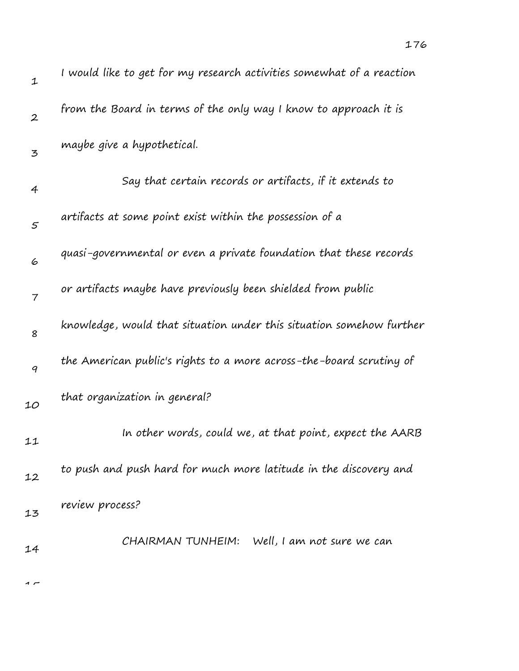| 1                | I would like to get for my research activities somewhat of a reaction |
|------------------|-----------------------------------------------------------------------|
| $\boldsymbol{2}$ | from the Board in terms of the only way I know to approach it is      |
| 3                | maybe give a hypothetical.                                            |
| 4                | Say that certain records or artifacts, if it extends to               |
| $\varsigma$      | artifacts at some point exist within the possession of a              |
| 6                | quasi-governmental or even a private foundation that these records    |
| $\overline{7}$   | or artifacts maybe have previously been shielded from public          |
| 8                | knowledge, would that situation under this situation somehow further  |
| 9                | the American public's rights to a more across-the-board scrutiny of   |
| 10               | that organization in general?                                         |
| 11               | In other words, could we, at that point, expect the AARB              |
| 12               | to push and push hard for much more latitude in the discovery and     |
| 13               | review process?                                                       |
| 14               | CHAIRMAN TUNHEIM: Well, I am not sure we can                          |
|                  |                                                                       |

 $\overline{1}$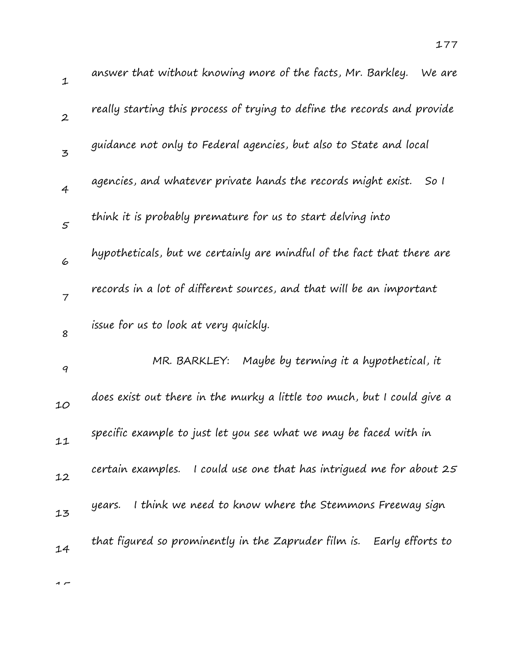| $\mathbf 1$      | answer that without knowing more of the facts, Mr. Barkley.<br>We are    |
|------------------|--------------------------------------------------------------------------|
| $\boldsymbol{2}$ | really starting this process of trying to define the records and provide |
| $\mathfrak{Z}$   | guidance not only to Federal agencies, but also to State and local       |
| $\overline{4}$   | agencies, and whatever private hands the records might exist.<br>So I    |
| 5                | think it is probably premature for us to start delving into              |
| 6                | hypotheticals, but we certainly are mindful of the fact that there are   |
| $\overline{7}$   | records in a lot of different sources, and that will be an important     |
| 8                | issue for us to look at very quickly.                                    |
| 9                | MR. BARKLEY:<br>Maybe by terming it a hypothetical, it                   |
| 10               | does exist out there in the murky a little too much, but I could give a  |
| 11               | specific example to just let you see what we may be faced with in        |
| 12               | certain examples. I could use one that has intrigued me for about 25     |
| 13               | I think we need to know where the Stemmons Freeway sign<br>years.        |
| 14               | that figured so prominently in the Zapruder film is. Early efforts to    |
|                  |                                                                          |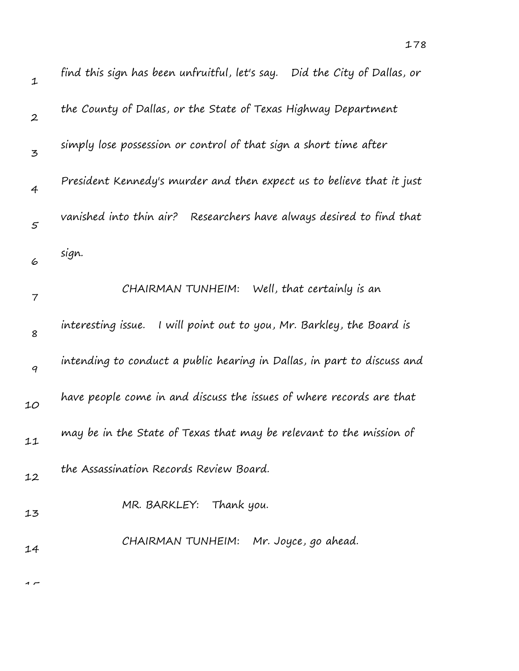| $\mathbf 1$      | find this sign has been unfruitful, let's say. Did the City of Dallas, or |
|------------------|---------------------------------------------------------------------------|
| $\boldsymbol{2}$ | the County of Dallas, or the State of Texas Highway Department            |
| $\mathbf{z}$     | simply lose possession or control of that sign a short time after         |
| 4                | President Kennedy's murder and then expect us to believe that it just     |
| $\varsigma$      | Researchers have always desired to find that<br>vanished into thin air?   |
| 6                | sign.                                                                     |
| 7                | Well, that certainly is an<br>CHAIRMAN TUNHEIM:                           |
| 8                | interesting issue.<br>I will point out to you, Mr. Barkley, the Board is  |
| 9                | intending to conduct a public hearing in Dallas, in part to discuss and   |
| 10               | have people come in and discuss the issues of where records are that      |
| 11               | may be in the State of Texas that may be relevant to the mission of       |
| 12               | the Assassination Records Review Board.                                   |
| 13               | MR. BARKLEY: Thank you.                                                   |
| 14               | CHAIRMAN TUNHEIM: Mr. Joyce, go ahead.                                    |
|                  |                                                                           |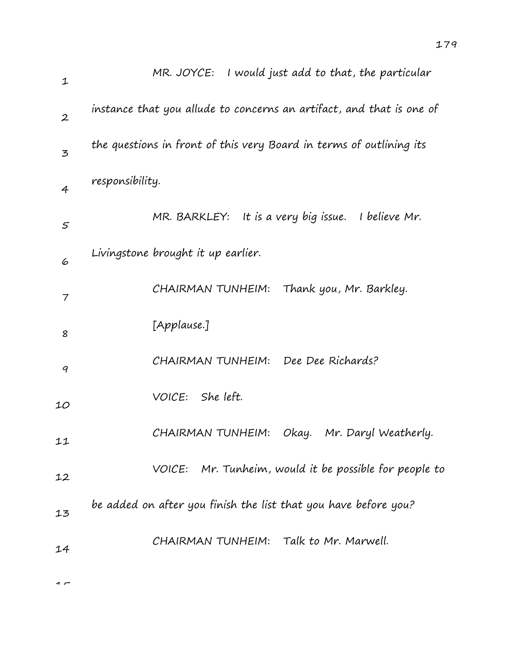| 1                | MR. JOYCE: I would just add to that, the particular                  |
|------------------|----------------------------------------------------------------------|
| $\boldsymbol{2}$ | instance that you allude to concerns an artifact, and that is one of |
| 3                | the questions in front of this very Board in terms of outlining its  |
| $\overline{4}$   | responsibility.                                                      |
| 5                | MR. BARKLEY: It is a very big issue.<br>I believe Mr.                |
| 6                | Livingstone brought it up earlier.                                   |
| $\overline{7}$   | CHAIRMAN TUNHEIM: Thank you, Mr. Barkley.                            |
| 8                | [Applause.]                                                          |
| 9                | CHAIRMAN TUNHEIM: Dee Dee Richards?                                  |
| 10               | VOICE: She left.                                                     |
| 11               | CHAIRMAN TUNHEIM:<br>Okay.    Mr. Daryl Weatherly.                   |
| 12               | VOICE: Mr. Tunheim, would it be possible for people to               |
| 13               | be added on after you finish the list that you have before you?      |
| 14               | CHAIRMAN TUNHEIM: Talk to Mr. Marwell.                               |
|                  |                                                                      |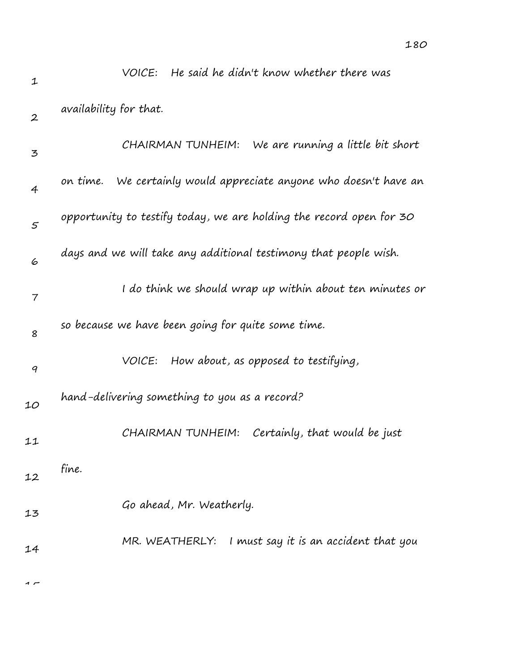| 1                | He said he didn't know whether there was<br>VOICE:                   |
|------------------|----------------------------------------------------------------------|
| $\boldsymbol{2}$ | availability for that.                                               |
| 3                | CHAIRMAN TUNHEIM:<br>We are running a little bit short               |
| 4                | We certainly would appreciate anyone who doesn't have an<br>on time. |
| $\mathfrak{s}$   | opportunity to testify today, we are holding the record open for 30  |
| 6                | days and we will take any additional testimony that people wish.     |
| $\overline{7}$   | I do think we should wrap up within about ten minutes or             |
| 8                | so because we have been going for quite some time.                   |
| 9                | How about, as opposed to testifying,<br>VOICE:                       |
| 10               | hand-delivering something to you as a record?                        |
| 11               | Certainly, that would be just<br>CHAIRMAN TUNHEIM:                   |
| 12               | fine.                                                                |
| 13               | Go ahead, Mr. Weatherly.                                             |
| 14               | MR. WEATHERLY: I must say it is an accident that you                 |
| $\sim$           |                                                                      |

180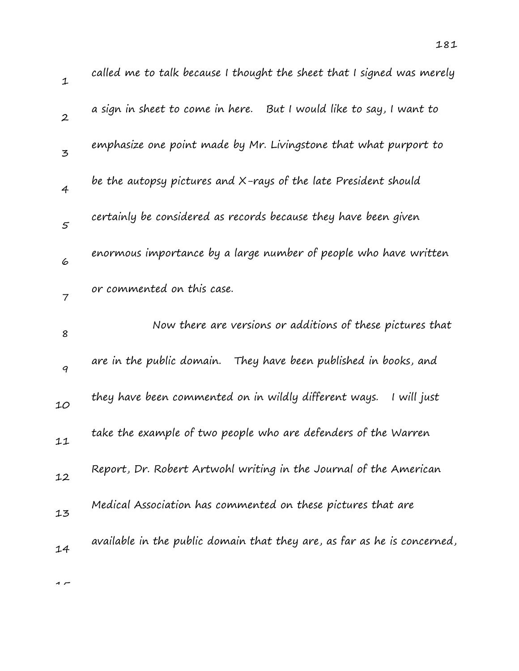| 1                | called me to talk because I thought the sheet that I signed was merely   |
|------------------|--------------------------------------------------------------------------|
| $\boldsymbol{2}$ | a sign in sheet to come in here. But I would like to say, I want to      |
| 3                | emphasize one point made by Mr. Livingstone that what purport to         |
| $\overline{4}$   | be the autopsy pictures and X-rays of the late President should          |
| 5                | certainly be considered as records because they have been given          |
| 6                | enormous importance by a large number of people who have written         |
| $\overline{7}$   | or commented on this case.                                               |
| 8                | Now there are versions or additions of these pictures that               |
| 9                | are in the public domain. They have been published in books, and         |
| 10               | they have been commented on in wildly different ways.<br>I will just     |
| 11               | take the example of two people who are defenders of the Warren           |
| 12               | Report, Dr. Robert Artwohl writing in the Journal of the American        |
| 13               | Medical Association has commented on these pictures that are             |
| 14               | available in the public domain that they are, as far as he is concerned, |
|                  |                                                                          |

 $\rightarrow$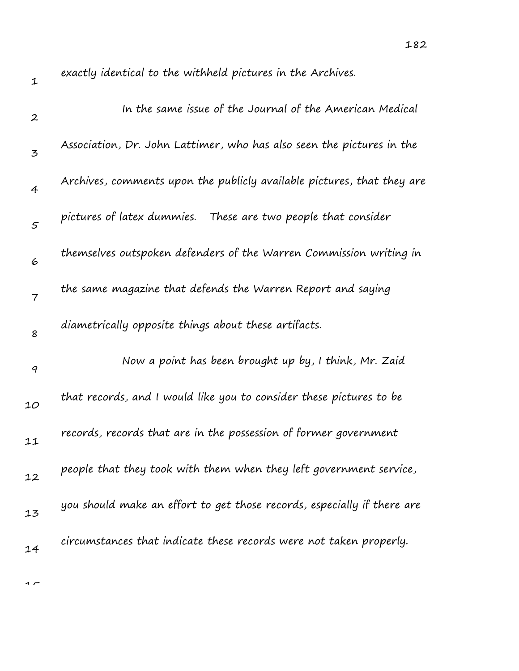$\rightarrow$ 

exactly identical to the withheld pictures in the Archives.

| $\boldsymbol{2}$ | In the same issue of the Journal of the American Medical                |
|------------------|-------------------------------------------------------------------------|
| 3                | Association, Dr. John Lattimer, who has also seen the pictures in the   |
| $\overline{4}$   | Archives, comments upon the publicly available pictures, that they are  |
| $\mathfrak{s}$   | pictures of latex dummies.<br>These are two people that consider        |
| 6                | themselves outspoken defenders of the Warren Commission writing in      |
| $\overline{7}$   | the same magazine that defends the Warren Report and saying             |
| 8                | diametrically opposite things about these artifacts.                    |
| 9                | Now a point has been brought up by, I think, Mr. Zaid                   |
| 10               | that records, and I would like you to consider these pictures to be     |
| 11               | records, records that are in the possession of former government        |
| 12               | people that they took with them when they left government service,      |
| 13               | you should make an effort to get those records, especially if there are |
| 14               | circumstances that indicate these records were not taken properly.      |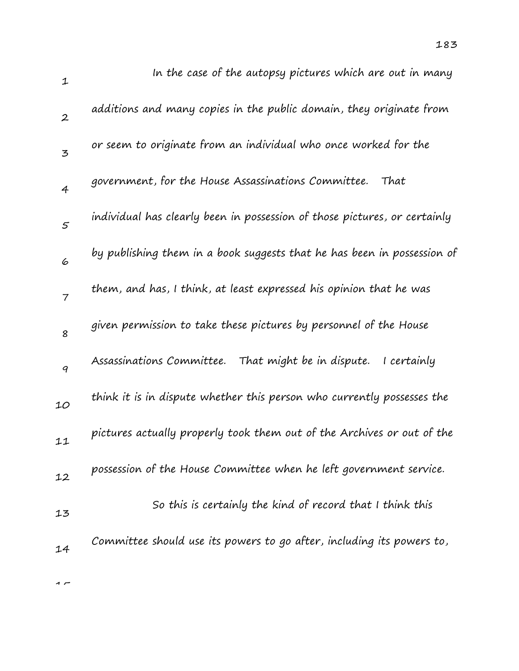| $\mathbf{1}$     | In the case of the autopsy pictures which are out in many                 |
|------------------|---------------------------------------------------------------------------|
| $\boldsymbol{2}$ | additions and many copies in the public domain, they originate from       |
| $\overline{5}$   | or seem to originate from an individual who once worked for the           |
| $\overline{4}$   | government, for the House Assassinations Committee.<br>That               |
| 5                | individual has clearly been in possession of those pictures, or certainly |
| 6                | by publishing them in a book suggests that he has been in possession of   |
| $\overline{7}$   | them, and has, I think, at least expressed his opinion that he was        |
| 8                | given permission to take these pictures by personnel of the House         |
| 9                | Assassinations Committee.<br>That might be in dispute.<br>I certainly     |
| 10               | think it is in dispute whether this person who currently possesses the    |
| 11               | pictures actually properly took them out of the Archives or out of the    |
| 12               | possession of the House Committee when he left government service.        |
| 13               | So this is certainly the kind of record that I think this                 |
| 14               | Committee should use its powers to go after, including its powers to,     |
|                  |                                                                           |

183

 $\rightarrow$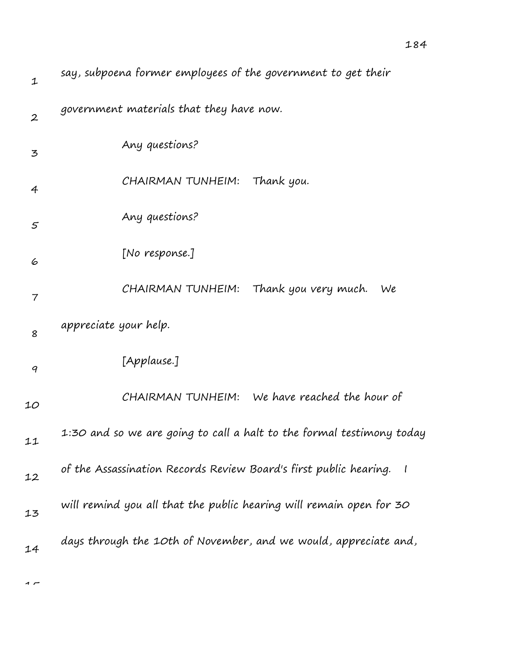| 1                        | say, subpoena former employees of the government to get their         |
|--------------------------|-----------------------------------------------------------------------|
| $\boldsymbol{2}$         | government materials that they have now.                              |
| 3                        | Any questions?                                                        |
| $\overline{4}$           | CHAIRMAN TUNHEIM:<br>Thank you.                                       |
| 5                        | Any questions?                                                        |
| 6                        | [No response.]                                                        |
| $\overline{\phantom{a}}$ | CHAIRMAN TUNHEIM:<br>Thank you very much.<br>We                       |
| 8                        | appreciate your help.                                                 |
| 9                        | [Applause.]                                                           |
| 10                       | CHAIRMAN TUNHEIM: We have reached the hour of                         |
| 11                       | 1:30 and so we are going to call a halt to the formal testimony today |
| 12                       | of the Assassination Records Review Board's first public hearing.     |
| 13                       | will remind you all that the public hearing will remain open for 30   |
| 14                       | days through the 10th of November, and we would, appreciate and,      |

 $\sim$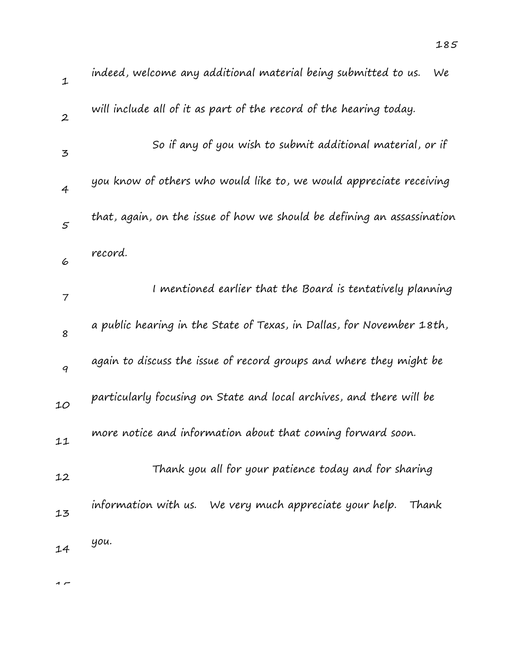| $\mathbf 1$              | indeed, welcome any additional material being submitted to us.<br>We    |
|--------------------------|-------------------------------------------------------------------------|
| $\boldsymbol{2}$         | will include all of it as part of the record of the hearing today.      |
| 3                        | So if any of you wish to submit additional material, or if              |
| $\overline{4}$           | you know of others who would like to, we would appreciate receiving     |
| $\mathcal{F}_{0}$        | that, again, on the issue of how we should be defining an assassination |
| 6                        | record.                                                                 |
| $\overline{\phantom{a}}$ | I mentioned earlier that the Board is tentatively planning              |
| 8                        | a public hearing in the State of Texas, in Dallas, for November 18th,   |
| 9                        | again to discuss the issue of record groups and where they might be     |
| 10                       | particularly focusing on State and local archives, and there will be    |
| 11                       | more notice and information about that coming forward soon.             |
| 12                       | Thank you all for your patience today and for sharing                   |
| 13                       | information with us. We very much appreciate your help.<br>Thank        |
| 14                       | уои.                                                                    |

 $\rightarrow$